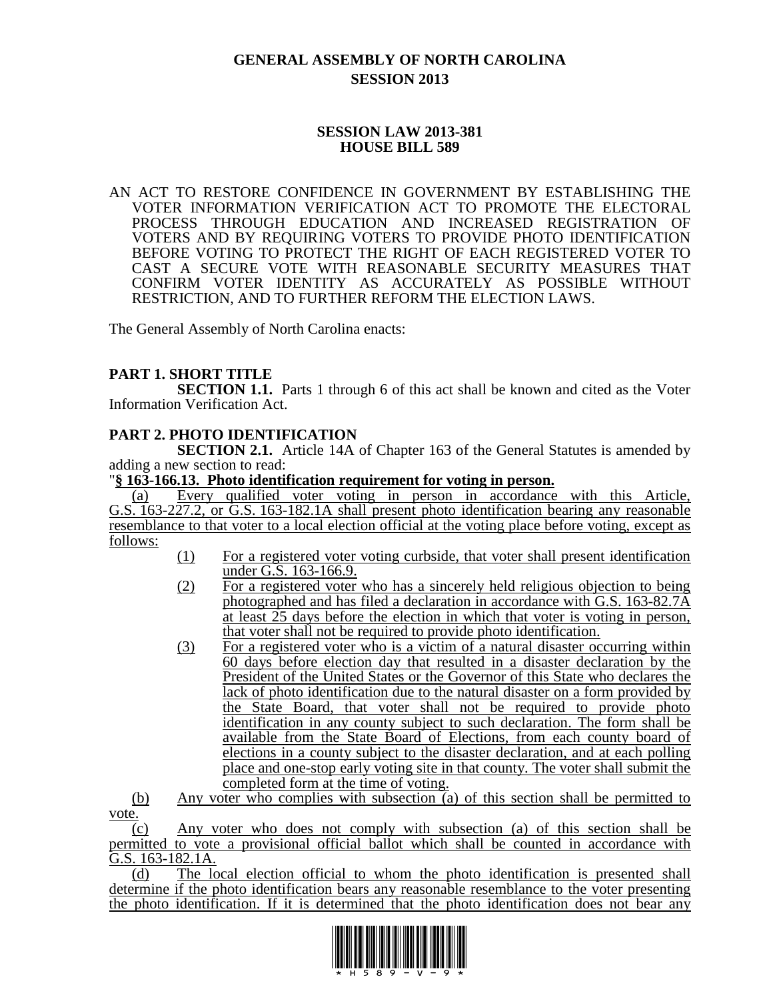# **GENERAL ASSEMBLY OF NORTH CAROLINA SESSION 2013**

# **SESSION LAW 2013-381 HOUSE BILL 589**

AN ACT TO RESTORE CONFIDENCE IN GOVERNMENT BY ESTABLISHING THE VOTER INFORMATION VERIFICATION ACT TO PROMOTE THE ELECTORAL PROCESS THROUGH EDUCATION AND INCREASED REGISTRATION OF VOTERS AND BY REQUIRING VOTERS TO PROVIDE PHOTO IDENTIFICATION BEFORE VOTING TO PROTECT THE RIGHT OF EACH REGISTERED VOTER TO CAST A SECURE VOTE WITH REASONABLE SECURITY MEASURES THAT CONFIRM VOTER IDENTITY AS ACCURATELY AS POSSIBLE WITHOUT RESTRICTION, AND TO FURTHER REFORM THE ELECTION LAWS.

The General Assembly of North Carolina enacts:

# **PART 1. SHORT TITLE**

**SECTION 1.1.** Parts 1 through 6 of this act shall be known and cited as the Voter Information Verification Act.

# **PART 2. PHOTO IDENTIFICATION**

**SECTION 2.1.** Article 14A of Chapter 163 of the General Statutes is amended by adding a new section to read:

### "**§ 163-166.13. Photo identification requirement for voting in person.**

(a) Every qualified voter voting in person in accordance with this Article, G.S. 163-227.2, or G.S. 163-182.1A shall present photo identification bearing any reasonable resemblance to that voter to a local election official at the voting place before voting, except as follows:

- (1) For a registered voter voting curbside, that voter shall present identification under G.S. 163-166.9.
- (2) For a registered voter who has a sincerely held religious objection to being photographed and has filed a declaration in accordance with G.S. 163-82.7A at least 25 days before the election in which that voter is voting in person, that voter shall not be required to provide photo identification.
- (3) For a registered voter who is a victim of a natural disaster occurring within 60 days before election day that resulted in a disaster declaration by the President of the United States or the Governor of this State who declares the lack of photo identification due to the natural disaster on a form provided by the State Board, that voter shall not be required to provide photo identification in any county subject to such declaration. The form shall be available from the State Board of Elections, from each county board of elections in a county subject to the disaster declaration, and at each polling place and one-stop early voting site in that county. The voter shall submit the completed form at the time of voting.

(b) Any voter who complies with subsection (a) of this section shall be permitted to vote.

(c) Any voter who does not comply with subsection (a) of this section shall be permitted to vote a provisional official ballot which shall be counted in accordance with G.S. 163-182.1A.

(d) The local election official to whom the photo identification is presented shall determine if the photo identification bears any reasonable resemblance to the voter presenting the photo identification. If it is determined that the photo identification does not bear any

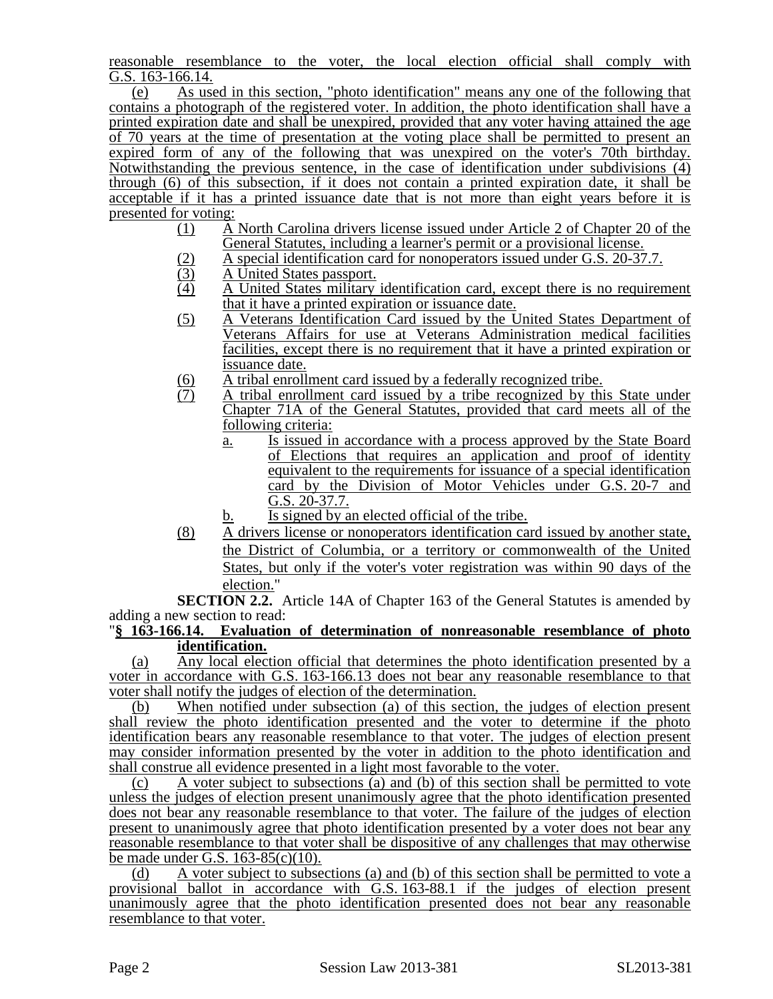reasonable resemblance to the voter, the local election official shall comply with G.S. 163-166.14.

(e) As used in this section, "photo identification" means any one of the following that contains a photograph of the registered voter. In addition, the photo identification shall have a printed expiration date and shall be unexpired, provided that any voter having attained the age of 70 years at the time of presentation at the voting place shall be permitted to present an expired form of any of the following that was unexpired on the voter's 70th birthday. Notwithstanding the previous sentence, in the case of identification under subdivisions (4) through (6) of this subsection, if it does not contain a printed expiration date, it shall be acceptable if it has a printed issuance date that is not more than eight years before it is presented for voting:<br> $(1)$  A

- (1) A North Carolina drivers license issued under Article 2 of Chapter 20 of the General Statutes, including a learner's permit or a provisional license.
- (2) A special identification card for nonoperators issued under G.S. 20-37.7.<br>A United States passport.
- $\overline{3}$  A United States passport.<br>  $\overline{4}$  A United States military
- (4) A United States military identification card, except there is no requirement that it have a printed expiration or issuance date.
- (5) A Veterans Identification Card issued by the United States Department of Veterans Affairs for use at Veterans Administration medical facilities facilities, except there is no requirement that it have a printed expiration or issuance date.
- $\frac{1}{10}$  A tribal enrollment card issued by a federally recognized tribe.<br>  $\frac{1}{10}$  A tribal enrollment card issued by a tribe recognized by this
- A tribal enrollment card issued by a tribe recognized by this State under Chapter 71A of the General Statutes, provided that card meets all of the following criteria:
	- a. Is issued in accordance with a process approved by the State Board of Elections that requires an application and proof of identity equivalent to the requirements for issuance of a special identification card by the Division of Motor Vehicles under G.S. 20-7 and G.S. 20-37.7.
	- b. Is signed by an elected official of the tribe.
- (8) A drivers license or nonoperators identification card issued by another state, the District of Columbia, or a territory or commonwealth of the United States, but only if the voter's voter registration was within 90 days of the election."

**SECTION 2.2.** Article 14A of Chapter 163 of the General Statutes is amended by adding a new section to read:

### "**§ 163-166.14. Evaluation of determination of nonreasonable resemblance of photo identification.**

(a) Any local election official that determines the photo identification presented by a voter in accordance with G.S. 163-166.13 does not bear any reasonable resemblance to that voter shall notify the judges of election of the determination.

(b) When notified under subsection (a) of this section, the judges of election present shall review the photo identification presented and the voter to determine if the photo identification bears any reasonable resemblance to that voter. The judges of election present may consider information presented by the voter in addition to the photo identification and shall construe all evidence presented in a light most favorable to the voter.

(c) A voter subject to subsections (a) and (b) of this section shall be permitted to vote unless the judges of election present unanimously agree that the photo identification presented does not bear any reasonable resemblance to that voter. The failure of the judges of election present to unanimously agree that photo identification presented by a voter does not bear any reasonable resemblance to that voter shall be dispositive of any challenges that may otherwise be made under G.S. 163-85(c)(10).

(d) A voter subject to subsections (a) and (b) of this section shall be permitted to vote a provisional ballot in accordance with G.S. 163-88.1 if the judges of election present unanimously agree that the photo identification presented does not bear any reasonable resemblance to that voter.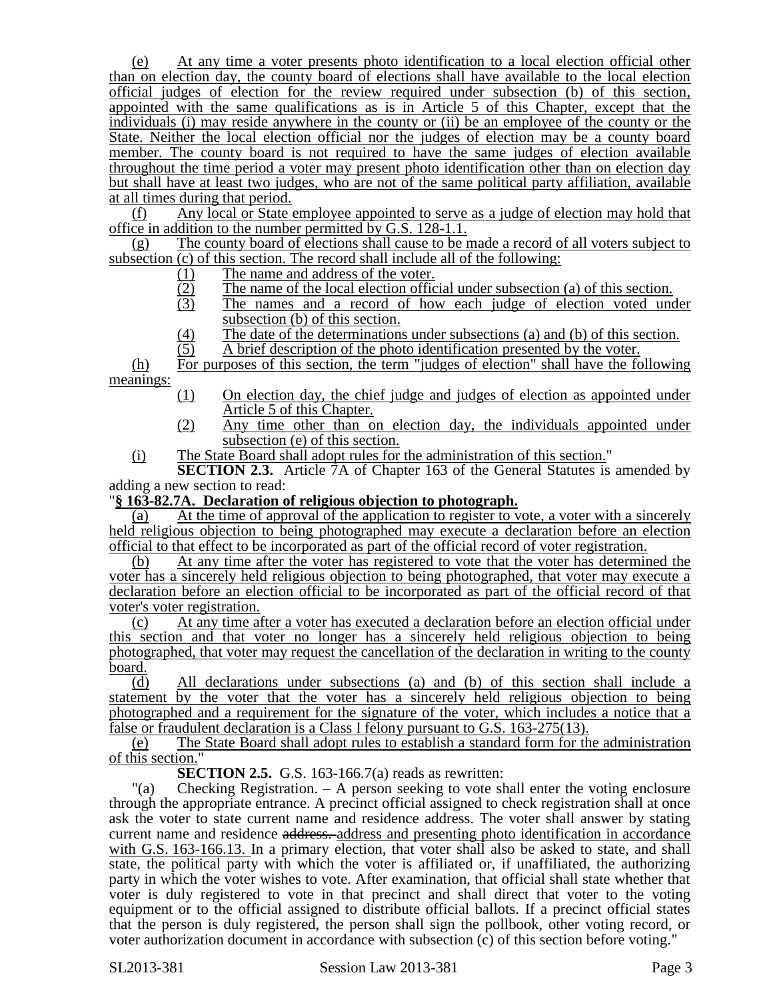(e) At any time a voter presents photo identification to a local election official other than on election day, the county board of elections shall have available to the local election official judges of election for the review required under subsection (b) of this section, appointed with the same qualifications as is in Article 5 of this Chapter, except that the individuals (i) may reside anywhere in the county or (ii) be an employee of the county or the State. Neither the local election official nor the judges of election may be a county board member. The county board is not required to have the same judges of election available throughout the time period a voter may present photo identification other than on election day but shall have at least two judges, who are not of the same political party affiliation, available at all times during that period.

(f) Any local or State employee appointed to serve as a judge of election may hold that office in addition to the number permitted by G.S. 128-1.1.

(g) The county board of elections shall cause to be made a record of all voters subject to subsection (c) of this section. The record shall include all of the following:

- 
- The name of the local election official under subsection (a) of this section.
- (1) The name and address of the voter.<br>  $\frac{12}{3}$  The name of the local election office<br>
The names and a record of how The names and a record of how each judge of election voted under subsection (b) of this section.
- (4) The date of the determinations under subsections (a) and (b) of this section.<br>  $\overline{A}$  brief description of the photo identification presented by the voter.
- (5) A brief description of the photo identification presented by the voter.

(h) For purposes of this section, the term "judges of election" shall have the following meanings:

- (1) On election day, the chief judge and judges of election as appointed under Article 5 of this Chapter.
- (2) Any time other than on election day, the individuals appointed under subsection (e) of this section.
- (i) The State Board shall adopt rules for the administration of this section."

**SECTION 2.3.** Article 7A of Chapter 163 of the General Statutes is amended by adding a new section to read:

### "**§ 163-82.7A. Declaration of religious objection to photograph.**

(a) At the time of approval of the application to register to vote, a voter with a sincerely held religious objection to being photographed may execute a declaration before an election official to that effect to be incorporated as part of the official record of voter registration.

(b) At any time after the voter has registered to vote that the voter has determined the voter has a sincerely held religious objection to being photographed, that voter may execute a declaration before an election official to be incorporated as part of the official record of that voter's voter registration.

(c) At any time after a voter has executed a declaration before an election official under this section and that voter no longer has a sincerely held religious objection to being photographed, that voter may request the cancellation of the declaration in writing to the county board.

(d) All declarations under subsections (a) and (b) of this section shall include a statement by the voter that the voter has a sincerely held religious objection to being photographed and a requirement for the signature of the voter, which includes a notice that a false or fraudulent declaration is a Class I felony pursuant to G.S. 163-275(13).

(e) The State Board shall adopt rules to establish a standard form for the administration of this section."

**SECTION 2.5.** G.S. 163-166.7(a) reads as rewritten:

"(a) Checking Registration. – A person seeking to vote shall enter the voting enclosure through the appropriate entrance. A precinct official assigned to check registration shall at once ask the voter to state current name and residence address. The voter shall answer by stating current name and residence address. address and presenting photo identification in accordance with G.S. 163-166.13. In a primary election, that voter shall also be asked to state, and shall state, the political party with which the voter is affiliated or, if unaffiliated, the authorizing party in which the voter wishes to vote. After examination, that official shall state whether that voter is duly registered to vote in that precinct and shall direct that voter to the voting equipment or to the official assigned to distribute official ballots. If a precinct official states that the person is duly registered, the person shall sign the pollbook, other voting record, or voter authorization document in accordance with subsection (c) of this section before voting."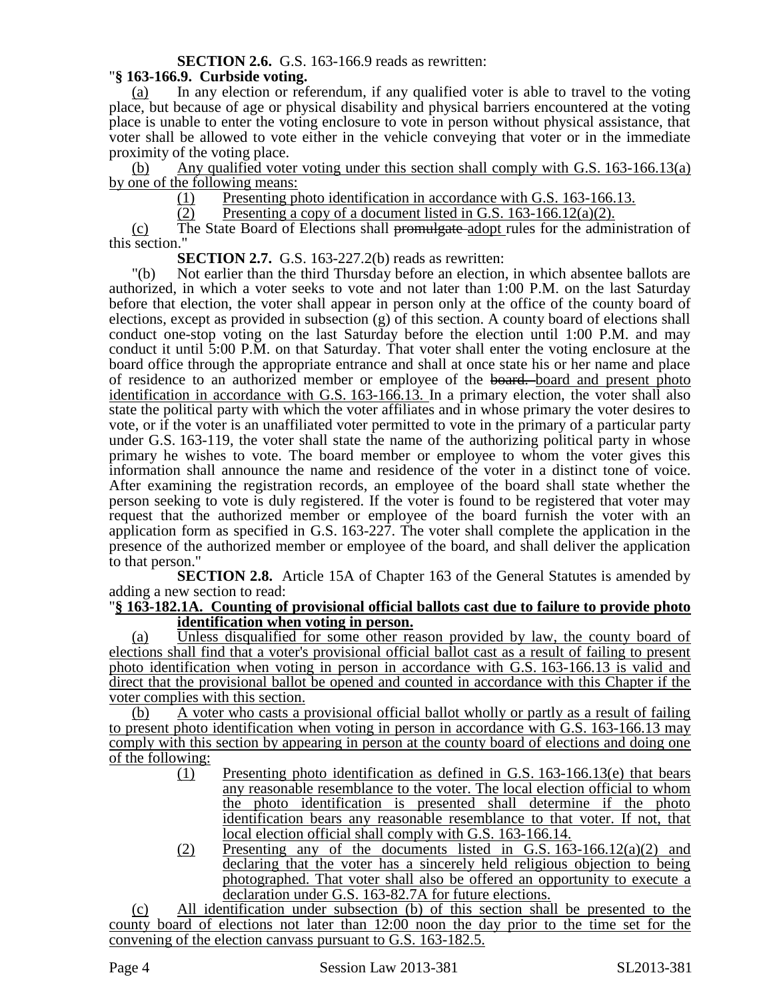# **SECTION 2.6.** G.S. 163-166.9 reads as rewritten:

# "**§ 163-166.9. Curbside voting.**

(a) In any election or referendum, if any qualified voter is able to travel to the voting place, but because of age or physical disability and physical barriers encountered at the voting place is unable to enter the voting enclosure to vote in person without physical assistance, that voter shall be allowed to vote either in the vehicle conveying that voter or in the immediate proximity of the voting place.

(b) Any qualified voter voting under this section shall comply with G.S. 163-166.13(a) by one of the following means:

(1) Presenting photo identification in accordance with G.S. 163-166.13.<br>(2) Presenting a copy of a document listed in G.S. 163-166.12(a)(2).

Presenting a copy of a document listed in G.S.  $163-166.12(a)(2)$ .

(c) The State Board of Elections shall promulgate adopt rules for the administration of this section."

**SECTION 2.7.** G.S. 163-227.2(b) reads as rewritten:

"(b) Not earlier than the third Thursday before an election, in which absentee ballots are authorized, in which a voter seeks to vote and not later than 1:00 P.M. on the last Saturday before that election, the voter shall appear in person only at the office of the county board of elections, except as provided in subsection (g) of this section. A county board of elections shall conduct one-stop voting on the last Saturday before the election until 1:00 P.M. and may conduct it until 5:00 P.M. on that Saturday. That voter shall enter the voting enclosure at the board office through the appropriate entrance and shall at once state his or her name and place of residence to an authorized member or employee of the board. board and present photo identification in accordance with G.S. 163-166.13. In a primary election, the voter shall also state the political party with which the voter affiliates and in whose primary the voter desires to vote, or if the voter is an unaffiliated voter permitted to vote in the primary of a particular party under G.S. 163-119, the voter shall state the name of the authorizing political party in whose primary he wishes to vote. The board member or employee to whom the voter gives this information shall announce the name and residence of the voter in a distinct tone of voice. After examining the registration records, an employee of the board shall state whether the person seeking to vote is duly registered. If the voter is found to be registered that voter may request that the authorized member or employee of the board furnish the voter with an application form as specified in G.S. 163-227. The voter shall complete the application in the presence of the authorized member or employee of the board, and shall deliver the application to that person."

**SECTION 2.8.** Article 15A of Chapter 163 of the General Statutes is amended by adding a new section to read:

### "**§ 163-182.1A. Counting of provisional official ballots cast due to failure to provide photo identification when voting in person.**

(a) Unless disqualified for some other reason provided by law, the county board of elections shall find that a voter's provisional official ballot cast as a result of failing to present photo identification when voting in person in accordance with G.S. 163-166.13 is valid and direct that the provisional ballot be opened and counted in accordance with this Chapter if the voter complies with this section.

(b) A voter who casts a provisional official ballot wholly or partly as a result of failing to present photo identification when voting in person in accordance with G.S. 163-166.13 may comply with this section by appearing in person at the county board of elections and doing one of the following:

- (1) Presenting photo identification as defined in G.S. 163-166.13(e) that bears any reasonable resemblance to the voter. The local election official to whom the photo identification is presented shall determine if the photo identification bears any reasonable resemblance to that voter. If not, that local election official shall comply with G.S. 163-166.14.
- $(2)$  Presenting any of the documents listed in G.S. 163-166.12(a)(2) and declaring that the voter has a sincerely held religious objection to being photographed. That voter shall also be offered an opportunity to execute a declaration under G.S. 163-82.7A for future elections.

(c) All identification under subsection (b) of this section shall be presented to the county board of elections not later than 12:00 noon the day prior to the time set for the convening of the election canvass pursuant to G.S. 163-182.5.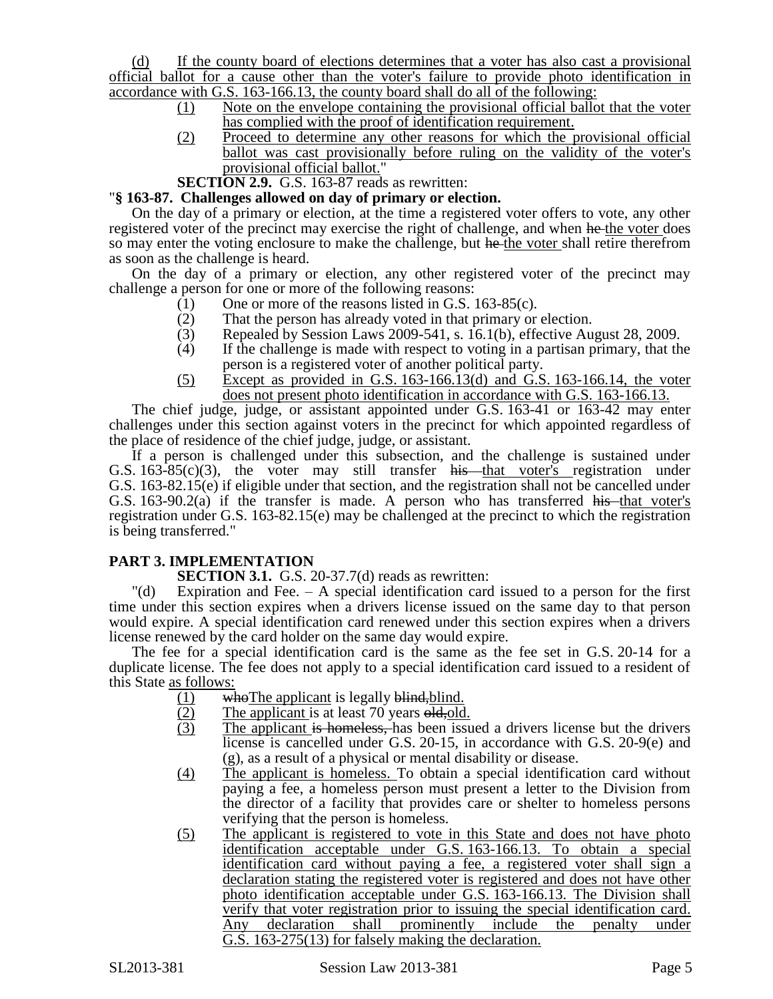(d) If the county board of elections determines that a voter has also cast a provisional official ballot for a cause other than the voter's failure to provide photo identification in accordance with G.S. 163-166.13, the county board shall do all of the following:

- (1) Note on the envelope containing the provisional official ballot that the voter has complied with the proof of identification requirement.
- (2) Proceed to determine any other reasons for which the provisional official ballot was cast provisionally before ruling on the validity of the voter's provisional official ballot."
- **SECTION 2.9.** G.S. 163-87 reads as rewritten:

### "**§ 163-87. Challenges allowed on day of primary or election.**

On the day of a primary or election, at the time a registered voter offers to vote, any other registered voter of the precinct may exercise the right of challenge, and when he the voter does so may enter the voting enclosure to make the challenge, but he the voter shall retire therefrom as soon as the challenge is heard.

On the day of a primary or election, any other registered voter of the precinct may challenge a person for one or more of the following reasons:

- (1) One or more of the reasons listed in G.S. 163-85(c).
- (2) That the person has already voted in that primary or election.<br>  $(3)$  Repealed by Session Laws 2009-541, s. 16.1(b), effective Au
- Repealed by Session Laws 2009-541, s. 16.1(b), effective August 28, 2009.
- (4) If the challenge is made with respect to voting in a partisan primary, that the person is a registered voter of another political party.
- (5) Except as provided in G.S. 163-166.13(d) and G.S. 163-166.14, the voter does not present photo identification in accordance with G.S. 163-166.13.

The chief judge, judge, or assistant appointed under G.S. 163-41 or 163-42 may enter challenges under this section against voters in the precinct for which appointed regardless of the place of residence of the chief judge, judge, or assistant.

If a person is challenged under this subsection, and the challenge is sustained under G.S. 163-85(c)(3), the voter may still transfer his that voter's registration under G.S. 163-82.15(e) if eligible under that section, and the registration shall not be cancelled under G.S.  $163-90.2(a)$  if the transfer is made. A person who has transferred his that voter's registration under G.S. 163-82.15(e) may be challenged at the precinct to which the registration is being transferred."

# **PART 3. IMPLEMENTATION**

**SECTION 3.1.** G.S. 20-37.7(d) reads as rewritten:

"(d) Expiration and Fee. – A special identification card issued to a person for the first time under this section expires when a drivers license issued on the same day to that person would expire. A special identification card renewed under this section expires when a drivers license renewed by the card holder on the same day would expire.

The fee for a special identification card is the same as the fee set in G.S. 20-14 for a duplicate license. The fee does not apply to a special identification card issued to a resident of this State as follows:

- (1) whe The applicant is legally blind,  $\frac{1}{2}$  The applicant is at least 70 years old, old
- 
- $\frac{(2)}{(3)}$  The applicant is at least 70 years old, old.<br>The applicant is homeless, has been issue The applicant is homeless, has been issued a drivers license but the drivers license is cancelled under G.S. 20-15, in accordance with G.S. 20-9(e) and (g), as a result of a physical or mental disability or disease.
- (4) The applicant is homeless. To obtain a special identification card without paying a fee, a homeless person must present a letter to the Division from the director of a facility that provides care or shelter to homeless persons verifying that the person is homeless.
- (5) The applicant is registered to vote in this State and does not have photo identification acceptable under G.S. 163-166.13. To obtain a special identification card without paying a fee, a registered voter shall sign a declaration stating the registered voter is registered and does not have other photo identification acceptable under G.S. 163-166.13. The Division shall verify that voter registration prior to issuing the special identification card. Any declaration shall prominently include the penalty under G.S. 163-275(13) for falsely making the declaration.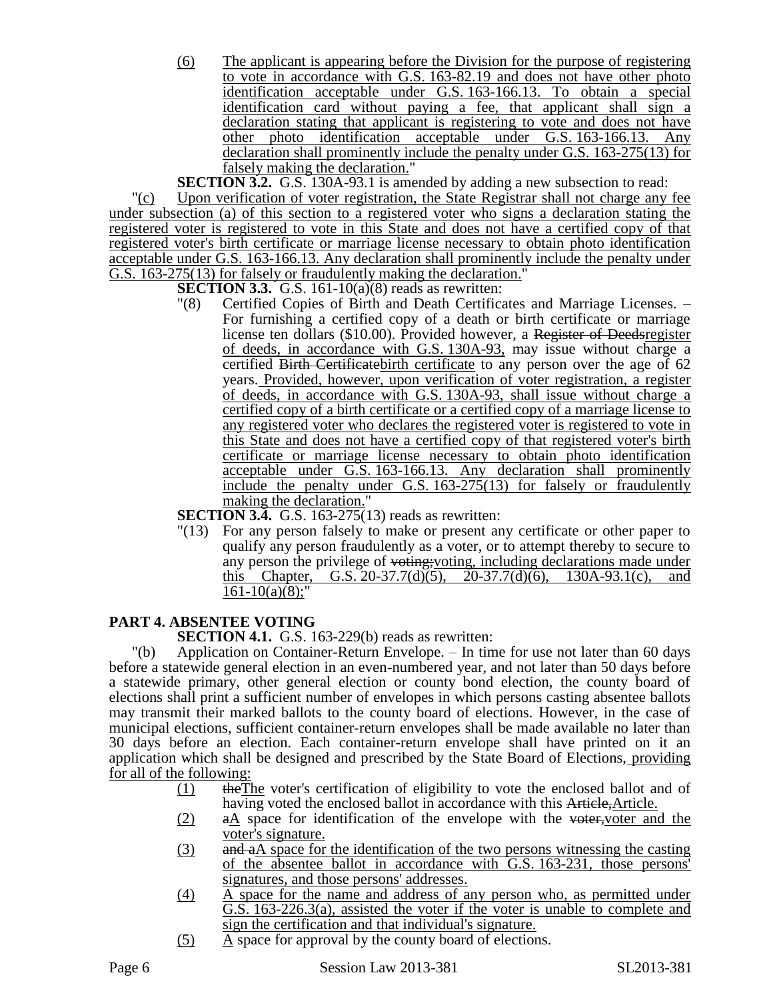(6) The applicant is appearing before the Division for the purpose of registering to vote in accordance with G.S. 163-82.19 and does not have other photo identification acceptable under G.S. 163-166.13. To obtain a special identification card without paying a fee, that applicant shall sign a declaration stating that applicant is registering to vote and does not have other photo identification acceptable under G.S. 163-166.13. Any declaration shall prominently include the penalty under G.S. 163-275(13) for falsely making the declaration."

**SECTION 3.2.** G.S. 130A-93.1 is amended by adding a new subsection to read:

"(c) Upon verification of voter registration, the State Registrar shall not charge any fee under subsection (a) of this section to a registered voter who signs a declaration stating the registered voter is registered to vote in this State and does not have a certified copy of that registered voter's birth certificate or marriage license necessary to obtain photo identification acceptable under G.S. 163-166.13. Any declaration shall prominently include the penalty under G.S. 163-275(13) for falsely or fraudulently making the declaration."

**SECTION 3.3.** G.S. 161-10(a)(8) reads as rewritten:

"(8) Certified Copies of Birth and Death Certificates and Marriage Licenses. – For furnishing a certified copy of a death or birth certificate or marriage license ten dollars (\$10.00). Provided however, a Register of Deedsregister of deeds, in accordance with G.S. 130A-93, may issue without charge a certified Birth Certificatebirth certificate to any person over the age of 62 years. Provided, however, upon verification of voter registration, a register of deeds, in accordance with G.S. 130A-93, shall issue without charge a certified copy of a birth certificate or a certified copy of a marriage license to any registered voter who declares the registered voter is registered to vote in this State and does not have a certified copy of that registered voter's birth certificate or marriage license necessary to obtain photo identification acceptable under G.S. 163-166.13. Any declaration shall prominently include the penalty under G.S.  $163-275(13)$  for falsely or fraudulently making the declaration."

**SECTION 3.4.** G.S. 163-275(13) reads as rewritten:

"(13) For any person falsely to make or present any certificate or other paper to qualify any person fraudulently as a voter, or to attempt thereby to secure to any person the privilege of voting;voting, including declarations made under this Chapter, G.S. 20-37.7(d)(5), 20-37.7(d)(6), 130A-93.1(c),  $161-10(a)(8)$ ;"

# **PART 4. ABSENTEE VOTING**

**SECTION 4.1.** G.S. 163-229(b) reads as rewritten:

"(b) Application on Container-Return Envelope. – In time for use not later than 60 days before a statewide general election in an even-numbered year, and not later than 50 days before a statewide primary, other general election or county bond election, the county board of elections shall print a sufficient number of envelopes in which persons casting absentee ballots may transmit their marked ballots to the county board of elections. However, in the case of municipal elections, sufficient container-return envelopes shall be made available no later than 30 days before an election. Each container-return envelope shall have printed on it an application which shall be designed and prescribed by the State Board of Elections, providing for all of the following:

- (1) theThe voter's certification of eligibility to vote the enclosed ballot and of having voted the enclosed ballot in accordance with this Article, Article.
- $(2)$  a a space for identification of the envelope with the voter, voter and the voter's signature.
- (3) and aA space for the identification of the two persons witnessing the casting of the absentee ballot in accordance with G.S. 163-231, those persons' signatures, and those persons' addresses.
- (4) A space for the name and address of any person who, as permitted under G.S. 163-226.3(a), assisted the voter if the voter is unable to complete and sign the certification and that individual's signature.
- $(5)$  A space for approval by the county board of elections.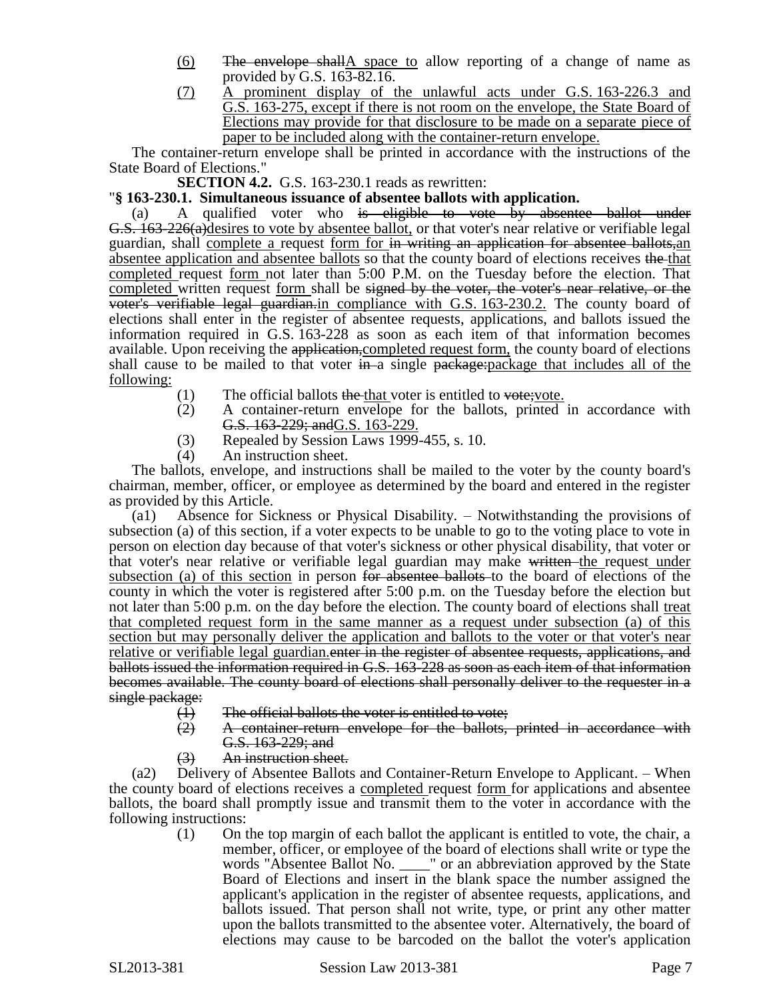- (6) The envelope shallA space to allow reporting of a change of name as provided by G.S. 163-82.16.
- (7) A prominent display of the unlawful acts under G.S. 163-226.3 and G.S. 163-275, except if there is not room on the envelope, the State Board of Elections may provide for that disclosure to be made on a separate piece of paper to be included along with the container-return envelope.

The container-return envelope shall be printed in accordance with the instructions of the State Board of Elections."

**SECTION 4.2.** G.S. 163-230.1 reads as rewritten:

# "**§ 163-230.1. Simultaneous issuance of absentee ballots with application.**

(a) A qualified voter who is eligible to vote by absentee ballot under G.S. 163-226(a)desires to vote by absentee ballot, or that voter's near relative or verifiable legal guardian, shall complete a request form for in writing an application for absentee ballots,an absentee application and absentee ballots so that the county board of elections receives the that completed request form not later than 5:00 P.M. on the Tuesday before the election. That completed written request form shall be signed by the voter, the voter's near relative, or the voter's verifiable legal guardian.in compliance with G.S. 163-230.2. The county board of elections shall enter in the register of absentee requests, applications, and ballots issued the information required in G.S. 163-228 as soon as each item of that information becomes available. Upon receiving the application, completed request form, the county board of elections shall cause to be mailed to that voter  $\frac{1}{2}$  in a single package: package that includes all of the following:

- $(1)$  The official ballots the that voter is entitled to vote; vote.
- (2) A container-return envelope for the ballots, printed in accordance with G.S. 163-229; andG.S. 163-229.
- (3) Repealed by Session Laws 1999-455, s. 10.
- (4) An instruction sheet.

The ballots, envelope, and instructions shall be mailed to the voter by the county board's chairman, member, officer, or employee as determined by the board and entered in the register as provided by this Article.

(a1) Absence for Sickness or Physical Disability. – Notwithstanding the provisions of subsection (a) of this section, if a voter expects to be unable to go to the voting place to vote in person on election day because of that voter's sickness or other physical disability, that voter or that voter's near relative or verifiable legal guardian may make written the request under subsection (a) of this section in person <del>for absentee ballots</del> to the board of elections of the county in which the voter is registered after 5:00 p.m. on the Tuesday before the election but not later than 5:00 p.m. on the day before the election. The county board of elections shall treat that completed request form in the same manner as a request under subsection (a) of this section but may personally deliver the application and ballots to the voter or that voter's near relative or verifiable legal guardian. enter in the register of absentee requests, applications, and ballots issued the information required in G.S. 163-228 as soon as each item of that information becomes available. The county board of elections shall personally deliver to the requester in a single package:

- 
- (1) The official ballots the voter is entitled to vote;<br>(2) A container-return envelope for the ballots, (2) A container-return envelope for the ballots, printed in accordance with G.S. 163-229; and
- (3) An instruction sheet.

(a2) Delivery of Absentee Ballots and Container-Return Envelope to Applicant. – When the county board of elections receives a completed request <u>form</u> for applications and absentee ballots, the board shall promptly issue and transmit them to the voter in accordance with the following instructions:

(1) On the top margin of each ballot the applicant is entitled to vote, the chair, a member, officer, or employee of the board of elections shall write or type the words "Absentee Ballot No. \_\_\_\_" or an abbreviation approved by the State Board of Elections and insert in the blank space the number assigned the applicant's application in the register of absentee requests, applications, and ballots issued. That person shall not write, type, or print any other matter upon the ballots transmitted to the absentee voter. Alternatively, the board of elections may cause to be barcoded on the ballot the voter's application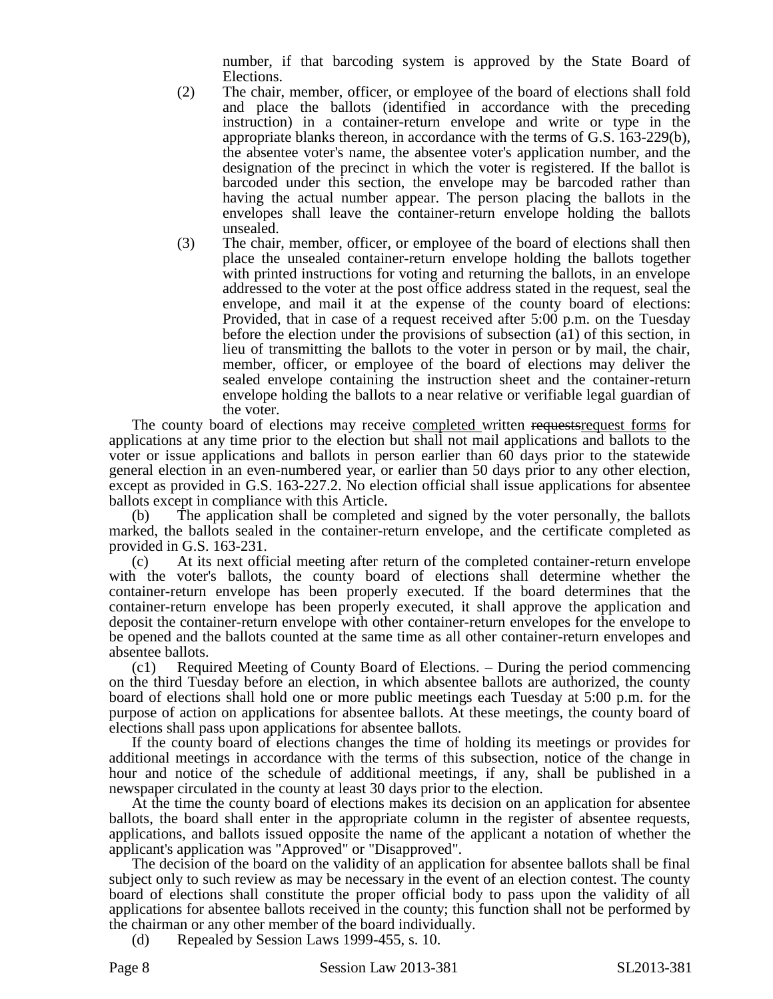number, if that barcoding system is approved by the State Board of Elections.

- (2) The chair, member, officer, or employee of the board of elections shall fold and place the ballots (identified in accordance with the preceding instruction) in a container-return envelope and write or type in the appropriate blanks thereon, in accordance with the terms of G.S. 163-229(b), the absentee voter's name, the absentee voter's application number, and the designation of the precinct in which the voter is registered. If the ballot is barcoded under this section, the envelope may be barcoded rather than having the actual number appear. The person placing the ballots in the envelopes shall leave the container-return envelope holding the ballots unsealed.
- (3) The chair, member, officer, or employee of the board of elections shall then place the unsealed container-return envelope holding the ballots together with printed instructions for voting and returning the ballots, in an envelope addressed to the voter at the post office address stated in the request, seal the envelope, and mail it at the expense of the county board of elections: Provided, that in case of a request received after 5:00 p.m. on the Tuesday before the election under the provisions of subsection (a1) of this section, in lieu of transmitting the ballots to the voter in person or by mail, the chair, member, officer, or employee of the board of elections may deliver the sealed envelope containing the instruction sheet and the container-return envelope holding the ballots to a near relative or verifiable legal guardian of the voter.

The county board of elections may receive completed written requests request forms for applications at any time prior to the election but shall not mail applications and ballots to the voter or issue applications and ballots in person earlier than 60 days prior to the statewide general election in an even-numbered year, or earlier than 50 days prior to any other election, except as provided in G.S. 163-227.2. No election official shall issue applications for absentee ballots except in compliance with this Article.

(b) The application shall be completed and signed by the voter personally, the ballots marked, the ballots sealed in the container-return envelope, and the certificate completed as provided in G.S. 163-231.

(c) At its next official meeting after return of the completed container-return envelope with the voter's ballots, the county board of elections shall determine whether the container-return envelope has been properly executed. If the board determines that the container-return envelope has been properly executed, it shall approve the application and deposit the container-return envelope with other container-return envelopes for the envelope to be opened and the ballots counted at the same time as all other container-return envelopes and absentee ballots.

(c1) Required Meeting of County Board of Elections. – During the period commencing on the third Tuesday before an election, in which absentee ballots are authorized, the county board of elections shall hold one or more public meetings each Tuesday at 5:00 p.m. for the purpose of action on applications for absentee ballots. At these meetings, the county board of elections shall pass upon applications for absentee ballots.

If the county board of elections changes the time of holding its meetings or provides for additional meetings in accordance with the terms of this subsection, notice of the change in hour and notice of the schedule of additional meetings, if any, shall be published in a newspaper circulated in the county at least 30 days prior to the election.

At the time the county board of elections makes its decision on an application for absentee ballots, the board shall enter in the appropriate column in the register of absentee requests, applications, and ballots issued opposite the name of the applicant a notation of whether the applicant's application was "Approved" or "Disapproved".

The decision of the board on the validity of an application for absentee ballots shall be final subject only to such review as may be necessary in the event of an election contest. The county board of elections shall constitute the proper official body to pass upon the validity of all applications for absentee ballots received in the county; this function shall not be performed by the chairman or any other member of the board individually.

(d) Repealed by Session Laws 1999-455, s. 10.

Page 8 Session Law 2013-381 SL2013-381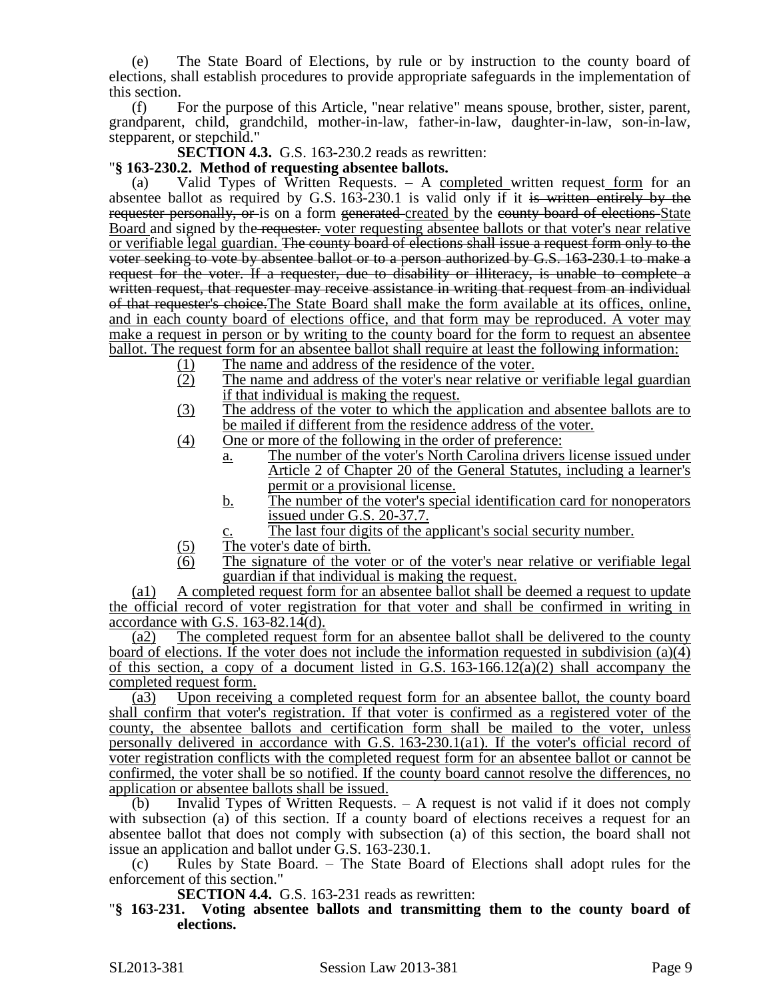(e) The State Board of Elections, by rule or by instruction to the county board of elections, shall establish procedures to provide appropriate safeguards in the implementation of this section.

(f) For the purpose of this Article, "near relative" means spouse, brother, sister, parent, grandparent, child, grandchild, mother-in-law, father-in-law, daughter-in-law, son-in-law, stepparent, or stepchild."

**SECTION 4.3.** G.S. 163-230.2 reads as rewritten:

# "**§ 163-230.2. Method of requesting absentee ballots.**

Valid Types of Written Requests.  $-$  A completed written request form for an absentee ballot as required by G.S. 163-230.1 is valid only if it is written entirely by the requester personally, or is on a form generated created by the county board of elections State Board and signed by the requester. voter requesting absentee ballots or that voter's near relative or verifiable legal guardian. The county board of elections shall issue a request form only to the voter seeking to vote by absentee ballot or to a person authorized by G.S. 163-230.1 to make a request for the voter. If a requester, due to disability or illiteracy, is unable to complete a written request, that requester may receive assistance in writing that request from an individual of that requester's choice.The State Board shall make the form available at its offices, online, and in each county board of elections office, and that form may be reproduced. A voter may make a request in person or by writing to the county board for the form to request an absentee ballot. The request form for an absentee ballot shall require at least the following information:

- (1) The name and address of the residence of the voter.
- (2) The name and address of the voter's near relative or verifiable legal guardian if that individual is making the request.
- (3) The address of the voter to which the application and absentee ballots are to be mailed if different from the residence address of the voter.
- (4) One or more of the following in the order of preference:
	- a. The number of the voter's North Carolina drivers license issued under Article 2 of Chapter 20 of the General Statutes, including a learner's permit or a provisional license.
	- b. The number of the voter's special identification card for nonoperators issued under G.S. 20-37.7.
		- The last four digits of the applicant's social security number.
- (5) The voter's date of birth.
- (6) The signature of the voter or of the voter's near relative or verifiable legal guardian if that individual is making the request.

(a1) A completed request form for an absentee ballot shall be deemed a request to update the official record of voter registration for that voter and shall be confirmed in writing in accordance with G.S. 163-82.14(d).

(a2) The completed request form for an absentee ballot shall be delivered to the county board of elections. If the voter does not include the information requested in subdivision (a)(4) of this section, a copy of a document listed in G.S.  $163-166.12(a)(2)$  shall accompany the completed request form.

(a3) Upon receiving a completed request form for an absentee ballot, the county board shall confirm that voter's registration. If that voter is confirmed as a registered voter of the county, the absentee ballots and certification form shall be mailed to the voter, unless personally delivered in accordance with G.S. 163-230.1(a1). If the voter's official record of voter registration conflicts with the completed request form for an absentee ballot or cannot be confirmed, the voter shall be so notified. If the county board cannot resolve the differences, no application or absentee ballots shall be issued.

(b) Invalid Types of Written Requests. – A request is not valid if it does not comply with subsection (a) of this section. If a county board of elections receives a request for an absentee ballot that does not comply with subsection (a) of this section, the board shall not issue an application and ballot under G.S. 163-230.1.

(c) Rules by State Board. – The State Board of Elections shall adopt rules for the enforcement of this section."

**SECTION 4.4.** G.S. 163-231 reads as rewritten:

"**§ 163-231. Voting absentee ballots and transmitting them to the county board of elections.**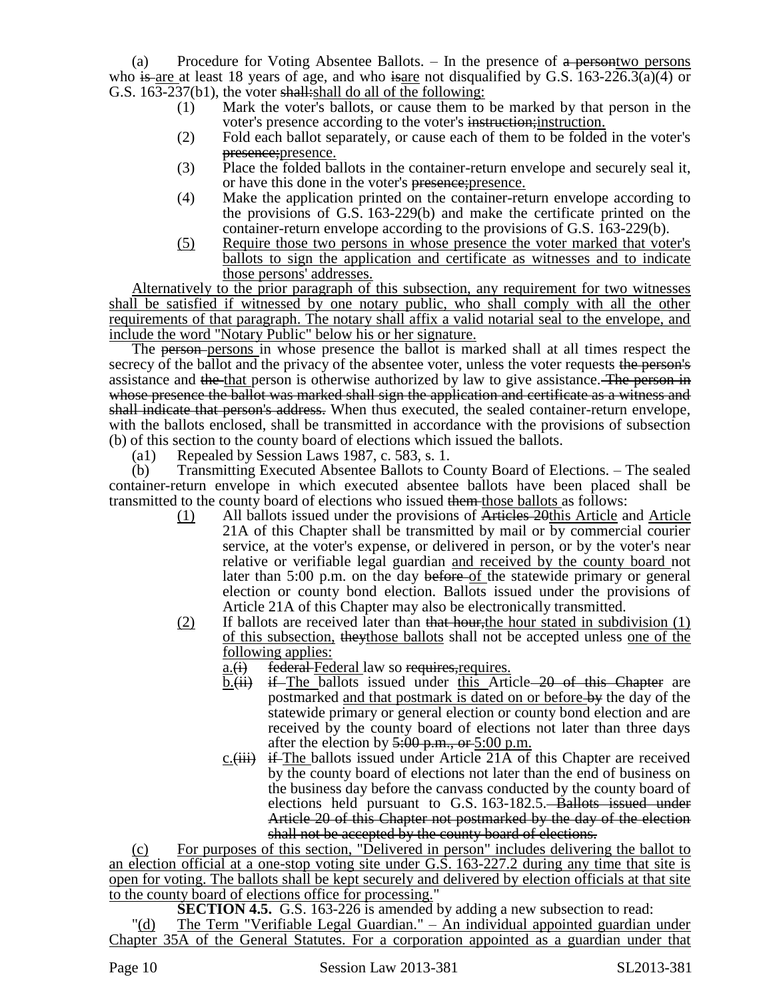(a) Procedure for Voting Absentee Ballots.  $-$  In the presence of  $\alpha$  persontwo persons who is are at least 18 years of age, and who is are not disqualified by G.S.  $163-226.3(a)(4)$  or G.S. 163-237(b1), the voter shall: shall do all of the following:

- (1) Mark the voter's ballots, or cause them to be marked by that person in the voter's presence according to the voter's instruction; instruction.
- (2) Fold each ballot separately, or cause each of them to be folded in the voter's presence;presence.
- (3) Place the folded ballots in the container-return envelope and securely seal it, or have this done in the voter's presence; presence.
- (4) Make the application printed on the container-return envelope according to the provisions of G.S. 163-229(b) and make the certificate printed on the container-return envelope according to the provisions of G.S. 163-229(b).
- (5) Require those two persons in whose presence the voter marked that voter's ballots to sign the application and certificate as witnesses and to indicate those persons' addresses.

Alternatively to the prior paragraph of this subsection, any requirement for two witnesses shall be satisfied if witnessed by one notary public, who shall comply with all the other requirements of that paragraph. The notary shall affix a valid notarial seal to the envelope, and include the word "Notary Public" below his or her signature.

The person-persons in whose presence the ballot is marked shall at all times respect the secrecy of the ballot and the privacy of the absentee voter, unless the voter requests the person's assistance and the that person is otherwise authorized by law to give assistance. The person in whose presence the ballot was marked shall sign the application and certificate as a witness and shall indicate that person's address. When thus executed, the sealed container-return envelope, with the ballots enclosed, shall be transmitted in accordance with the provisions of subsection (b) of this section to the county board of elections which issued the ballots.

(a1) Repealed by Session Laws 1987, c. 583, s. 1.

(b) Transmitting Executed Absentee Ballots to County Board of Elections. – The sealed container-return envelope in which executed absentee ballots have been placed shall be transmitted to the county board of elections who issued them those ballots as follows:

- (1) All ballots issued under the provisions of Articles 20this Article and Article 21A of this Chapter shall be transmitted by mail or by commercial courier service, at the voter's expense, or delivered in person, or by the voter's near relative or verifiable legal guardian and received by the county board not later than 5:00 p.m. on the day before of the statewide primary or general election or county bond election. Ballots issued under the provisions of Article 21A of this Chapter may also be electronically transmitted.
- (2) If ballots are received later than that hour, the hour stated in subdivision  $(1)$ of this subsection, theythose ballots shall not be accepted unless one of the following applies:
	- $a_{\cdot}(i)$  federal Federal law so requires, requires.
	- $b.$ (ii) if The ballots issued under this Article 20 of this Chapter are postmarked and that postmark is dated on or before by the day of the statewide primary or general election or county bond election and are received by the county board of elections not later than three days after the election by  $5:00$  p.m., or  $5:00$  p.m.
	- $c$ . (iii) if The ballots issued under Article 21A of this Chapter are received by the county board of elections not later than the end of business on the business day before the canvass conducted by the county board of elections held pursuant to G.S. 163-182.5. Ballots issued under Article 20 of this Chapter not postmarked by the day of the election shall not be accepted by the county board of elections.

(c) For purposes of this section, "Delivered in person" includes delivering the ballot to an election official at a one-stop voting site under G.S. 163-227.2 during any time that site is open for voting. The ballots shall be kept securely and delivered by election officials at that site to the county board of elections office for processing."

**SECTION 4.5.** G.S. 163-226 is amended by adding a new subsection to read:

The Term "Verifiable Legal Guardian." – An individual appointed guardian under Chapter 35A of the General Statutes. For a corporation appointed as a guardian under that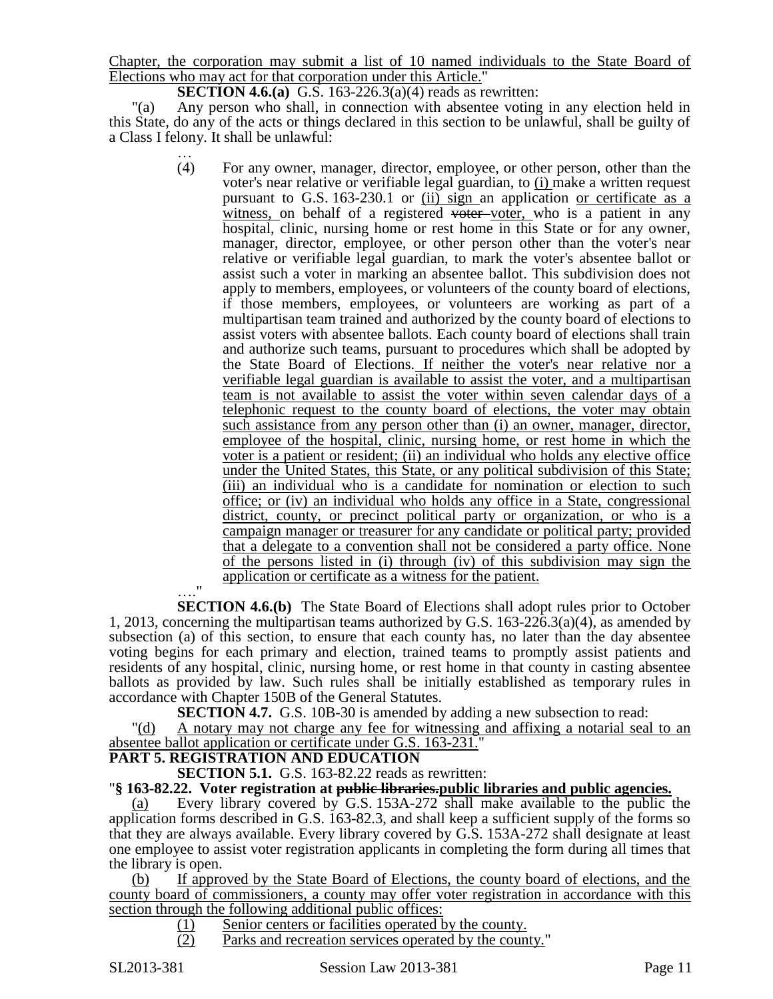Chapter, the corporation may submit a list of 10 named individuals to the State Board of Elections who may act for that corporation under this Article."

**SECTION 4.6.(a)** G.S. 163-226.3(a)(4) reads as rewritten:

"(a) Any person who shall, in connection with absentee voting in any election held in this State, do any of the acts or things declared in this section to be unlawful, shall be guilty of a Class I felony. It shall be unlawful:

> … (4) For any owner, manager, director, employee, or other person, other than the voter's near relative or verifiable legal guardian, to (i) make a written request pursuant to G.S. 163-230.1 or (ii) sign an application or certificate as a witness, on behalf of a registered voter voter, who is a patient in any hospital, clinic, nursing home or rest home in this State or for any owner, manager, director, employee, or other person other than the voter's near relative or verifiable legal guardian, to mark the voter's absentee ballot or assist such a voter in marking an absentee ballot. This subdivision does not apply to members, employees, or volunteers of the county board of elections, if those members, employees, or volunteers are working as part of a multipartisan team trained and authorized by the county board of elections to assist voters with absentee ballots. Each county board of elections shall train and authorize such teams, pursuant to procedures which shall be adopted by the State Board of Elections. If neither the voter's near relative nor a verifiable legal guardian is available to assist the voter, and a multipartisan team is not available to assist the voter within seven calendar days of a telephonic request to the county board of elections, the voter may obtain such assistance from any person other than (i) an owner, manager, director, employee of the hospital, clinic, nursing home, or rest home in which the voter is a patient or resident; (ii) an individual who holds any elective office under the United States, this State, or any political subdivision of this State; (iii) an individual who is a candidate for nomination or election to such office; or (iv) an individual who holds any office in a State, congressional district, county, or precinct political party or organization, or who is a campaign manager or treasurer for any candidate or political party; provided that a delegate to a convention shall not be considered a party office. None of the persons listed in (i) through (iv) of this subdivision may sign the application or certificate as a witness for the patient.

…." **SECTION 4.6.(b)** The State Board of Elections shall adopt rules prior to October 1, 2013, concerning the multipartisan teams authorized by G.S. 163-226.3(a)(4), as amended by subsection (a) of this section, to ensure that each county has, no later than the day absentee voting begins for each primary and election, trained teams to promptly assist patients and residents of any hospital, clinic, nursing home, or rest home in that county in casting absentee ballots as provided by law. Such rules shall be initially established as temporary rules in accordance with Chapter 150B of the General Statutes.

**SECTION 4.7.** G.S. 10B-30 is amended by adding a new subsection to read: "(d) A notary may not charge any fee for witnessing and affixing a notarial seal to an

# absentee ballot application or certificate under G.S. 163-231."

# **PART 5. REGISTRATION AND EDUCATION**

**SECTION 5.1.** G.S. 163-82.22 reads as rewritten:

# "**§ 163-82.22. Voter registration at public libraries.public libraries and public agencies.**

(a) Every library covered by G.S. 153A-272 shall make available to the public the application forms described in G.S. 163-82.3, and shall keep a sufficient supply of the forms so that they are always available. Every library covered by G.S. 153A-272 shall designate at least one employee to assist voter registration applicants in completing the form during all times that the library is open.

(b) If approved by the State Board of Elections, the county board of elections, and the county board of commissioners, a county may offer voter registration in accordance with this section through the following additional public offices:

- (1) Senior centers or facilities operated by the county.
- (2) Parks and recreation services operated by the county."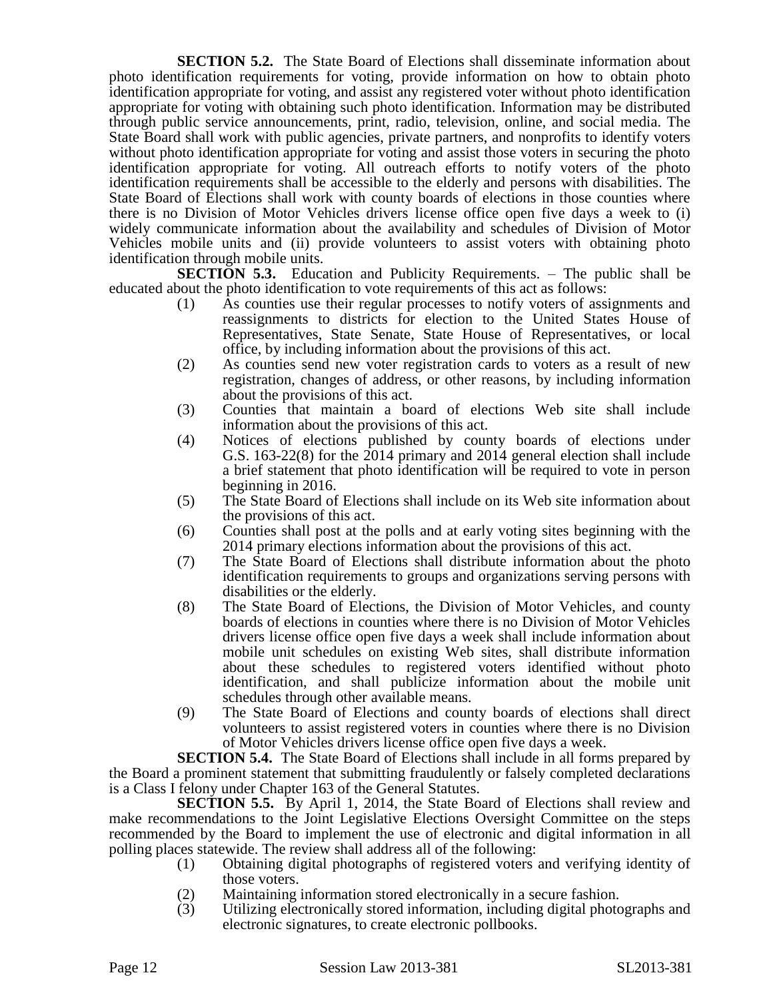**SECTION 5.2.** The State Board of Elections shall disseminate information about photo identification requirements for voting, provide information on how to obtain photo identification appropriate for voting, and assist any registered voter without photo identification appropriate for voting with obtaining such photo identification. Information may be distributed through public service announcements, print, radio, television, online, and social media. The State Board shall work with public agencies, private partners, and nonprofits to identify voters without photo identification appropriate for voting and assist those voters in securing the photo identification appropriate for voting. All outreach efforts to notify voters of the photo identification requirements shall be accessible to the elderly and persons with disabilities. The State Board of Elections shall work with county boards of elections in those counties where there is no Division of Motor Vehicles drivers license office open five days a week to (i) widely communicate information about the availability and schedules of Division of Motor Vehicles mobile units and (ii) provide volunteers to assist voters with obtaining photo identification through mobile units.

**SECTION 5.3.** Education and Publicity Requirements. – The public shall be educated about the photo identification to vote requirements of this act as follows:

- (1) As counties use their regular processes to notify voters of assignments and reassignments to districts for election to the United States House of Representatives, State Senate, State House of Representatives, or local office, by including information about the provisions of this act.
- (2) As counties send new voter registration cards to voters as a result of new registration, changes of address, or other reasons, by including information about the provisions of this act.
- (3) Counties that maintain a board of elections Web site shall include information about the provisions of this act.
- (4) Notices of elections published by county boards of elections under G.S. 163-22(8) for the 2014 primary and 2014 general election shall include a brief statement that photo identification will be required to vote in person beginning in 2016.
- (5) The State Board of Elections shall include on its Web site information about the provisions of this act.
- (6) Counties shall post at the polls and at early voting sites beginning with the 2014 primary elections information about the provisions of this act.
- (7) The State Board of Elections shall distribute information about the photo identification requirements to groups and organizations serving persons with disabilities or the elderly.
- (8) The State Board of Elections, the Division of Motor Vehicles, and county boards of elections in counties where there is no Division of Motor Vehicles drivers license office open five days a week shall include information about mobile unit schedules on existing Web sites, shall distribute information about these schedules to registered voters identified without photo identification, and shall publicize information about the mobile unit schedules through other available means.
- (9) The State Board of Elections and county boards of elections shall direct volunteers to assist registered voters in counties where there is no Division of Motor Vehicles drivers license office open five days a week.

**SECTION 5.4.** The State Board of Elections shall include in all forms prepared by the Board a prominent statement that submitting fraudulently or falsely completed declarations is a Class I felony under Chapter 163 of the General Statutes.

**SECTION 5.5.** By April 1, 2014, the State Board of Elections shall review and make recommendations to the Joint Legislative Elections Oversight Committee on the steps recommended by the Board to implement the use of electronic and digital information in all polling places statewide. The review shall address all of the following:

- (1) Obtaining digital photographs of registered voters and verifying identity of those voters.
- (2) Maintaining information stored electronically in a secure fashion.
- (3) Utilizing electronically stored information, including digital photographs and electronic signatures, to create electronic pollbooks.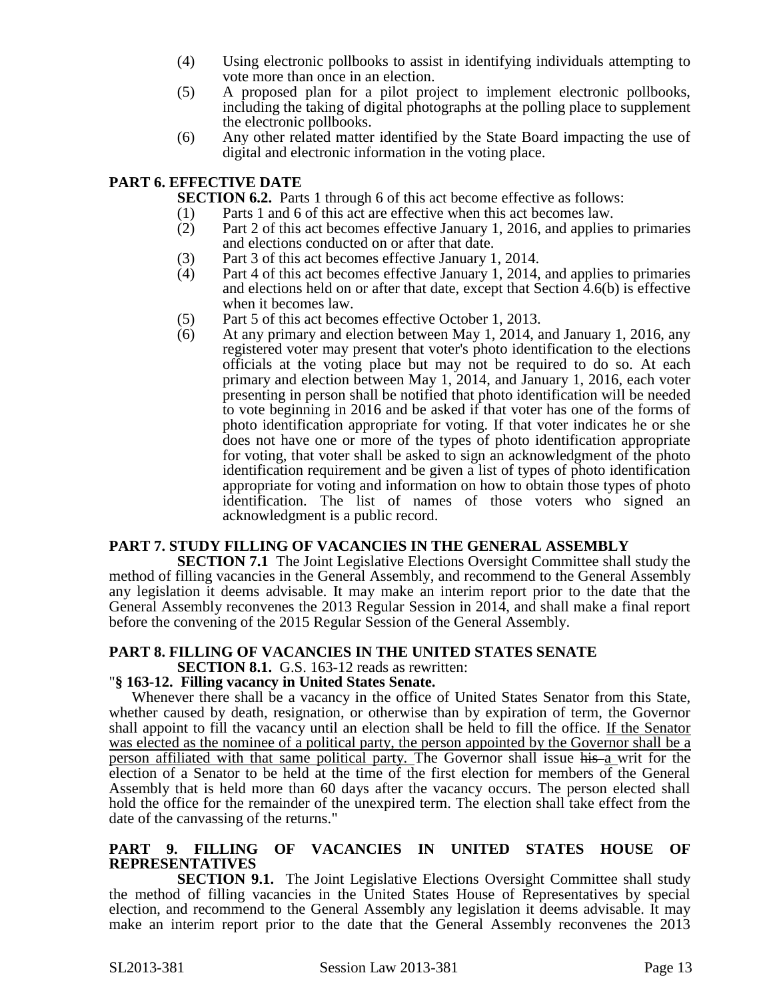- (4) Using electronic pollbooks to assist in identifying individuals attempting to vote more than once in an election.
- (5) A proposed plan for a pilot project to implement electronic pollbooks, including the taking of digital photographs at the polling place to supplement the electronic pollbooks.
- (6) Any other related matter identified by the State Board impacting the use of digital and electronic information in the voting place.

# **PART 6. EFFECTIVE DATE**

**SECTION 6.2.** Parts 1 through 6 of this act become effective as follows:

- 
- (1) Parts 1 and 6 of this act are effective when this act becomes law.<br>(2) Part 2 of this act becomes effective January 1, 2016, and applies Part 2 of this act becomes effective January 1, 2016, and applies to primaries and elections conducted on or after that date.
- (3) Part 3 of this act becomes effective January 1, 2014.
- (4) Part 4 of this act becomes effective January 1, 2014, and applies to primaries and elections held on or after that date, except that Section 4.6(b) is effective when it becomes law.
- (5) Part 5 of this act becomes effective October 1, 2013.
- (6) At any primary and election between May 1, 2014, and January 1, 2016, any registered voter may present that voter's photo identification to the elections officials at the voting place but may not be required to do so. At each primary and election between May 1, 2014, and January 1, 2016, each voter presenting in person shall be notified that photo identification will be needed to vote beginning in 2016 and be asked if that voter has one of the forms of photo identification appropriate for voting. If that voter indicates he or she does not have one or more of the types of photo identification appropriate for voting, that voter shall be asked to sign an acknowledgment of the photo identification requirement and be given a list of types of photo identification appropriate for voting and information on how to obtain those types of photo identification. The list of names of those voters who signed an acknowledgment is a public record.

### **PART 7. STUDY FILLING OF VACANCIES IN THE GENERAL ASSEMBLY**

**SECTION 7.1** The Joint Legislative Elections Oversight Committee shall study the method of filling vacancies in the General Assembly, and recommend to the General Assembly any legislation it deems advisable. It may make an interim report prior to the date that the General Assembly reconvenes the 2013 Regular Session in 2014, and shall make a final report before the convening of the 2015 Regular Session of the General Assembly.

#### **PART 8. FILLING OF VACANCIES IN THE UNITED STATES SENATE SECTION 8.1.** G.S. 163-12 reads as rewritten:

# "**§ 163-12. Filling vacancy in United States Senate.**

Whenever there shall be a vacancy in the office of United States Senator from this State, whether caused by death, resignation, or otherwise than by expiration of term, the Governor shall appoint to fill the vacancy until an election shall be held to fill the office. If the Senator was elected as the nominee of a political party, the person appointed by the Governor shall be a person affiliated with that same political party. The Governor shall issue his a writ for the election of a Senator to be held at the time of the first election for members of the General Assembly that is held more than 60 days after the vacancy occurs. The person elected shall hold the office for the remainder of the unexpired term. The election shall take effect from the date of the canvassing of the returns."

### **PART 9. FILLING OF VACANCIES IN UNITED STATES HOUSE OF REPRESENTATIVES**

**SECTION 9.1.** The Joint Legislative Elections Oversight Committee shall study the method of filling vacancies in the United States House of Representatives by special election, and recommend to the General Assembly any legislation it deems advisable. It may make an interim report prior to the date that the General Assembly reconvenes the 2013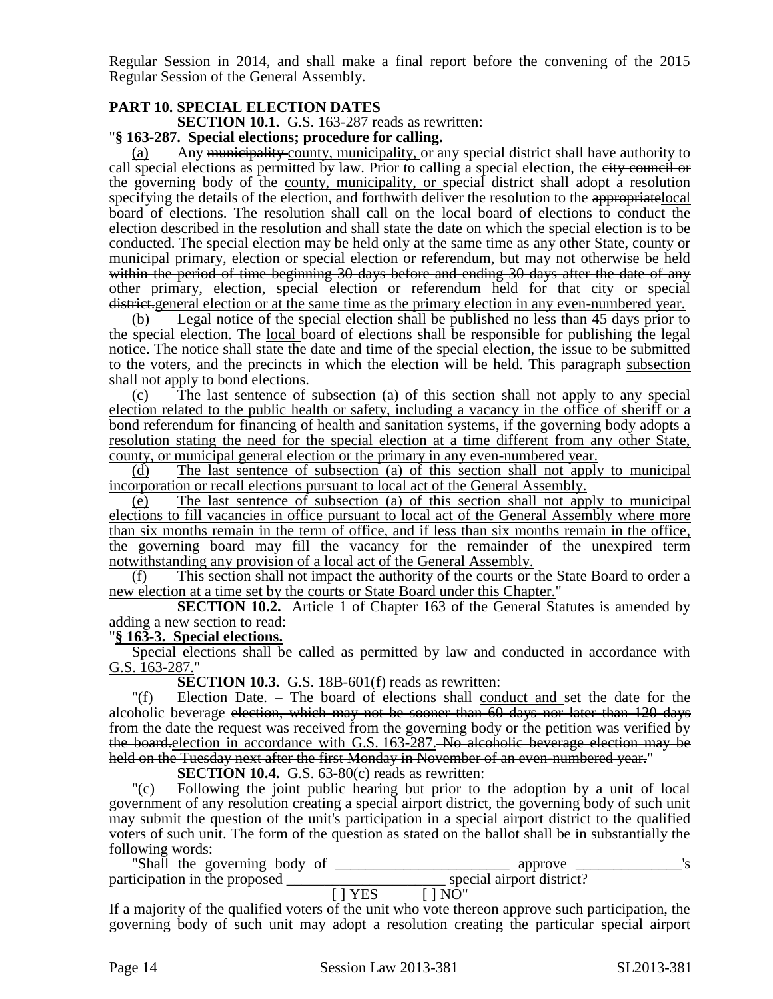Regular Session in 2014, and shall make a final report before the convening of the 2015 Regular Session of the General Assembly.

# **PART 10. SPECIAL ELECTION DATES**

**SECTION 10.1.** G.S. 163-287 reads as rewritten:

# "**§ 163-287. Special elections; procedure for calling.**

Any municipality county, municipality, or any special district shall have authority to call special elections as permitted by law. Prior to calling a special election, the eity council or the governing body of the county, municipality, or special district shall adopt a resolution specifying the details of the election, and forthwith deliver the resolution to the appropriate local board of elections. The resolution shall call on the <u>local board</u> of elections to conduct the election described in the resolution and shall state the date on which the special election is to be conducted. The special election may be held only at the same time as any other State, county or municipal primary, election or special election or referendum, but may not otherwise be held within the period of time beginning 30 days before and ending 30 days after the date of any other primary, election, special election or referendum held for that city or special district.general election or at the same time as the primary election in any even-numbered year.

(b) Legal notice of the special election shall be published no less than 45 days prior to the special election. The local board of elections shall be responsible for publishing the legal notice. The notice shall state the date and time of the special election, the issue to be submitted to the voters, and the precincts in which the election will be held. This paragraph-subsection shall not apply to bond elections.

(c) The last sentence of subsection (a) of this section shall not apply to any special election related to the public health or safety, including a vacancy in the office of sheriff or a bond referendum for financing of health and sanitation systems, if the governing body adopts a resolution stating the need for the special election at a time different from any other State, county, or municipal general election or the primary in any even-numbered year.

(d) The last sentence of subsection (a) of this section shall not apply to municipal incorporation or recall elections pursuant to local act of the General Assembly.

(e) The last sentence of subsection (a) of this section shall not apply to municipal elections to fill vacancies in office pursuant to local act of the General Assembly where more than six months remain in the term of office, and if less than six months remain in the office, the governing board may fill the vacancy for the remainder of the unexpired term notwithstanding any provision of a local act of the General Assembly.

(f) This section shall not impact the authority of the courts or the State Board to order a new election at a time set by the courts or State Board under this Chapter."

**SECTION 10.2.** Article 1 of Chapter 163 of the General Statutes is amended by adding a new section to read:

### "**§ 163-3. Special elections.**

Special elections shall be called as permitted by law and conducted in accordance with G.S. 163-287."

**SECTION 10.3.** G.S. 18B-601(f) reads as rewritten:

"(f) Election Date. – The board of elections shall conduct and set the date for the alcoholic beverage election, which may not be sooner than 60 days nor later than 120 days from the date the request was received from the governing body or the petition was verified by the board.election in accordance with G.S. 163-287. No alcoholic beverage election may be held on the Tuesday next after the first Monday in November of an even-numbered year."

**SECTION 10.4.** G.S. 63-80(c) reads as rewritten:

"(c) Following the joint public hearing but prior to the adoption by a unit of local government of any resolution creating a special airport district, the governing body of such unit may submit the question of the unit's participation in a special airport district to the qualified voters of such unit. The form of the question as stated on the ballot shall be in substantially the following words:

"Shall the governing body of \_\_\_\_\_\_\_\_\_\_\_\_\_\_\_\_\_\_\_\_\_\_\_ approve \_\_\_\_\_\_\_\_\_\_\_\_\_\_'s participation in the proposed \_\_\_\_\_\_\_\_\_\_\_\_\_\_\_\_\_\_\_\_\_ special airport district?  $[ ] YES ] N\overline{O}$ "

If a majority of the qualified voters of the unit who vote thereon approve such participation, the governing body of such unit may adopt a resolution creating the particular special airport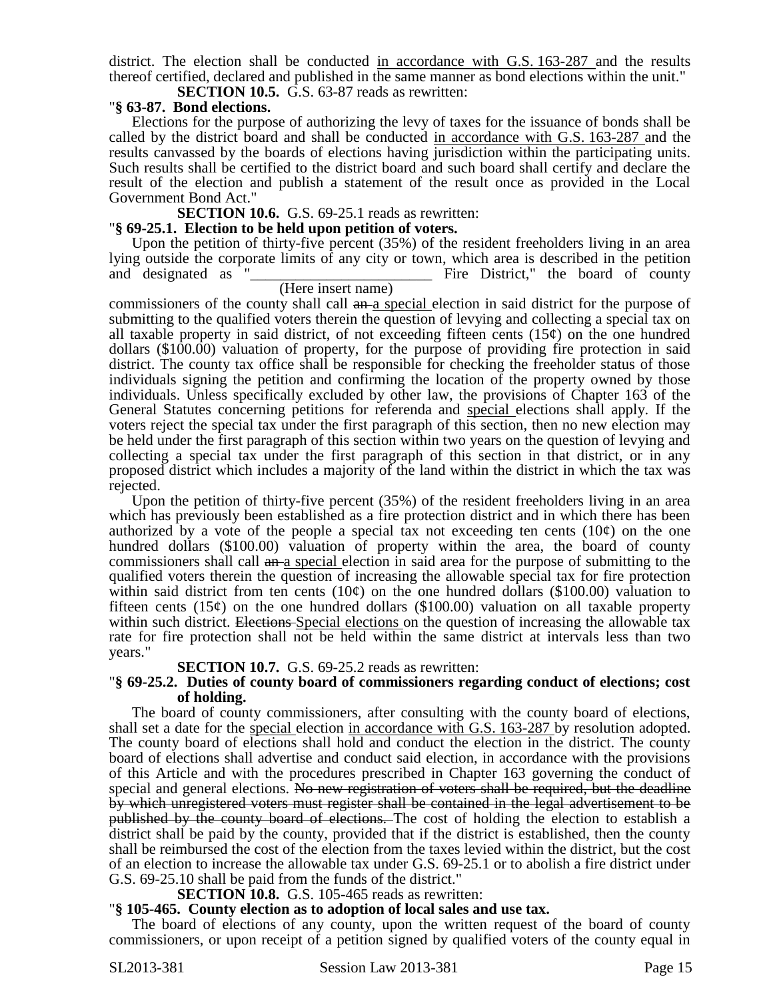district. The election shall be conducted in accordance with G.S. 163-287 and the results thereof certified, declared and published in the same manner as bond elections within the unit." **SECTION 10.5.** G.S. 63-87 reads as rewritten:

# "**§ 63-87. Bond elections.**

Elections for the purpose of authorizing the levy of taxes for the issuance of bonds shall be called by the district board and shall be conducted in accordance with G.S. 163-287 and the results canvassed by the boards of elections having jurisdiction within the participating units. Such results shall be certified to the district board and such board shall certify and declare the result of the election and publish a statement of the result once as provided in the Local Government Bond Act."

### **SECTION 10.6.** G.S. 69-25.1 reads as rewritten:

### "**§ 69-25.1. Election to be held upon petition of voters.**

Upon the petition of thirty-five percent (35%) of the resident freeholders living in an area lying outside the corporate limits of any city or town, which area is described in the petition and designated as "\_\_\_\_\_\_\_\_\_\_\_\_\_\_\_\_\_\_\_\_\_\_\_\_ Fire District," the board of county

# (Here insert name)

commissioners of the county shall call an a special election in said district for the purpose of submitting to the qualified voters therein the question of levying and collecting a special tax on all taxable property in said district, of not exceeding fifteen cents  $(15¢)$  on the one hundred dollars (\$100.00) valuation of property, for the purpose of providing fire protection in said district. The county tax office shall be responsible for checking the freeholder status of those individuals signing the petition and confirming the location of the property owned by those individuals. Unless specifically excluded by other law, the provisions of Chapter 163 of the General Statutes concerning petitions for referenda and special elections shall apply. If the voters reject the special tax under the first paragraph of this section, then no new election may be held under the first paragraph of this section within two years on the question of levying and collecting a special tax under the first paragraph of this section in that district, or in any proposed district which includes a majority of the land within the district in which the tax was rejected.

Upon the petition of thirty-five percent (35%) of the resident freeholders living in an area which has previously been established as a fire protection district and in which there has been authorized by a vote of the people a special tax not exceeding ten cents  $(10¢)$  on the one hundred dollars (\$100.00) valuation of property within the area, the board of county commissioners shall call an a special election in said area for the purpose of submitting to the qualified voters therein the question of increasing the allowable special tax for fire protection within said district from ten cents  $(10¢)$  on the one hundred dollars (\$100.00) valuation to fifteen cents  $(15¢)$  on the one hundred dollars  $(\$100.00)$  valuation on all taxable property within such district. Elections Special elections on the question of increasing the allowable tax rate for fire protection shall not be held within the same district at intervals less than two years."

#### **SECTION 10.7.** G.S. 69-25.2 reads as rewritten:

#### "**§ 69-25.2. Duties of county board of commissioners regarding conduct of elections; cost of holding.**

The board of county commissioners, after consulting with the county board of elections, shall set a date for the special election in accordance with G.S. 163-287 by resolution adopted. The county board of elections shall hold and conduct the election in the district. The county board of elections shall advertise and conduct said election, in accordance with the provisions of this Article and with the procedures prescribed in Chapter 163 governing the conduct of special and general elections. No new registration of voters shall be required, but the deadline by which unregistered voters must register shall be contained in the legal advertisement to be published by the county board of elections. The cost of holding the election to establish a district shall be paid by the county, provided that if the district is established, then the county shall be reimbursed the cost of the election from the taxes levied within the district, but the cost of an election to increase the allowable tax under G.S. 69-25.1 or to abolish a fire district under G.S. 69-25.10 shall be paid from the funds of the district."

### **SECTION 10.8.** G.S. 105-465 reads as rewritten:

### "**§ 105-465. County election as to adoption of local sales and use tax.**

The board of elections of any county, upon the written request of the board of county commissioners, or upon receipt of a petition signed by qualified voters of the county equal in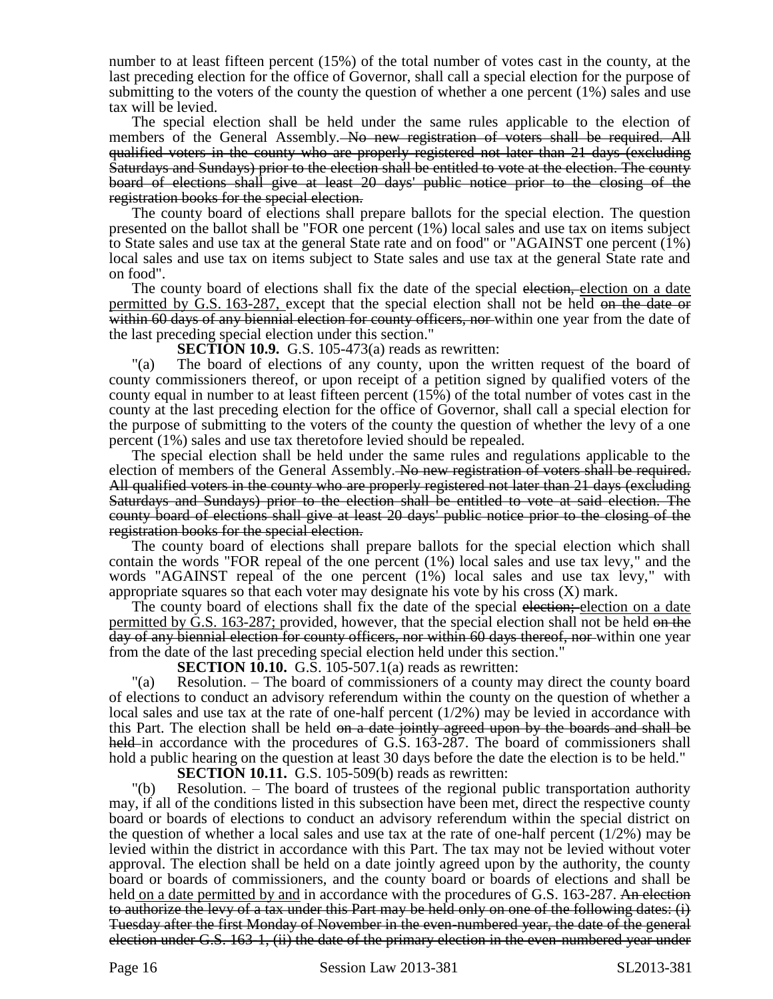number to at least fifteen percent (15%) of the total number of votes cast in the county, at the last preceding election for the office of Governor, shall call a special election for the purpose of submitting to the voters of the county the question of whether a one percent (1%) sales and use tax will be levied.

The special election shall be held under the same rules applicable to the election of members of the General Assembly. No new registration of voters shall be required. All qualified voters in the county who are properly registered not later than 21 days (excluding Saturdays and Sundays) prior to the election shall be entitled to vote at the election. The county board of elections shall give at least 20 days' public notice prior to the closing of the registration books for the special election.

The county board of elections shall prepare ballots for the special election. The question presented on the ballot shall be "FOR one percent (1%) local sales and use tax on items subject to State sales and use tax at the general State rate and on food" or "AGAINST one percent (1%) local sales and use tax on items subject to State sales and use tax at the general State rate and on food".

The county board of elections shall fix the date of the special election, election on a date permitted by G.S. 163-287, except that the special election shall not be held on the date or within 60 days of any biennial election for county officers, nor within one year from the date of the last preceding special election under this section."

**SECTION 10.9.** G.S. 105-473(a) reads as rewritten:

"(a) The board of elections of any county, upon the written request of the board of county commissioners thereof, or upon receipt of a petition signed by qualified voters of the county equal in number to at least fifteen percent (15%) of the total number of votes cast in the county at the last preceding election for the office of Governor, shall call a special election for the purpose of submitting to the voters of the county the question of whether the levy of a one percent (1%) sales and use tax theretofore levied should be repealed.

The special election shall be held under the same rules and regulations applicable to the election of members of the General Assembly. No new registration of voters shall be required. All qualified voters in the county who are properly registered not later than 21 days (excluding Saturdays and Sundays) prior to the election shall be entitled to vote at said election. The county board of elections shall give at least 20 days' public notice prior to the closing of the registration books for the special election.

The county board of elections shall prepare ballots for the special election which shall contain the words "FOR repeal of the one percent (1%) local sales and use tax levy," and the words "AGAINST repeal of the one percent (1%) local sales and use tax levy," with appropriate squares so that each voter may designate his vote by his cross  $(X)$  mark.

The county board of elections shall fix the date of the special election; election on a date permitted by G.S. 163-287; provided, however, that the special election shall not be held on the day of any biennial election for county officers, nor within 60 days thereof, nor within one year from the date of the last preceding special election held under this section."

**SECTION 10.10.** G.S. 105-507.1(a) reads as rewritten:

"(a) Resolution. – The board of commissioners of a county may direct the county board of elections to conduct an advisory referendum within the county on the question of whether a local sales and use tax at the rate of one-half percent (1/2%) may be levied in accordance with this Part. The election shall be held on a date jointly agreed upon by the boards and shall be held in accordance with the procedures of G.S. 163-287. The board of commissioners shall hold a public hearing on the question at least 30 days before the date the election is to be held."

**SECTION 10.11.** G.S. 105-509(b) reads as rewritten:

"(b) Resolution. – The board of trustees of the regional public transportation authority may, if all of the conditions listed in this subsection have been met, direct the respective county board or boards of elections to conduct an advisory referendum within the special district on the question of whether a local sales and use tax at the rate of one-half percent  $(1/2%)$  may be levied within the district in accordance with this Part. The tax may not be levied without voter approval. The election shall be held on a date jointly agreed upon by the authority, the county board or boards of commissioners, and the county board or boards of elections and shall be held <u>on a date permitted by and</u> in accordance with the procedures of G.S. 163-287. An election to authorize the levy of a tax under this Part may be held only on one of the following dates: (i) Tuesday after the first Monday of November in the even-numbered year, the date of the general election under G.S. 163-1, (ii) the date of the primary election in the even-numbered year under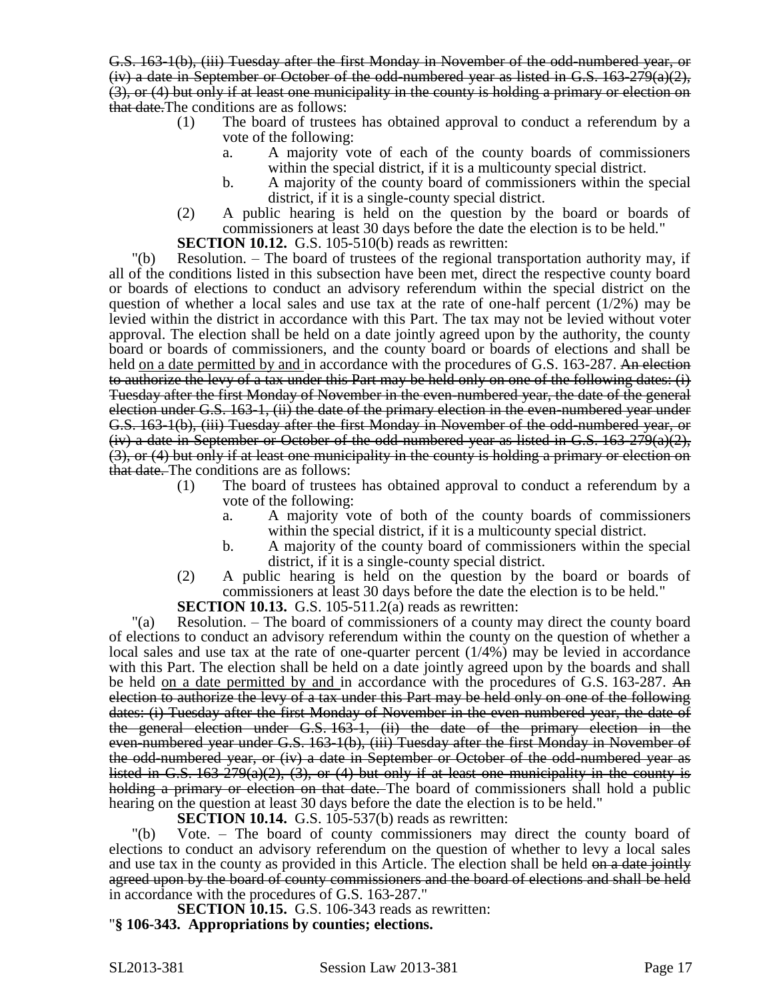G.S. 163-1(b), (iii) Tuesday after the first Monday in November of the odd-numbered year, or  $(iv)$  a date in September or October of the odd-numbered year as listed in G.S. 163-279(a)(2), (3), or (4) but only if at least one municipality in the county is holding a primary or election on that date.The conditions are as follows:

- (1) The board of trustees has obtained approval to conduct a referendum by a vote of the following:
	- a. A majority vote of each of the county boards of commissioners within the special district, if it is a multicounty special district.
	- b. A majority of the county board of commissioners within the special district, if it is a single-county special district.
- (2) A public hearing is held on the question by the board or boards of commissioners at least 30 days before the date the election is to be held."

**SECTION 10.12.** G.S. 105-510(b) reads as rewritten:

"(b) Resolution. – The board of trustees of the regional transportation authority may, if all of the conditions listed in this subsection have been met, direct the respective county board or boards of elections to conduct an advisory referendum within the special district on the question of whether a local sales and use tax at the rate of one-half percent (1/2%) may be levied within the district in accordance with this Part. The tax may not be levied without voter approval. The election shall be held on a date jointly agreed upon by the authority, the county board or boards of commissioners, and the county board or boards of elections and shall be held on a date permitted by and in accordance with the procedures of G.S. 163-287. An election to authorize the levy of a tax under this Part may be held only on one of the following dates: (i) Tuesday after the first Monday of November in the even-numbered year, the date of the general election under G.S. 163-1, (ii) the date of the primary election in the even-numbered year under G.S. 163-1(b), (iii) Tuesday after the first Monday in November of the odd-numbered year, or  $(iv)$  a date in September or October of the odd-numbered year as listed in G.S. 163-279(a)(2), (3), or (4) but only if at least one municipality in the county is holding a primary or election on that date. The conditions are as follows:

- (1) The board of trustees has obtained approval to conduct a referendum by a vote of the following:
	- a. A majority vote of both of the county boards of commissioners within the special district, if it is a multicounty special district.
	- b. A majority of the county board of commissioners within the special district, if it is a single-county special district.
- (2) A public hearing is held on the question by the board or boards of commissioners at least 30 days before the date the election is to be held."

**SECTION 10.13.** G.S. 105-511.2(a) reads as rewritten:

"(a) Resolution. – The board of commissioners of a county may direct the county board of elections to conduct an advisory referendum within the county on the question of whether a local sales and use tax at the rate of one-quarter percent (1/4%) may be levied in accordance with this Part. The election shall be held on a date jointly agreed upon by the boards and shall be held on a date permitted by and in accordance with the procedures of G.S. 163-287. An election to authorize the levy of a tax under this Part may be held only on one of the following dates: (i) Tuesday after the first Monday of November in the even-numbered year, the date of the general election under G.S. 163-1, (ii) the date of the primary election in the even-numbered year under G.S. 163-1(b), (iii) Tuesday after the first Monday in November of the odd-numbered year, or (iv) a date in September or October of the odd-numbered year as listed in G.S.  $163-279(a)(2)$ ,  $(3)$ , or  $(4)$  but only if at least one municipality in the county is holding a primary or election on that date. The board of commissioners shall hold a public hearing on the question at least 30 days before the date the election is to be held."

**SECTION 10.14.** G.S. 105-537(b) reads as rewritten:

"(b) Vote. – The board of county commissioners may direct the county board of elections to conduct an advisory referendum on the question of whether to levy a local sales and use tax in the county as provided in this Article. The election shall be held on a date jointly agreed upon by the board of county commissioners and the board of elections and shall be held in accordance with the procedures of G.S. 163-287."

**SECTION 10.15.** G.S. 106-343 reads as rewritten: "**§ 106-343. Appropriations by counties; elections.**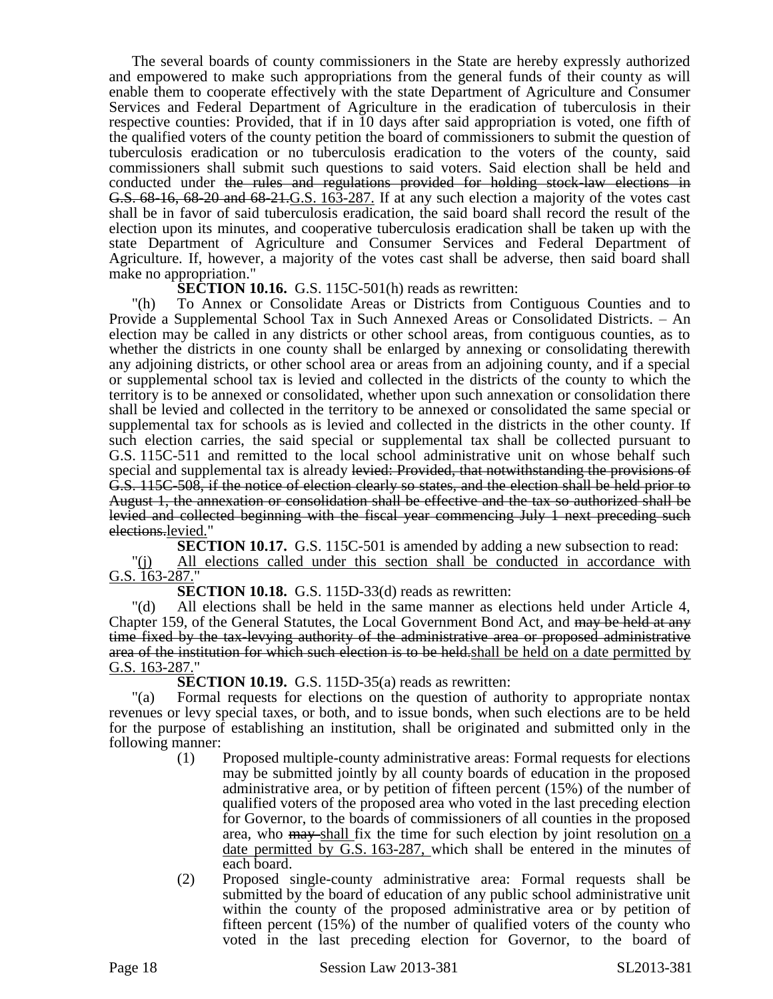The several boards of county commissioners in the State are hereby expressly authorized and empowered to make such appropriations from the general funds of their county as will enable them to cooperate effectively with the state Department of Agriculture and Consumer Services and Federal Department of Agriculture in the eradication of tuberculosis in their respective counties: Provided, that if in 10 days after said appropriation is voted, one fifth of the qualified voters of the county petition the board of commissioners to submit the question of tuberculosis eradication or no tuberculosis eradication to the voters of the county, said commissioners shall submit such questions to said voters. Said election shall be held and conducted under the rules and regulations provided for holding stock-law elections in G.S. 68-16, 68-20 and 68-21.G.S. 163-287. If at any such election a majority of the votes cast shall be in favor of said tuberculosis eradication, the said board shall record the result of the election upon its minutes, and cooperative tuberculosis eradication shall be taken up with the state Department of Agriculture and Consumer Services and Federal Department of Agriculture. If, however, a majority of the votes cast shall be adverse, then said board shall make no appropriation."

**SECTION 10.16.** G.S. 115C-501(h) reads as rewritten:

"(h) To Annex or Consolidate Areas or Districts from Contiguous Counties and to Provide a Supplemental School Tax in Such Annexed Areas or Consolidated Districts. – An election may be called in any districts or other school areas, from contiguous counties, as to whether the districts in one county shall be enlarged by annexing or consolidating therewith any adjoining districts, or other school area or areas from an adjoining county, and if a special or supplemental school tax is levied and collected in the districts of the county to which the territory is to be annexed or consolidated, whether upon such annexation or consolidation there shall be levied and collected in the territory to be annexed or consolidated the same special or supplemental tax for schools as is levied and collected in the districts in the other county. If such election carries, the said special or supplemental tax shall be collected pursuant to G.S. 115C-511 and remitted to the local school administrative unit on whose behalf such special and supplemental tax is already levied: Provided, that notwithstanding the provisions of G.S. 115C-508, if the notice of election clearly so states, and the election shall be held prior to August 1, the annexation or consolidation shall be effective and the tax so authorized shall be levied and collected beginning with the fiscal year commencing July 1 next preceding such elections.levied."

**SECTION 10.17.** G.S. 115C-501 is amended by adding a new subsection to read: "(j) All elections called under this section shall be conducted in accordance with G.S. 163-287."

**SECTION 10.18.** G.S. 115D-33(d) reads as rewritten:

"(d) All elections shall be held in the same manner as elections held under Article 4, Chapter 159, of the General Statutes, the Local Government Bond Act, and may be held at any time fixed by the tax-levying authority of the administrative area or proposed administrative area of the institution for which such election is to be held, shall be held on a date permitted by G.S. 163-287."

**SECTION 10.19.** G.S. 115D-35(a) reads as rewritten:

"(a) Formal requests for elections on the question of authority to appropriate nontax revenues or levy special taxes, or both, and to issue bonds, when such elections are to be held for the purpose of establishing an institution, shall be originated and submitted only in the following manner:

- (1) Proposed multiple-county administrative areas: Formal requests for elections may be submitted jointly by all county boards of education in the proposed administrative area, or by petition of fifteen percent (15%) of the number of qualified voters of the proposed area who voted in the last preceding election for Governor, to the boards of commissioners of all counties in the proposed area, who may shall fix the time for such election by joint resolution on a date permitted by G.S. 163-287, which shall be entered in the minutes of each board.
- (2) Proposed single-county administrative area: Formal requests shall be submitted by the board of education of any public school administrative unit within the county of the proposed administrative area or by petition of fifteen percent (15%) of the number of qualified voters of the county who voted in the last preceding election for Governor, to the board of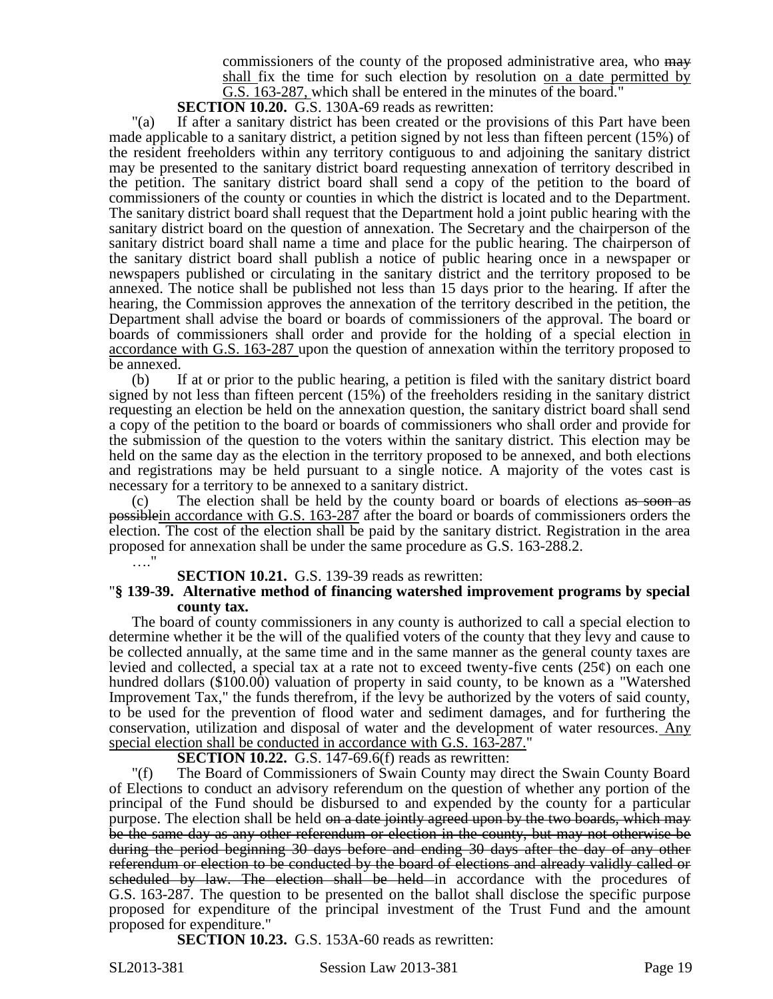commissioners of the county of the proposed administrative area, who may shall fix the time for such election by resolution on a date permitted by G.S. 163-287, which shall be entered in the minutes of the board."

**SECTION 10.20.** G.S. 130A-69 reads as rewritten:

"(a) If after a sanitary district has been created or the provisions of this Part have been made applicable to a sanitary district, a petition signed by not less than fifteen percent (15%) of the resident freeholders within any territory contiguous to and adjoining the sanitary district may be presented to the sanitary district board requesting annexation of territory described in the petition. The sanitary district board shall send a copy of the petition to the board of commissioners of the county or counties in which the district is located and to the Department. The sanitary district board shall request that the Department hold a joint public hearing with the sanitary district board on the question of annexation. The Secretary and the chairperson of the sanitary district board shall name a time and place for the public hearing. The chairperson of the sanitary district board shall publish a notice of public hearing once in a newspaper or newspapers published or circulating in the sanitary district and the territory proposed to be annexed. The notice shall be published not less than 15 days prior to the hearing. If after the hearing, the Commission approves the annexation of the territory described in the petition, the Department shall advise the board or boards of commissioners of the approval. The board or boards of commissioners shall order and provide for the holding of a special election in accordance with G.S. 163-287 upon the question of annexation within the territory proposed to be annexed.

(b) If at or prior to the public hearing, a petition is filed with the sanitary district board signed by not less than fifteen percent (15%) of the freeholders residing in the sanitary district requesting an election be held on the annexation question, the sanitary district board shall send a copy of the petition to the board or boards of commissioners who shall order and provide for the submission of the question to the voters within the sanitary district. This election may be held on the same day as the election in the territory proposed to be annexed, and both elections and registrations may be held pursuant to a single notice. A majority of the votes cast is necessary for a territory to be annexed to a sanitary district.

(c) The election shall be held by the county board or boards of elections as soon as possiblein accordance with G.S. 163-287 after the board or boards of commissioners orders the election. The cost of the election shall be paid by the sanitary district. Registration in the area proposed for annexation shall be under the same procedure as G.S. 163-288.2.

…."

#### **SECTION 10.21.** G.S. 139-39 reads as rewritten:

#### "**§ 139-39. Alternative method of financing watershed improvement programs by special county tax.**

The board of county commissioners in any county is authorized to call a special election to determine whether it be the will of the qualified voters of the county that they levy and cause to be collected annually, at the same time and in the same manner as the general county taxes are levied and collected, a special tax at a rate not to exceed twenty-five cents  $(25¢)$  on each one hundred dollars (\$100.00) valuation of property in said county, to be known as a "Watershed Improvement Tax," the funds therefrom, if the levy be authorized by the voters of said county, to be used for the prevention of flood water and sediment damages, and for furthering the conservation, utilization and disposal of water and the development of water resources. Any special election shall be conducted in accordance with G.S. 163-287."

#### **SECTION 10.22.** G.S. 147-69.6(f) reads as rewritten:

"(f) The Board of Commissioners of Swain County may direct the Swain County Board of Elections to conduct an advisory referendum on the question of whether any portion of the principal of the Fund should be disbursed to and expended by the county for a particular purpose. The election shall be held on a date jointly agreed upon by the two boards, which may be the same day as any other referendum or election in the county, but may not otherwise be during the period beginning 30 days before and ending 30 days after the day of any other referendum or election to be conducted by the board of elections and already validly called or scheduled by law. The election shall be held in accordance with the procedures of G.S. 163-287. The question to be presented on the ballot shall disclose the specific purpose proposed for expenditure of the principal investment of the Trust Fund and the amount proposed for expenditure."

**SECTION 10.23.** G.S. 153A-60 reads as rewritten:

SL2013-381 Session Law 2013-381 Page 19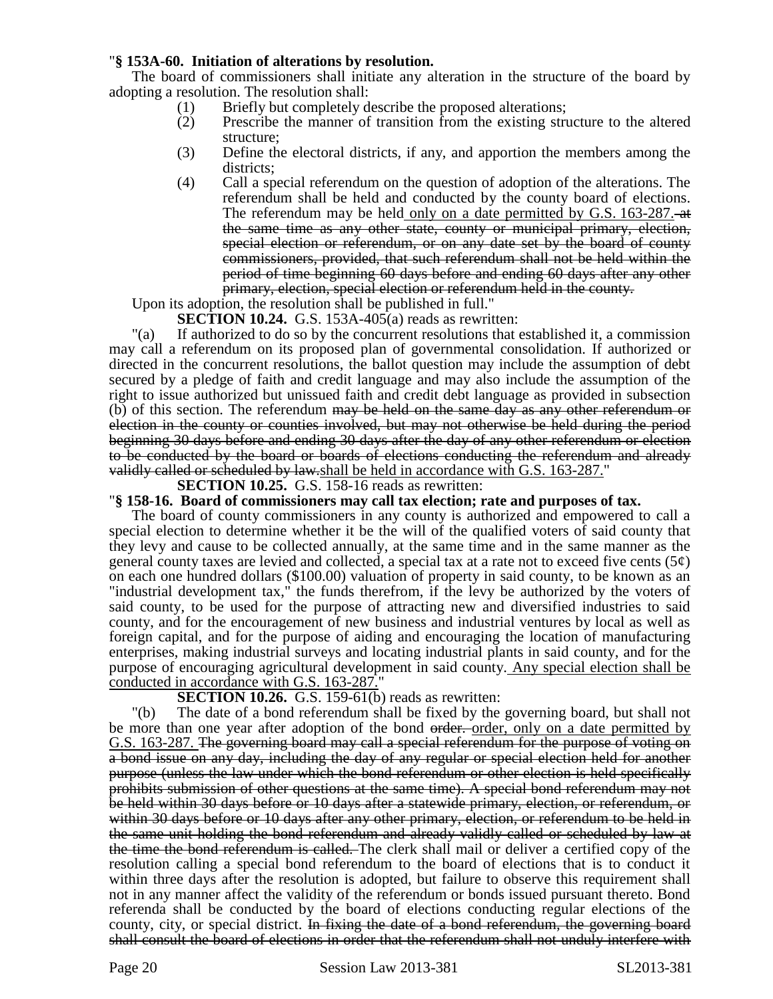# "**§ 153A-60. Initiation of alterations by resolution.**

The board of commissioners shall initiate any alteration in the structure of the board by adopting a resolution. The resolution shall:

- (1) Briefly but completely describe the proposed alterations;
- (2) Prescribe the manner of transition from the existing structure to the altered structure;
- (3) Define the electoral districts, if any, and apportion the members among the districts;
- (4) Call a special referendum on the question of adoption of the alterations. The referendum shall be held and conducted by the county board of elections. The referendum may be held only on a date permitted by G.S. 163-287. the same time as any other state, county or municipal primary, election, special election or referendum, or on any date set by the board of county commissioners, provided, that such referendum shall not be held within the period of time beginning 60 days before and ending 60 days after any other primary, election, special election or referendum held in the county.

Upon its adoption, the resolution shall be published in full."

**SECTION 10.24.** G.S. 153A-405(a) reads as rewritten:

"(a) If authorized to do so by the concurrent resolutions that established it, a commission may call a referendum on its proposed plan of governmental consolidation. If authorized or directed in the concurrent resolutions, the ballot question may include the assumption of debt secured by a pledge of faith and credit language and may also include the assumption of the right to issue authorized but unissued faith and credit debt language as provided in subsection (b) of this section. The referendum may be held on the same day as any other referendum or election in the county or counties involved, but may not otherwise be held during the period beginning 30 days before and ending 30 days after the day of any other referendum or election to be conducted by the board or boards of elections conducting the referendum and already validly called or scheduled by law.shall be held in accordance with G.S. 163-287."

# **SECTION 10.25.** G.S. 158-16 reads as rewritten:

"**§ 158-16. Board of commissioners may call tax election; rate and purposes of tax.**

The board of county commissioners in any county is authorized and empowered to call a special election to determine whether it be the will of the qualified voters of said county that they levy and cause to be collected annually, at the same time and in the same manner as the general county taxes are levied and collected, a special tax at a rate not to exceed five cents  $(5¢)$ on each one hundred dollars (\$100.00) valuation of property in said county, to be known as an "industrial development tax," the funds therefrom, if the levy be authorized by the voters of said county, to be used for the purpose of attracting new and diversified industries to said county, and for the encouragement of new business and industrial ventures by local as well as foreign capital, and for the purpose of aiding and encouraging the location of manufacturing enterprises, making industrial surveys and locating industrial plants in said county, and for the purpose of encouraging agricultural development in said county. Any special election shall be conducted in accordance with G.S. 163-287."

# **SECTION 10.26.** G.S. 159-61(b) reads as rewritten:

"(b) The date of a bond referendum shall be fixed by the governing board, but shall not be more than one year after adoption of the bond order, order, only on a date permitted by G.S. 163-287. The governing board may call a special referendum for the purpose of voting on a bond issue on any day, including the day of any regular or special election held for another purpose (unless the law under which the bond referendum or other election is held specifically prohibits submission of other questions at the same time). A special bond referendum may not be held within 30 days before or 10 days after a statewide primary, election, or referendum, or within 30 days before or 10 days after any other primary, election, or referendum to be held in the same unit holding the bond referendum and already validly called or scheduled by law at the time the bond referendum is called. The clerk shall mail or deliver a certified copy of the resolution calling a special bond referendum to the board of elections that is to conduct it within three days after the resolution is adopted, but failure to observe this requirement shall not in any manner affect the validity of the referendum or bonds issued pursuant thereto. Bond referenda shall be conducted by the board of elections conducting regular elections of the county, city, or special district. In fixing the date of a bond referendum, the governing board shall consult the board of elections in order that the referendum shall not unduly interfere with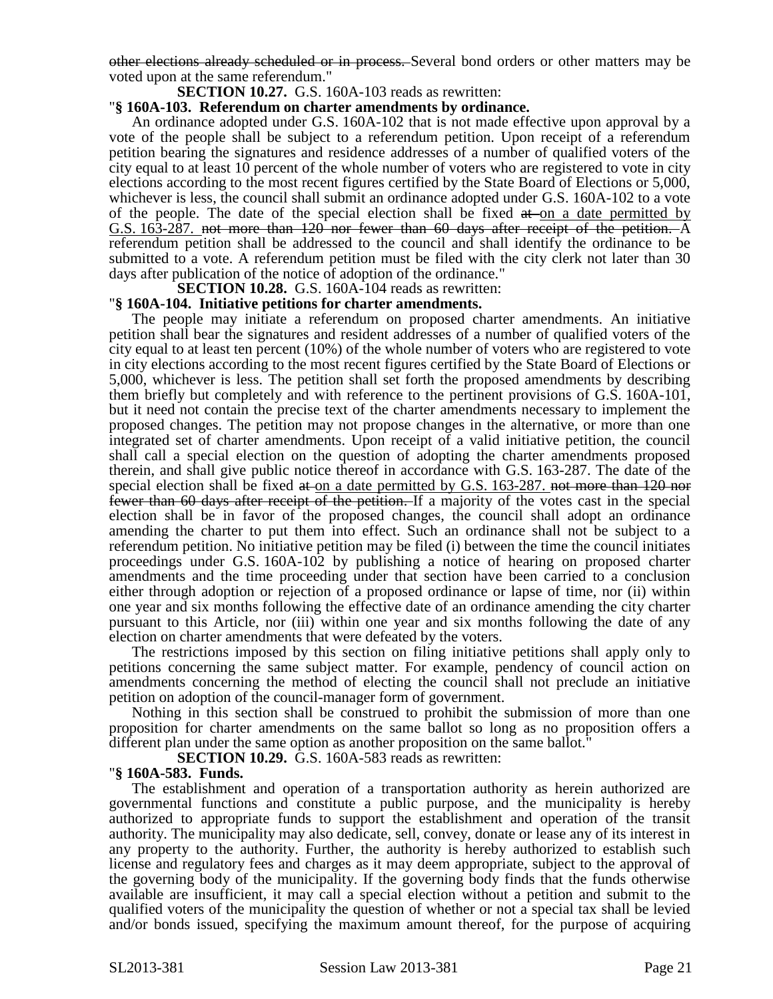other elections already scheduled or in process. Several bond orders or other matters may be voted upon at the same referendum."

### **SECTION 10.27.** G.S. 160A-103 reads as rewritten:

# "**§ 160A-103. Referendum on charter amendments by ordinance.**

An ordinance adopted under G.S. 160A-102 that is not made effective upon approval by a vote of the people shall be subject to a referendum petition. Upon receipt of a referendum petition bearing the signatures and residence addresses of a number of qualified voters of the city equal to at least 10 percent of the whole number of voters who are registered to vote in city elections according to the most recent figures certified by the State Board of Elections or 5,000, whichever is less, the council shall submit an ordinance adopted under G.S. 160A-102 to a vote of the people. The date of the special election shall be fixed  $at$  on a date permitted by G.S. 163-287. not more than 120 nor fewer than 60 days after receipt of the petition. A referendum petition shall be addressed to the council and shall identify the ordinance to be submitted to a vote. A referendum petition must be filed with the city clerk not later than 30 days after publication of the notice of adoption of the ordinance."

**SECTION 10.28.** G.S. 160A-104 reads as rewritten:

#### "**§ 160A-104. Initiative petitions for charter amendments.**

The people may initiate a referendum on proposed charter amendments. An initiative petition shall bear the signatures and resident addresses of a number of qualified voters of the city equal to at least ten percent (10%) of the whole number of voters who are registered to vote in city elections according to the most recent figures certified by the State Board of Elections or 5,000, whichever is less. The petition shall set forth the proposed amendments by describing them briefly but completely and with reference to the pertinent provisions of G.S. 160A-101, but it need not contain the precise text of the charter amendments necessary to implement the proposed changes. The petition may not propose changes in the alternative, or more than one integrated set of charter amendments. Upon receipt of a valid initiative petition, the council shall call a special election on the question of adopting the charter amendments proposed therein, and shall give public notice thereof in accordance with G.S. 163-287. The date of the special election shall be fixed at on a date permitted by G.S. 163-287. not more than 120 nor fewer than 60 days after receipt of the petition. If a majority of the votes cast in the special election shall be in favor of the proposed changes, the council shall adopt an ordinance amending the charter to put them into effect. Such an ordinance shall not be subject to a referendum petition. No initiative petition may be filed (i) between the time the council initiates proceedings under G.S. 160A-102 by publishing a notice of hearing on proposed charter amendments and the time proceeding under that section have been carried to a conclusion either through adoption or rejection of a proposed ordinance or lapse of time, nor (ii) within one year and six months following the effective date of an ordinance amending the city charter pursuant to this Article, nor (iii) within one year and six months following the date of any election on charter amendments that were defeated by the voters.

The restrictions imposed by this section on filing initiative petitions shall apply only to petitions concerning the same subject matter. For example, pendency of council action on amendments concerning the method of electing the council shall not preclude an initiative petition on adoption of the council-manager form of government.

Nothing in this section shall be construed to prohibit the submission of more than one proposition for charter amendments on the same ballot so long as no proposition offers a different plan under the same option as another proposition on the same ballot."

**SECTION 10.29.** G.S. 160A-583 reads as rewritten:

#### "**§ 160A-583. Funds.**

The establishment and operation of a transportation authority as herein authorized are governmental functions and constitute a public purpose, and the municipality is hereby authorized to appropriate funds to support the establishment and operation of the transit authority. The municipality may also dedicate, sell, convey, donate or lease any of its interest in any property to the authority. Further, the authority is hereby authorized to establish such license and regulatory fees and charges as it may deem appropriate, subject to the approval of the governing body of the municipality. If the governing body finds that the funds otherwise available are insufficient, it may call a special election without a petition and submit to the qualified voters of the municipality the question of whether or not a special tax shall be levied and/or bonds issued, specifying the maximum amount thereof, for the purpose of acquiring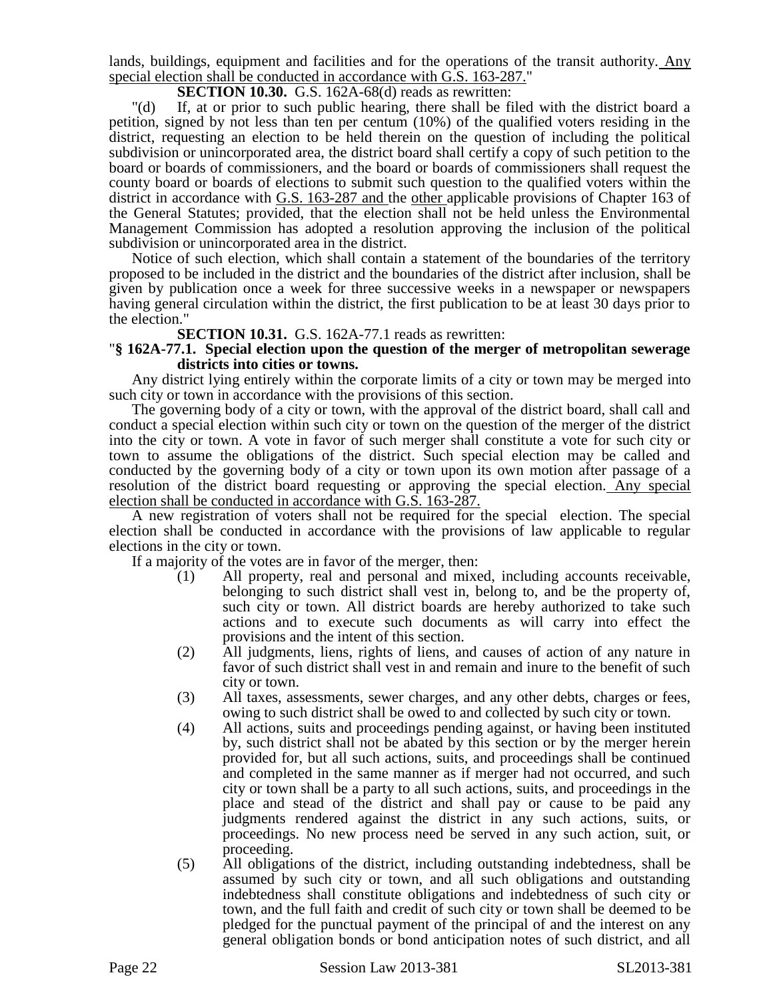lands, buildings, equipment and facilities and for the operations of the transit authority. Any special election shall be conducted in accordance with G.S. 163-287."

### **SECTION 10.30.** G.S. 162A-68(d) reads as rewritten:

"(d) If, at or prior to such public hearing, there shall be filed with the district board a petition, signed by not less than ten per centum (10%) of the qualified voters residing in the district, requesting an election to be held therein on the question of including the political subdivision or unincorporated area, the district board shall certify a copy of such petition to the board or boards of commissioners, and the board or boards of commissioners shall request the county board or boards of elections to submit such question to the qualified voters within the district in accordance with G.S. 163-287 and the other applicable provisions of Chapter 163 of the General Statutes; provided, that the election shall not be held unless the Environmental Management Commission has adopted a resolution approving the inclusion of the political subdivision or unincorporated area in the district.

Notice of such election, which shall contain a statement of the boundaries of the territory proposed to be included in the district and the boundaries of the district after inclusion, shall be given by publication once a week for three successive weeks in a newspaper or newspapers having general circulation within the district, the first publication to be at least 30 days prior to the election."

**SECTION 10.31.** G.S. 162A-77.1 reads as rewritten:

#### "**§ 162A-77.1. Special election upon the question of the merger of metropolitan sewerage districts into cities or towns.**

Any district lying entirely within the corporate limits of a city or town may be merged into such city or town in accordance with the provisions of this section.

The governing body of a city or town, with the approval of the district board, shall call and conduct a special election within such city or town on the question of the merger of the district into the city or town. A vote in favor of such merger shall constitute a vote for such city or town to assume the obligations of the district. Such special election may be called and conducted by the governing body of a city or town upon its own motion after passage of a resolution of the district board requesting or approving the special election. Any special election shall be conducted in accordance with G.S. 163-287.

A new registration of voters shall not be required for the special election. The special election shall be conducted in accordance with the provisions of law applicable to regular elections in the city or town.

If a majority of the votes are in favor of the merger, then:

- (1) All property, real and personal and mixed, including accounts receivable, belonging to such district shall vest in, belong to, and be the property of, such city or town. All district boards are hereby authorized to take such actions and to execute such documents as will carry into effect the provisions and the intent of this section.
- (2) All judgments, liens, rights of liens, and causes of action of any nature in favor of such district shall vest in and remain and inure to the benefit of such city or town.
- (3) All taxes, assessments, sewer charges, and any other debts, charges or fees, owing to such district shall be owed to and collected by such city or town.
- (4) All actions, suits and proceedings pending against, or having been instituted by, such district shall not be abated by this section or by the merger herein provided for, but all such actions, suits, and proceedings shall be continued and completed in the same manner as if merger had not occurred, and such city or town shall be a party to all such actions, suits, and proceedings in the place and stead of the district and shall pay or cause to be paid any judgments rendered against the district in any such actions, suits, or proceedings. No new process need be served in any such action, suit, or proceeding.
- (5) All obligations of the district, including outstanding indebtedness, shall be assumed by such city or town, and all such obligations and outstanding indebtedness shall constitute obligations and indebtedness of such city or town, and the full faith and credit of such city or town shall be deemed to be pledged for the punctual payment of the principal of and the interest on any general obligation bonds or bond anticipation notes of such district, and all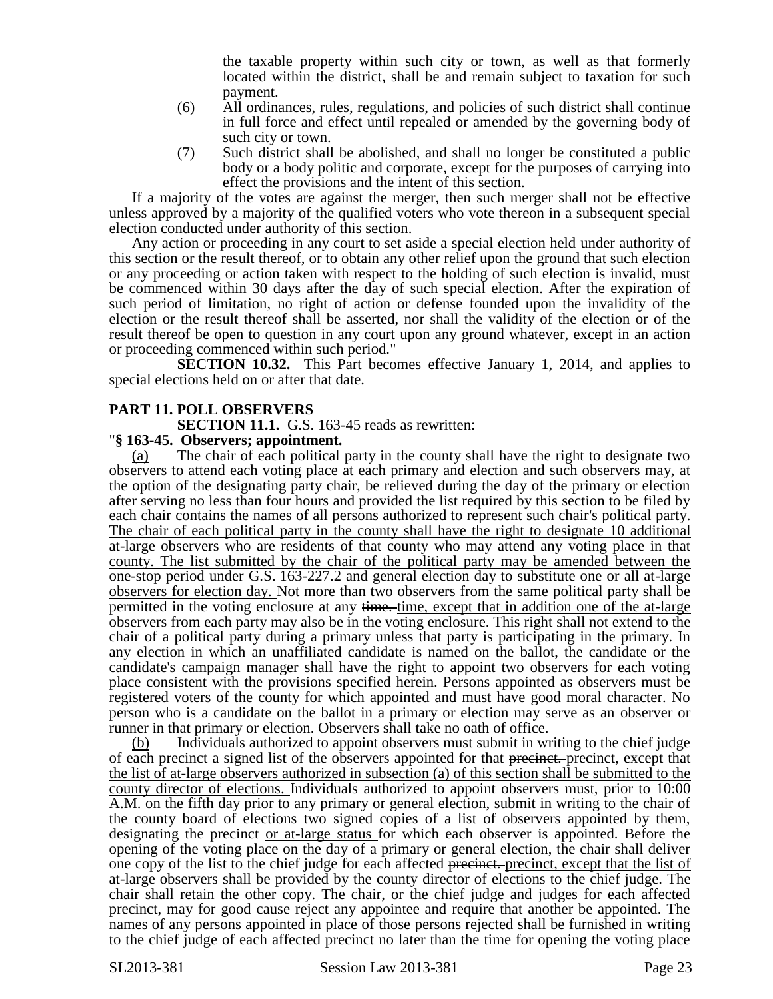the taxable property within such city or town, as well as that formerly located within the district, shall be and remain subject to taxation for such payment.

- (6) All ordinances, rules, regulations, and policies of such district shall continue in full force and effect until repealed or amended by the governing body of such city or town.
- (7) Such district shall be abolished, and shall no longer be constituted a public body or a body politic and corporate, except for the purposes of carrying into effect the provisions and the intent of this section.

If a majority of the votes are against the merger, then such merger shall not be effective unless approved by a majority of the qualified voters who vote thereon in a subsequent special election conducted under authority of this section.

Any action or proceeding in any court to set aside a special election held under authority of this section or the result thereof, or to obtain any other relief upon the ground that such election or any proceeding or action taken with respect to the holding of such election is invalid, must be commenced within 30 days after the day of such special election. After the expiration of such period of limitation, no right of action or defense founded upon the invalidity of the election or the result thereof shall be asserted, nor shall the validity of the election or of the result thereof be open to question in any court upon any ground whatever, except in an action or proceeding commenced within such period."

**SECTION 10.32.** This Part becomes effective January 1, 2014, and applies to special elections held on or after that date.

# **PART 11. POLL OBSERVERS**

**SECTION 11.1.** G.S. 163-45 reads as rewritten:

### "**§ 163-45. Observers; appointment.**

(a) The chair of each political party in the county shall have the right to designate two observers to attend each voting place at each primary and election and such observers may, at the option of the designating party chair, be relieved during the day of the primary or election after serving no less than four hours and provided the list required by this section to be filed by each chair contains the names of all persons authorized to represent such chair's political party. The chair of each political party in the county shall have the right to designate 10 additional at-large observers who are residents of that county who may attend any voting place in that county. The list submitted by the chair of the political party may be amended between the one-stop period under G.S. 163-227.2 and general election day to substitute one or all at-large observers for election day. Not more than two observers from the same political party shall be permitted in the voting enclosure at any time. time, except that in addition one of the at-large observers from each party may also be in the voting enclosure. This right shall not extend to the chair of a political party during a primary unless that party is participating in the primary. In any election in which an unaffiliated candidate is named on the ballot, the candidate or the candidate's campaign manager shall have the right to appoint two observers for each voting place consistent with the provisions specified herein. Persons appointed as observers must be registered voters of the county for which appointed and must have good moral character. No person who is a candidate on the ballot in a primary or election may serve as an observer or runner in that primary or election. Observers shall take no oath of office.

(b) Individuals authorized to appoint observers must submit in writing to the chief judge of each precinct a signed list of the observers appointed for that precinct. precinct, except that the list of at-large observers authorized in subsection (a) of this section shall be submitted to the county director of elections. Individuals authorized to appoint observers must, prior to 10:00 A.M. on the fifth day prior to any primary or general election, submit in writing to the chair of the county board of elections two signed copies of a list of observers appointed by them, designating the precinct or at-large status for which each observer is appointed. Before the opening of the voting place on the day of a primary or general election, the chair shall deliver one copy of the list to the chief judge for each affected precinct. precinct, except that the list of at-large observers shall be provided by the county director of elections to the chief judge. The chair shall retain the other copy. The chair, or the chief judge and judges for each affected precinct, may for good cause reject any appointee and require that another be appointed. The names of any persons appointed in place of those persons rejected shall be furnished in writing to the chief judge of each affected precinct no later than the time for opening the voting place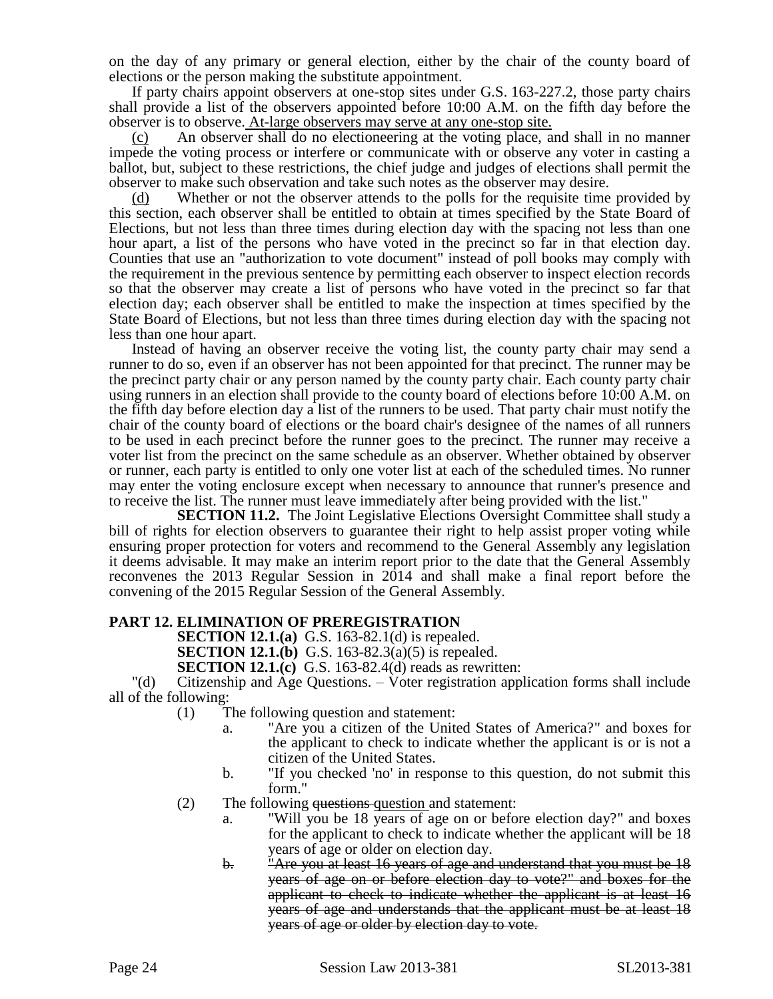on the day of any primary or general election, either by the chair of the county board of elections or the person making the substitute appointment.

If party chairs appoint observers at one-stop sites under G.S. 163-227.2, those party chairs shall provide a list of the observers appointed before 10:00 A.M. on the fifth day before the observer is to observe. At-large observers may serve at any one-stop site.

(c) An observer shall do no electioneering at the voting place, and shall in no manner impede the voting process or interfere or communicate with or observe any voter in casting a ballot, but, subject to these restrictions, the chief judge and judges of elections shall permit the observer to make such observation and take such notes as the observer may desire.

(d) Whether or not the observer attends to the polls for the requisite time provided by this section, each observer shall be entitled to obtain at times specified by the State Board of Elections, but not less than three times during election day with the spacing not less than one hour apart, a list of the persons who have voted in the precinct so far in that election day. Counties that use an "authorization to vote document" instead of poll books may comply with the requirement in the previous sentence by permitting each observer to inspect election records so that the observer may create a list of persons who have voted in the precinct so far that election day; each observer shall be entitled to make the inspection at times specified by the State Board of Elections, but not less than three times during election day with the spacing not less than one hour apart.

Instead of having an observer receive the voting list, the county party chair may send a runner to do so, even if an observer has not been appointed for that precinct. The runner may be the precinct party chair or any person named by the county party chair. Each county party chair using runners in an election shall provide to the county board of elections before 10:00 A.M. on the fifth day before election day a list of the runners to be used. That party chair must notify the chair of the county board of elections or the board chair's designee of the names of all runners to be used in each precinct before the runner goes to the precinct. The runner may receive a voter list from the precinct on the same schedule as an observer. Whether obtained by observer or runner, each party is entitled to only one voter list at each of the scheduled times. No runner may enter the voting enclosure except when necessary to announce that runner's presence and to receive the list. The runner must leave immediately after being provided with the list."

**SECTION 11.2.** The Joint Legislative Elections Oversight Committee shall study a bill of rights for election observers to guarantee their right to help assist proper voting while ensuring proper protection for voters and recommend to the General Assembly any legislation it deems advisable. It may make an interim report prior to the date that the General Assembly reconvenes the 2013 Regular Session in 2014 and shall make a final report before the convening of the 2015 Regular Session of the General Assembly.

# **PART 12. ELIMINATION OF PREREGISTRATION**

**SECTION 12.1.(a)** G.S. 163-82.1(d) is repealed.

**SECTION 12.1.(b)** G.S. 163-82.3(a)(5) is repealed.

**SECTION 12.1.(c)** G.S. 163-82.4(d) reads as rewritten:

"(d) Citizenship and Age Questions. – Voter registration application forms shall include all of the following:

- (1) The following question and statement:
	- a. "Are you a citizen of the United States of America?" and boxes for the applicant to check to indicate whether the applicant is or is not a citizen of the United States.
	- b. "If you checked 'no' in response to this question, do not submit this form."
- (2) The following questions question and statement:
	- a. "Will you be 18 years of age on or before election day?" and boxes for the applicant to check to indicate whether the applicant will be 18 years of age or older on election day.
	- b. "Are you at least 16 years of age and understand that you must be 18 years of age on or before election day to vote?" and boxes for the applicant to check to indicate whether the applicant is at least 16 years of age and understands that the applicant must be at least 18 years of age or older by election day to vote.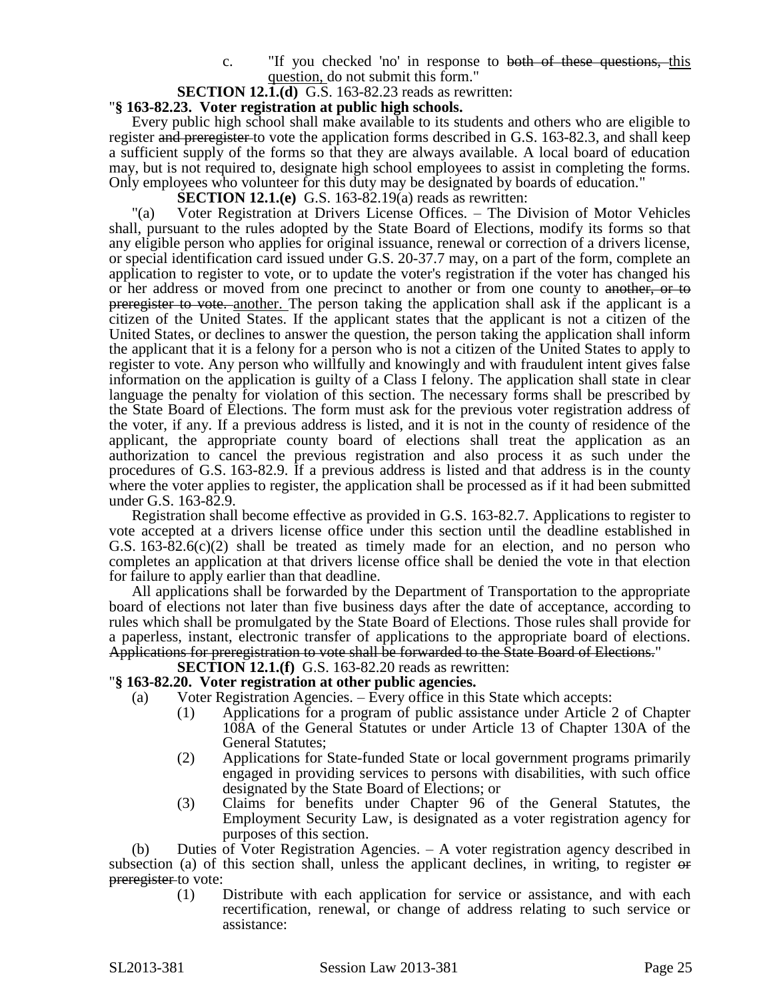c. "If you checked 'no' in response to both of these questions, this question, do not submit this form."

### **SECTION 12.1.(d)** G.S. 163-82.23 reads as rewritten:

### "**§ 163-82.23. Voter registration at public high schools.**

Every public high school shall make available to its students and others who are eligible to register and preregister to vote the application forms described in G.S. 163-82.3, and shall keep a sufficient supply of the forms so that they are always available. A local board of education may, but is not required to, designate high school employees to assist in completing the forms. Only employees who volunteer for this duty may be designated by boards of education."

**SECTION 12.1.(e)** G.S. 163-82.19(a) reads as rewritten:

"(a) Voter Registration at Drivers License Offices. – The Division of Motor Vehicles shall, pursuant to the rules adopted by the State Board of Elections, modify its forms so that any eligible person who applies for original issuance, renewal or correction of a drivers license, or special identification card issued under G.S. 20-37.7 may, on a part of the form, complete an application to register to vote, or to update the voter's registration if the voter has changed his or her address or moved from one precinct to another or from one county to another, or to preregister to vote. another. The person taking the application shall ask if the applicant is a citizen of the United States. If the applicant states that the applicant is not a citizen of the United States, or declines to answer the question, the person taking the application shall inform the applicant that it is a felony for a person who is not a citizen of the United States to apply to register to vote. Any person who willfully and knowingly and with fraudulent intent gives false information on the application is guilty of a Class I felony. The application shall state in clear language the penalty for violation of this section. The necessary forms shall be prescribed by the State Board of Elections. The form must ask for the previous voter registration address of the voter, if any. If a previous address is listed, and it is not in the county of residence of the applicant, the appropriate county board of elections shall treat the application as an authorization to cancel the previous registration and also process it as such under the procedures of G.S. 163-82.9. If a previous address is listed and that address is in the county where the voter applies to register, the application shall be processed as if it had been submitted under G.S. 163-82.9.

Registration shall become effective as provided in G.S. 163-82.7. Applications to register to vote accepted at a drivers license office under this section until the deadline established in G.S.  $163-82.6(c)(2)$  shall be treated as timely made for an election, and no person who completes an application at that drivers license office shall be denied the vote in that election for failure to apply earlier than that deadline.

All applications shall be forwarded by the Department of Transportation to the appropriate board of elections not later than five business days after the date of acceptance, according to rules which shall be promulgated by the State Board of Elections. Those rules shall provide for a paperless, instant, electronic transfer of applications to the appropriate board of elections. Applications for preregistration to vote shall be forwarded to the State Board of Elections."

**SECTION 12.1.(f)** G.S. 163-82.20 reads as rewritten:

### "**§ 163-82.20. Voter registration at other public agencies.**

- (a) Voter Registration Agencies. Every office in this State which accepts:
	- (1) Applications for a program of public assistance under Article 2 of Chapter 108A of the General Statutes or under Article 13 of Chapter 130A of the General Statutes;
	- (2) Applications for State-funded State or local government programs primarily engaged in providing services to persons with disabilities, with such office designated by the State Board of Elections; or
	- (3) Claims for benefits under Chapter 96 of the General Statutes, the Employment Security Law, is designated as a voter registration agency for purposes of this section.

(b) Duties of Voter Registration Agencies. – A voter registration agency described in subsection (a) of this section shall, unless the applicant declines, in writing, to register or preregister to vote:

(1) Distribute with each application for service or assistance, and with each recertification, renewal, or change of address relating to such service or assistance: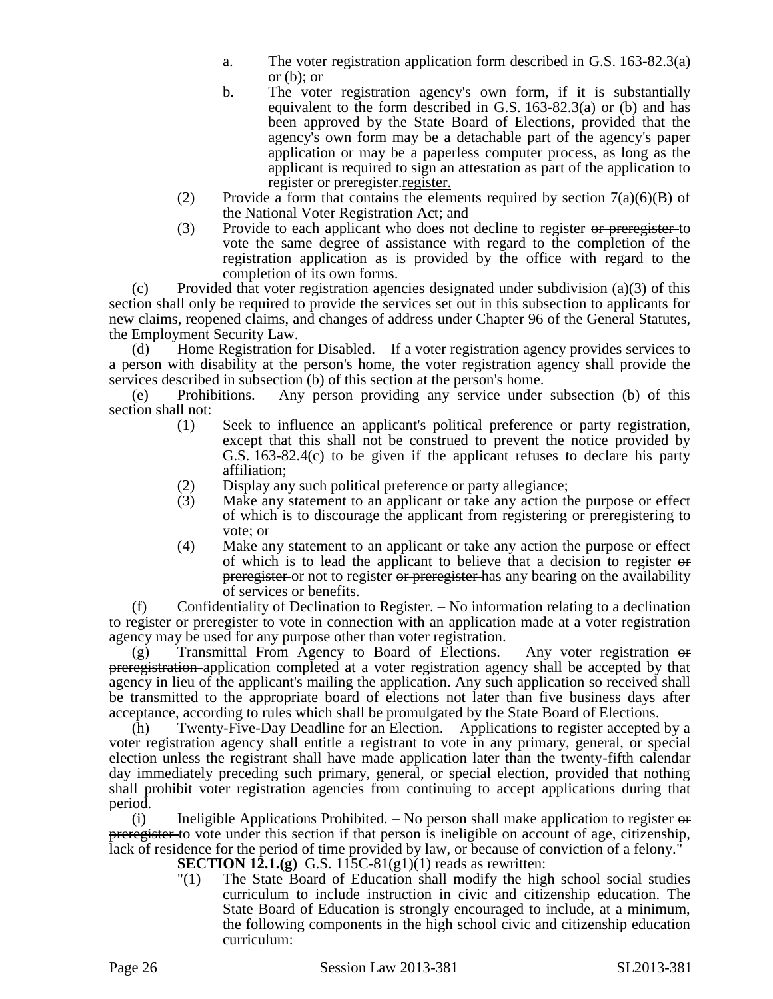- a. The voter registration application form described in G.S. 163-82.3(a) or (b); or
- b. The voter registration agency's own form, if it is substantially equivalent to the form described in G.S. 163-82.3(a) or (b) and has been approved by the State Board of Elections, provided that the agency's own form may be a detachable part of the agency's paper application or may be a paperless computer process, as long as the applicant is required to sign an attestation as part of the application to register or preregister. register.
- (2) Provide a form that contains the elements required by section  $7(a)(6)(B)$  of the National Voter Registration Act; and
- (3) Provide to each applicant who does not decline to register or preregister-to vote the same degree of assistance with regard to the completion of the registration application as is provided by the office with regard to the completion of its own forms.

(c) Provided that voter registration agencies designated under subdivision (a)(3) of this section shall only be required to provide the services set out in this subsection to applicants for new claims, reopened claims, and changes of address under Chapter 96 of the General Statutes, the Employment Security Law.

(d) Home Registration for Disabled. – If a voter registration agency provides services to a person with disability at the person's home, the voter registration agency shall provide the services described in subsection (b) of this section at the person's home.

(e) Prohibitions. – Any person providing any service under subsection (b) of this section shall not:

- (1) Seek to influence an applicant's political preference or party registration, except that this shall not be construed to prevent the notice provided by G.S. 163-82.4(c) to be given if the applicant refuses to declare his party affiliation;
- (2) Display any such political preference or party allegiance;<br>(3) Make any statement to an applicant or take any action the
- Make any statement to an applicant or take any action the purpose or effect of which is to discourage the applicant from registering or preregistering to vote; or
- (4) Make any statement to an applicant or take any action the purpose or effect of which is to lead the applicant to believe that a decision to register or preregister or not to register or preregister has any bearing on the availability of services or benefits.

(f) Confidentiality of Declination to Register. – No information relating to a declination to register or preregister to vote in connection with an application made at a voter registration agency may be used for any purpose other than voter registration.

 $(g)$  Transmittal From Agency to Board of Elections. – Any voter registration  $\Theta$ preregistration application completed at a voter registration agency shall be accepted by that agency in lieu of the applicant's mailing the application. Any such application so received shall be transmitted to the appropriate board of elections not later than five business days after acceptance, according to rules which shall be promulgated by the State Board of Elections.

(h) Twenty-Five-Day Deadline for an Election. – Applications to register accepted by a voter registration agency shall entitle a registrant to vote in any primary, general, or special election unless the registrant shall have made application later than the twenty-fifth calendar day immediately preceding such primary, general, or special election, provided that nothing shall prohibit voter registration agencies from continuing to accept applications during that period.

(i) Ineligible Applications Prohibited.  $-$  No person shall make application to register  $\Theta$ preregister to vote under this section if that person is ineligible on account of age, citizenship, lack of residence for the period of time provided by law, or because of conviction of a felony."

- **SECTION 12.1.(g)** G.S. 115C-81(g1)(1) reads as rewritten:
- "(1) The State Board of Education shall modify the high school social studies curriculum to include instruction in civic and citizenship education. The State Board of Education is strongly encouraged to include, at a minimum, the following components in the high school civic and citizenship education curriculum: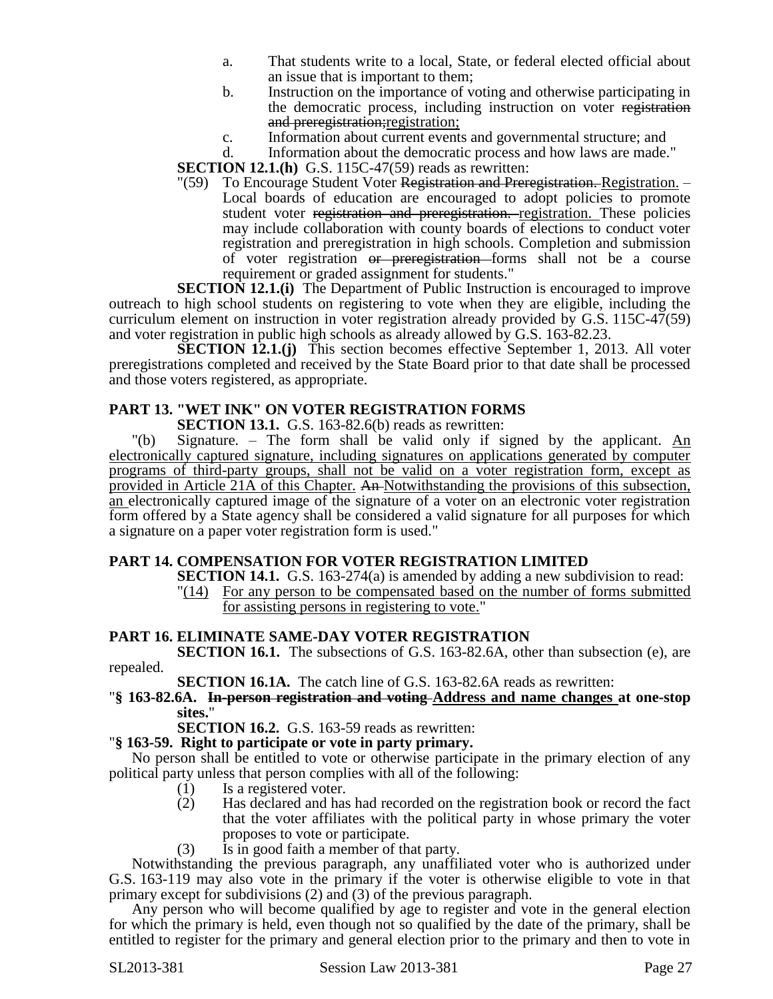- a. That students write to a local, State, or federal elected official about an issue that is important to them;
- b. Instruction on the importance of voting and otherwise participating in the democratic process, including instruction on voter registration and preregistration; registration;
- c. Information about current events and governmental structure; and d. Information about the democratic process and how laws are made.

Information about the democratic process and how laws are made."

**SECTION 12.1.(h)** G.S. 115C-47(59) reads as rewritten:

"(59) To Encourage Student Voter Registration and Preregistration. Registration. – Local boards of education are encouraged to adopt policies to promote student voter registration and preregistration. registration. These policies may include collaboration with county boards of elections to conduct voter registration and preregistration in high schools. Completion and submission of voter registration or preregistration forms shall not be a course requirement or graded assignment for students."

**SECTION 12.1.(i)** The Department of Public Instruction is encouraged to improve outreach to high school students on registering to vote when they are eligible, including the curriculum element on instruction in voter registration already provided by G.S. 115C-47(59) and voter registration in public high schools as already allowed by G.S. 163-82.23.

**SECTION 12.1.(j)** This section becomes effective September 1, 2013. All voter preregistrations completed and received by the State Board prior to that date shall be processed and those voters registered, as appropriate.

# **PART 13. "WET INK" ON VOTER REGISTRATION FORMS**

**SECTION 13.1.** G.S. 163-82.6(b) reads as rewritten:

"(b) Signature. – The form shall be valid only if signed by the applicant. An electronically captured signature, including signatures on applications generated by computer programs of third-party groups, shall not be valid on a voter registration form, except as provided in Article 21A of this Chapter. An Notwithstanding the provisions of this subsection, an electronically captured image of the signature of a voter on an electronic voter registration form offered by a State agency shall be considered a valid signature for all purposes for which a signature on a paper voter registration form is used."

# **PART 14. COMPENSATION FOR VOTER REGISTRATION LIMITED**

**SECTION 14.1.** G.S. 163-274(a) is amended by adding a new subdivision to read: "(14) For any person to be compensated based on the number of forms submitted for assisting persons in registering to vote."

# **PART 16. ELIMINATE SAME-DAY VOTER REGISTRATION**

**SECTION 16.1.** The subsections of G.S. 163-82.6A, other than subsection (e), are repealed.

**SECTION 16.1A.** The catch line of G.S. 163-82.6A reads as rewritten:

### "**§ 163-82.6A. In-person registration and voting Address and name changes at one-stop sites.**"

**SECTION 16.2.** G.S. 163-59 reads as rewritten:

# "**§ 163-59. Right to participate or vote in party primary.**

No person shall be entitled to vote or otherwise participate in the primary election of any political party unless that person complies with all of the following:

- (1) Is a registered voter.
- (2) Has declared and has had recorded on the registration book or record the fact that the voter affiliates with the political party in whose primary the voter proposes to vote or participate.
- (3) Is in good faith a member of that party.

Notwithstanding the previous paragraph, any unaffiliated voter who is authorized under G.S. 163-119 may also vote in the primary if the voter is otherwise eligible to vote in that primary except for subdivisions (2) and (3) of the previous paragraph.

Any person who will become qualified by age to register and vote in the general election for which the primary is held, even though not so qualified by the date of the primary, shall be entitled to register for the primary and general election prior to the primary and then to vote in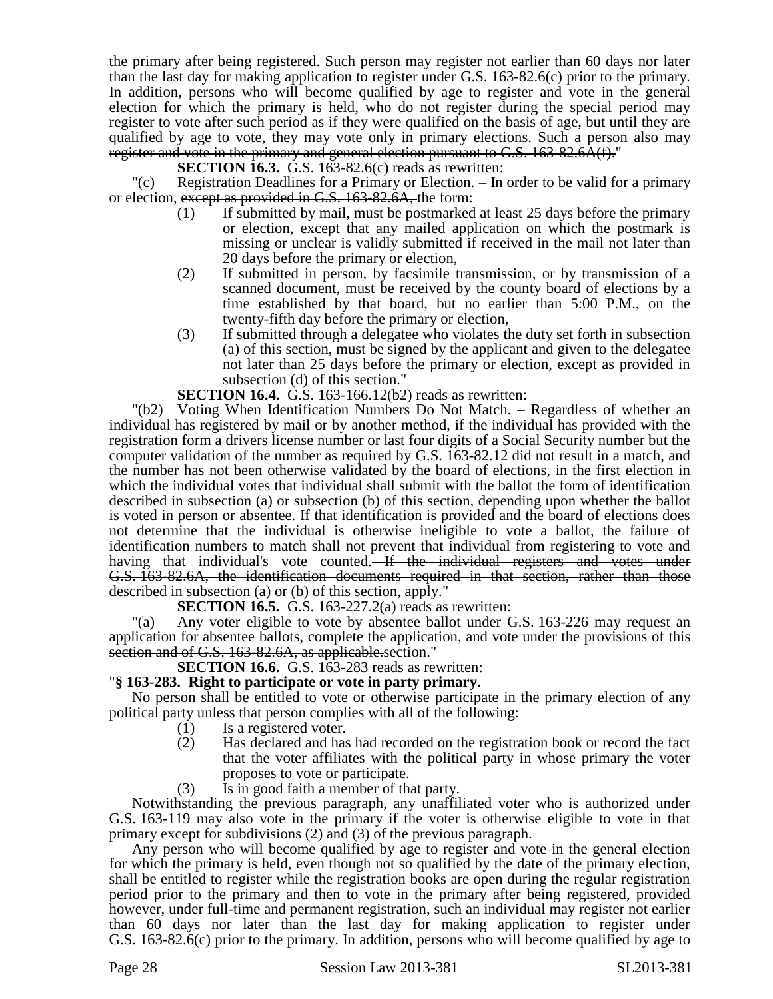the primary after being registered. Such person may register not earlier than 60 days nor later than the last day for making application to register under G.S. 163-82.6(c) prior to the primary. In addition, persons who will become qualified by age to register and vote in the general election for which the primary is held, who do not register during the special period may register to vote after such period as if they were qualified on the basis of age, but until they are qualified by age to vote, they may vote only in primary elections. Such a person also may register and vote in the primary and general election pursuant to G.S. 163-82.6A(f)."

**SECTION 16.3.** G.S. 163-82.6(c) reads as rewritten:

"(c) Registration Deadlines for a Primary or Election. – In order to be valid for a primary or election, except as provided in G.S. 163-82.6A, the form:

- (1) If submitted by mail, must be postmarked at least 25 days before the primary or election, except that any mailed application on which the postmark is missing or unclear is validly submitted if received in the mail not later than 20 days before the primary or election,
- (2) If submitted in person, by facsimile transmission, or by transmission of a scanned document, must be received by the county board of elections by a time established by that board, but no earlier than 5:00 P.M., on the twenty-fifth day before the primary or election,
- (3) If submitted through a delegatee who violates the duty set forth in subsection (a) of this section, must be signed by the applicant and given to the delegatee not later than 25 days before the primary or election, except as provided in subsection (d) of this section."

**SECTION 16.4.** G.S. 163-166.12(b2) reads as rewritten:

"(b2) Voting When Identification Numbers Do Not Match. – Regardless of whether an individual has registered by mail or by another method, if the individual has provided with the registration form a drivers license number or last four digits of a Social Security number but the computer validation of the number as required by G.S. 163-82.12 did not result in a match, and the number has not been otherwise validated by the board of elections, in the first election in which the individual votes that individual shall submit with the ballot the form of identification described in subsection (a) or subsection (b) of this section, depending upon whether the ballot is voted in person or absentee. If that identification is provided and the board of elections does not determine that the individual is otherwise ineligible to vote a ballot, the failure of identification numbers to match shall not prevent that individual from registering to vote and having that individual's vote counted. If the individual registers and votes under G.S. 163-82.6A, the identification documents required in that section, rather than those described in subsection (a) or (b) of this section, apply."

**SECTION 16.5.** G.S. 163-227.2(a) reads as rewritten:

"(a) Any voter eligible to vote by absentee ballot under G.S. 163-226 may request an application for absentee ballots, complete the application, and vote under the provisions of this section and of G.S. 163-82.6A, as applicable.section."

# **SECTION 16.6.** G.S. 163-283 reads as rewritten:

### "**§ 163-283. Right to participate or vote in party primary.**

No person shall be entitled to vote or otherwise participate in the primary election of any political party unless that person complies with all of the following:

- (1) Is a registered voter.
- (2) Has declared and has had recorded on the registration book or record the fact that the voter affiliates with the political party in whose primary the voter proposes to vote or participate.
- (3) Is in good faith a member of that party.

Notwithstanding the previous paragraph, any unaffiliated voter who is authorized under G.S. 163-119 may also vote in the primary if the voter is otherwise eligible to vote in that primary except for subdivisions (2) and (3) of the previous paragraph.

Any person who will become qualified by age to register and vote in the general election for which the primary is held, even though not so qualified by the date of the primary election, shall be entitled to register while the registration books are open during the regular registration period prior to the primary and then to vote in the primary after being registered, provided however, under full-time and permanent registration, such an individual may register not earlier than 60 days nor later than the last day for making application to register under G.S. 163-82.6(c) prior to the primary. In addition, persons who will become qualified by age to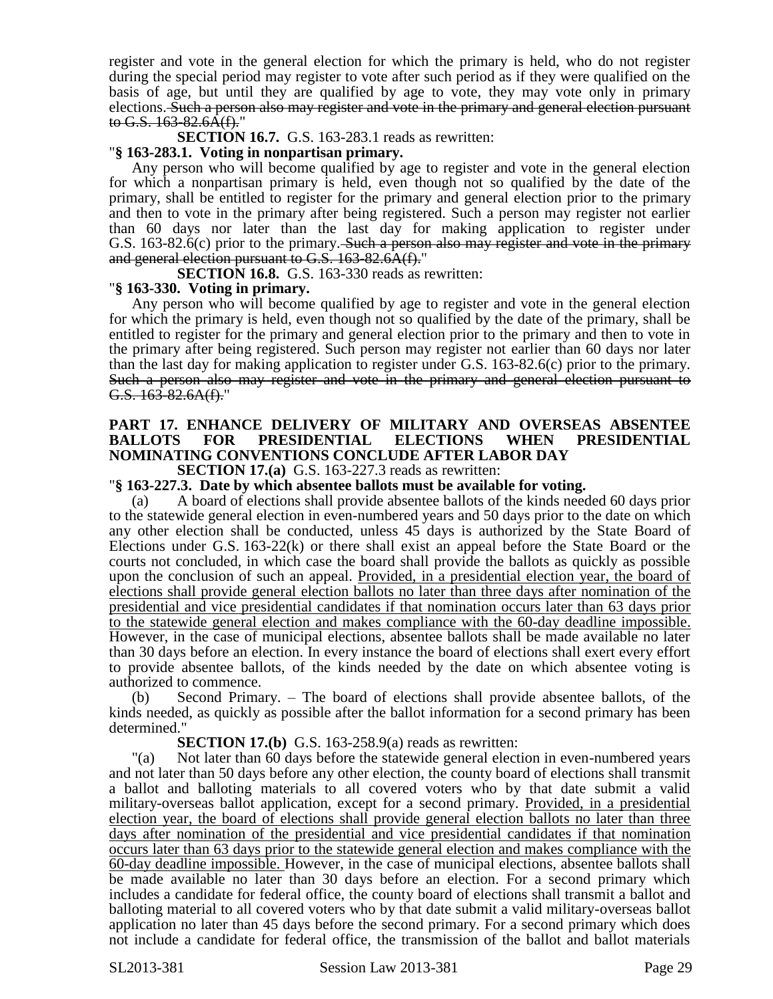register and vote in the general election for which the primary is held, who do not register during the special period may register to vote after such period as if they were qualified on the basis of age, but until they are qualified by age to vote, they may vote only in primary elections. Such a person also may register and vote in the primary and general election pursuant to G.S. 163-82.6A(f)."

**SECTION 16.7.** G.S. 163-283.1 reads as rewritten:

# "**§ 163-283.1. Voting in nonpartisan primary.**

Any person who will become qualified by age to register and vote in the general election for which a nonpartisan primary is held, even though not so qualified by the date of the primary, shall be entitled to register for the primary and general election prior to the primary and then to vote in the primary after being registered. Such a person may register not earlier than 60 days nor later than the last day for making application to register under G.S. 163-82.6(c) prior to the primary. Such a person also may register and vote in the primary and general election pursuant to G.S. 163-82.6A(f)."

**SECTION 16.8.** G.S. 163-330 reads as rewritten:

# "**§ 163-330. Voting in primary.**

Any person who will become qualified by age to register and vote in the general election for which the primary is held, even though not so qualified by the date of the primary, shall be entitled to register for the primary and general election prior to the primary and then to vote in the primary after being registered. Such person may register not earlier than 60 days nor later than the last day for making application to register under G.S. 163-82.6(c) prior to the primary. Such a person also may register and vote in the primary and general election pursuant to G.S. 163-82.6A(f)."

# **PART 17. ENHANCE DELIVERY OF MILITARY AND OVERSEAS ABSENTEE**  FOR PRESIDENTIAL ELECTIONS WHEN PRESIDENTIAL **NOMINATING CONVENTIONS CONCLUDE AFTER LABOR DAY**

**SECTION 17.(a)** G.S. 163-227.3 reads as rewritten:

# "**§ 163-227.3. Date by which absentee ballots must be available for voting.**

(a) A board of elections shall provide absentee ballots of the kinds needed 60 days prior to the statewide general election in even-numbered years and 50 days prior to the date on which any other election shall be conducted, unless 45 days is authorized by the State Board of Elections under G.S. 163-22(k) or there shall exist an appeal before the State Board or the courts not concluded, in which case the board shall provide the ballots as quickly as possible upon the conclusion of such an appeal. Provided, in a presidential election year, the board of elections shall provide general election ballots no later than three days after nomination of the presidential and vice presidential candidates if that nomination occurs later than 63 days prior to the statewide general election and makes compliance with the 60-day deadline impossible. However, in the case of municipal elections, absentee ballots shall be made available no later than 30 days before an election. In every instance the board of elections shall exert every effort to provide absentee ballots, of the kinds needed by the date on which absentee voting is authorized to commence.

(b) Second Primary. – The board of elections shall provide absentee ballots, of the kinds needed, as quickly as possible after the ballot information for a second primary has been determined."

### **SECTION 17.(b)** G.S. 163-258.9(a) reads as rewritten:

"(a) Not later than 60 days before the statewide general election in even-numbered years and not later than 50 days before any other election, the county board of elections shall transmit a ballot and balloting materials to all covered voters who by that date submit a valid military-overseas ballot application, except for a second primary. Provided, in a presidential election year, the board of elections shall provide general election ballots no later than three days after nomination of the presidential and vice presidential candidates if that nomination occurs later than 63 days prior to the statewide general election and makes compliance with the 60-day deadline impossible. However, in the case of municipal elections, absentee ballots shall be made available no later than 30 days before an election. For a second primary which includes a candidate for federal office, the county board of elections shall transmit a ballot and balloting material to all covered voters who by that date submit a valid military-overseas ballot application no later than 45 days before the second primary. For a second primary which does not include a candidate for federal office, the transmission of the ballot and ballot materials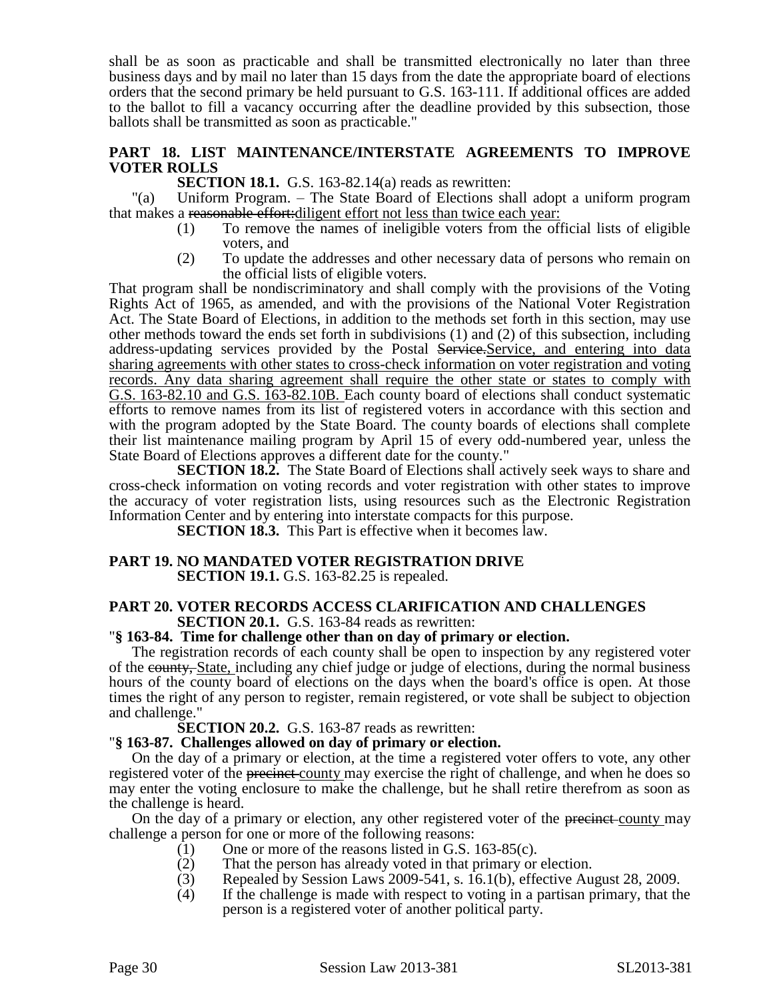shall be as soon as practicable and shall be transmitted electronically no later than three business days and by mail no later than 15 days from the date the appropriate board of elections orders that the second primary be held pursuant to G.S. 163-111. If additional offices are added to the ballot to fill a vacancy occurring after the deadline provided by this subsection, those ballots shall be transmitted as soon as practicable."

# **PART 18. LIST MAINTENANCE/INTERSTATE AGREEMENTS TO IMPROVE VOTER ROLLS**

**SECTION 18.1.** G.S. 163-82.14(a) reads as rewritten:

"(a) Uniform Program. – The State Board of Elections shall adopt a uniform program that makes a reasonable effort:diligent effort not less than twice each year:

- (1) To remove the names of ineligible voters from the official lists of eligible voters, and
- (2) To update the addresses and other necessary data of persons who remain on the official lists of eligible voters.

That program shall be nondiscriminatory and shall comply with the provisions of the Voting Rights Act of 1965, as amended, and with the provisions of the National Voter Registration Act. The State Board of Elections, in addition to the methods set forth in this section, may use other methods toward the ends set forth in subdivisions (1) and (2) of this subsection, including address-updating services provided by the Postal Service. Service, and entering into data sharing agreements with other states to cross-check information on voter registration and voting records. Any data sharing agreement shall require the other state or states to comply with G.S. 163-82.10 and G.S. 163-82.10B. Each county board of elections shall conduct systematic efforts to remove names from its list of registered voters in accordance with this section and with the program adopted by the State Board. The county boards of elections shall complete their list maintenance mailing program by April 15 of every odd-numbered year, unless the State Board of Elections approves a different date for the county."

**SECTION 18.2.** The State Board of Elections shall actively seek ways to share and cross-check information on voting records and voter registration with other states to improve the accuracy of voter registration lists, using resources such as the Electronic Registration Information Center and by entering into interstate compacts for this purpose.

**SECTION 18.3.** This Part is effective when it becomes law.

#### **PART 19. NO MANDATED VOTER REGISTRATION DRIVE SECTION 19.1.** G.S. 163-82.25 is repealed.

### **PART 20. VOTER RECORDS ACCESS CLARIFICATION AND CHALLENGES SECTION 20.1.** G.S. 163-84 reads as rewritten:

### "**§ 163-84. Time for challenge other than on day of primary or election.**

The registration records of each county shall be open to inspection by any registered voter of the county, State, including any chief judge or judge of elections, during the normal business hours of the county board of elections on the days when the board's office is open. At those times the right of any person to register, remain registered, or vote shall be subject to objection and challenge."

### **SECTION 20.2.** G.S. 163-87 reads as rewritten:

### "**§ 163-87. Challenges allowed on day of primary or election.**

On the day of a primary or election, at the time a registered voter offers to vote, any other registered voter of the precinct county may exercise the right of challenge, and when he does so may enter the voting enclosure to make the challenge, but he shall retire therefrom as soon as the challenge is heard.

On the day of a primary or election, any other registered voter of the precinct-county may challenge a person for one or more of the following reasons:

- (1) One or more of the reasons listed in G.S. 163-85(c).
- (2) That the person has already voted in that primary or election.
- (3) Repealed by Session Laws 2009-541, s. 16.1(b), effective August 28, 2009.
- (4) If the challenge is made with respect to voting in a partisan primary, that the person is a registered voter of another political party.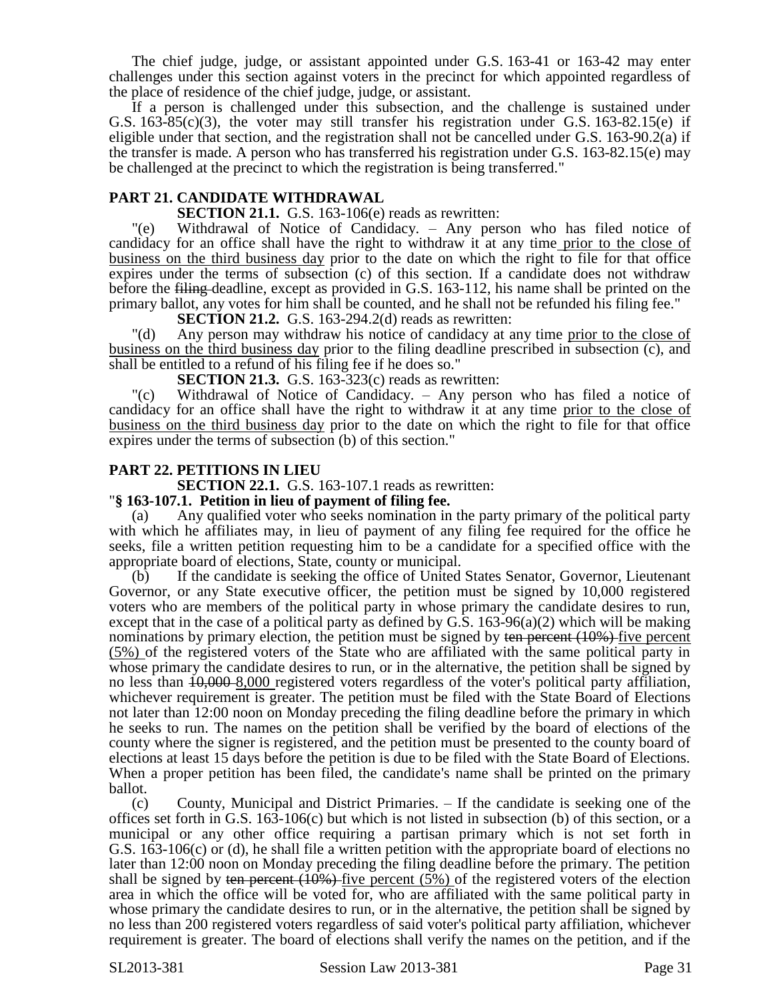The chief judge, judge, or assistant appointed under G.S. 163-41 or 163-42 may enter challenges under this section against voters in the precinct for which appointed regardless of the place of residence of the chief judge, judge, or assistant.

If a person is challenged under this subsection, and the challenge is sustained under G.S.  $163-85(c)(3)$ , the voter may still transfer his registration under G.S.  $163-82.15(e)$  if eligible under that section, and the registration shall not be cancelled under G.S. 163-90.2(a) if the transfer is made. A person who has transferred his registration under G.S. 163-82.15(e) may be challenged at the precinct to which the registration is being transferred."

# **PART 21. CANDIDATE WITHDRAWAL**

**SECTION 21.1.** G.S. 163-106(e) reads as rewritten:

"(e) Withdrawal of Notice of Candidacy. – Any person who has filed notice of candidacy for an office shall have the right to withdraw it at any time prior to the close of business on the third business day prior to the date on which the right to file for that office expires under the terms of subsection (c) of this section. If a candidate does not withdraw before the filing deadline, except as provided in G.S. 163-112, his name shall be printed on the primary ballot, any votes for him shall be counted, and he shall not be refunded his filing fee."

**SECTION 21.2.** G.S. 163-294.2(d) reads as rewritten:

"(d) Any person may withdraw his notice of candidacy at any time prior to the close of business on the third business day prior to the filing deadline prescribed in subsection (c), and shall be entitled to a refund of his filing fee if he does so."

**SECTION 21.3.** G.S. 163-323(c) reads as rewritten:

"(c) Withdrawal of Notice of Candidacy. – Any person who has filed a notice of candidacy for an office shall have the right to withdraw it at any time prior to the close of business on the third business day prior to the date on which the right to file for that office expires under the terms of subsection (b) of this section."

### **PART 22. PETITIONS IN LIEU**

**SECTION 22.1.** G.S. 163-107.1 reads as rewritten:

### "**§ 163-107.1. Petition in lieu of payment of filing fee.**

(a) Any qualified voter who seeks nomination in the party primary of the political party with which he affiliates may, in lieu of payment of any filing fee required for the office he seeks, file a written petition requesting him to be a candidate for a specified office with the appropriate board of elections, State, county or municipal.

(b) If the candidate is seeking the office of United States Senator, Governor, Lieutenant Governor, or any State executive officer, the petition must be signed by 10,000 registered voters who are members of the political party in whose primary the candidate desires to run, except that in the case of a political party as defined by G.S. 163-96(a)(2) which will be making nominations by primary election, the petition must be signed by ten percent  $(10\%)$  five percent (5%) of the registered voters of the State who are affiliated with the same political party in whose primary the candidate desires to run, or in the alternative, the petition shall be signed by no less than  $10,000 - 8,000$  registered voters regardless of the voter's political party affiliation, whichever requirement is greater. The petition must be filed with the State Board of Elections not later than 12:00 noon on Monday preceding the filing deadline before the primary in which he seeks to run. The names on the petition shall be verified by the board of elections of the county where the signer is registered, and the petition must be presented to the county board of elections at least 15 days before the petition is due to be filed with the State Board of Elections. When a proper petition has been filed, the candidate's name shall be printed on the primary ballot.

(c) County, Municipal and District Primaries. – If the candidate is seeking one of the offices set forth in G.S. 163-106(c) but which is not listed in subsection (b) of this section, or a municipal or any other office requiring a partisan primary which is not set forth in G.S. 163-106(c) or (d), he shall file a written petition with the appropriate board of elections no later than 12:00 noon on Monday preceding the filing deadline before the primary. The petition shall be signed by ten percent  $(10%)$  five percent  $(5%)$  of the registered voters of the election area in which the office will be voted for, who are affiliated with the same political party in whose primary the candidate desires to run, or in the alternative, the petition shall be signed by no less than 200 registered voters regardless of said voter's political party affiliation, whichever requirement is greater. The board of elections shall verify the names on the petition, and if the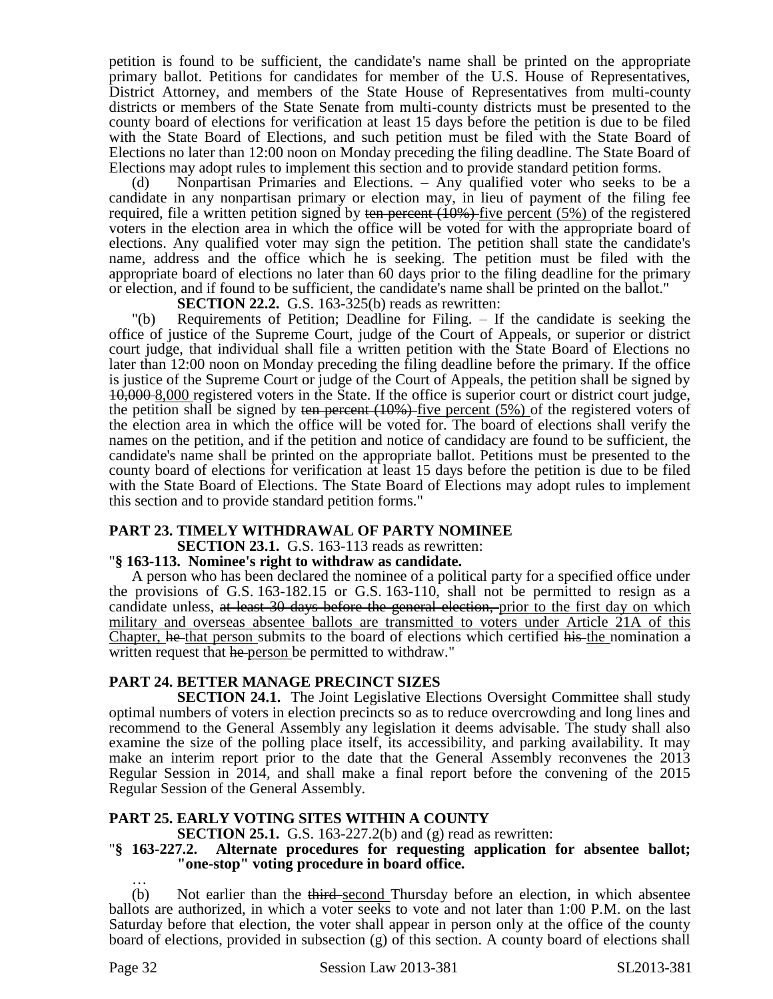petition is found to be sufficient, the candidate's name shall be printed on the appropriate primary ballot. Petitions for candidates for member of the U.S. House of Representatives, District Attorney, and members of the State House of Representatives from multi-county districts or members of the State Senate from multi-county districts must be presented to the county board of elections for verification at least 15 days before the petition is due to be filed with the State Board of Elections, and such petition must be filed with the State Board of Elections no later than 12:00 noon on Monday preceding the filing deadline. The State Board of Elections may adopt rules to implement this section and to provide standard petition forms.

(d) Nonpartisan Primaries and Elections. – Any qualified voter who seeks to be a candidate in any nonpartisan primary or election may, in lieu of payment of the filing fee required, file a written petition signed by ten percent  $(10\%)$  five percent  $(5\%)$  of the registered voters in the election area in which the office will be voted for with the appropriate board of elections. Any qualified voter may sign the petition. The petition shall state the candidate's name, address and the office which he is seeking. The petition must be filed with the appropriate board of elections no later than 60 days prior to the filing deadline for the primary or election, and if found to be sufficient, the candidate's name shall be printed on the ballot."

**SECTION 22.2.** G.S. 163-325(b) reads as rewritten:

"(b) Requirements of Petition; Deadline for Filing. – If the candidate is seeking the office of justice of the Supreme Court, judge of the Court of Appeals, or superior or district court judge, that individual shall file a written petition with the State Board of Elections no later than 12:00 noon on Monday preceding the filing deadline before the primary. If the office is justice of the Supreme Court or judge of the Court of Appeals, the petition shall be signed by 10,000 8,000 registered voters in the State. If the office is superior court or district court judge, the petition shall be signed by ten percent  $(10\%)$  five percent  $(5\%)$  of the registered voters of the election area in which the office will be voted for. The board of elections shall verify the names on the petition, and if the petition and notice of candidacy are found to be sufficient, the candidate's name shall be printed on the appropriate ballot. Petitions must be presented to the county board of elections for verification at least 15 days before the petition is due to be filed with the State Board of Elections. The State Board of Elections may adopt rules to implement this section and to provide standard petition forms."

# **PART 23. TIMELY WITHDRAWAL OF PARTY NOMINEE**

**SECTION 23.1.** G.S. 163-113 reads as rewritten:

### "**§ 163-113. Nominee's right to withdraw as candidate.**

A person who has been declared the nominee of a political party for a specified office under the provisions of G.S. 163-182.15 or G.S. 163-110, shall not be permitted to resign as a candidate unless, at least 30 days before the general election, prior to the first day on which military and overseas absentee ballots are transmitted to voters under Article 21A of this Chapter, he that person submits to the board of elections which certified his the nomination a written request that he person be permitted to withdraw."

### **PART 24. BETTER MANAGE PRECINCT SIZES**

**SECTION 24.1.** The Joint Legislative Elections Oversight Committee shall study optimal numbers of voters in election precincts so as to reduce overcrowding and long lines and recommend to the General Assembly any legislation it deems advisable. The study shall also examine the size of the polling place itself, its accessibility, and parking availability. It may make an interim report prior to the date that the General Assembly reconvenes the 2013 Regular Session in 2014, and shall make a final report before the convening of the 2015 Regular Session of the General Assembly.

# **PART 25. EARLY VOTING SITES WITHIN A COUNTY**

**SECTION 25.1.** G.S. 163-227.2(b) and (g) read as rewritten:

### "**§ 163-227.2. Alternate procedures for requesting application for absentee ballot; "one-stop" voting procedure in board office.** …

(b) Not earlier than the third-second Thursday before an election, in which absentee ballots are authorized, in which a voter seeks to vote and not later than 1:00 P.M. on the last Saturday before that election, the voter shall appear in person only at the office of the county board of elections, provided in subsection (g) of this section. A county board of elections shall

Page 32 Session Law 2013-381 SL2013-381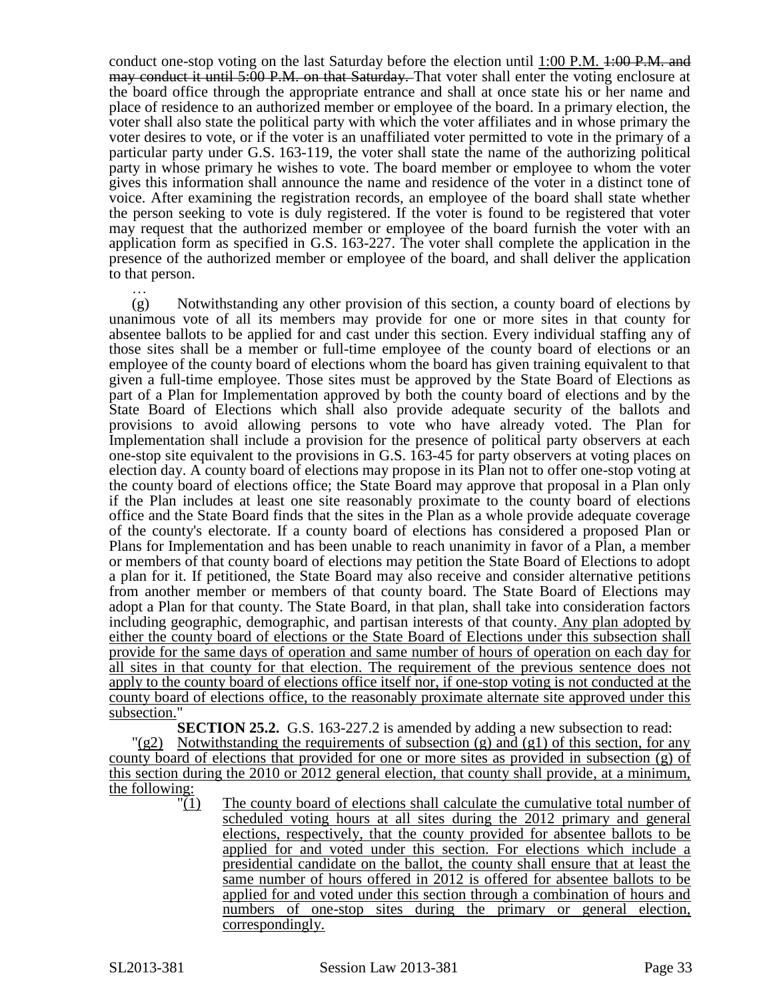conduct one-stop voting on the last Saturday before the election until 1:00 P.M. 4:00 P.M. and may conduct it until 5:00 P.M. on that Saturday. That voter shall enter the voting enclosure at the board office through the appropriate entrance and shall at once state his or her name and place of residence to an authorized member or employee of the board. In a primary election, the voter shall also state the political party with which the voter affiliates and in whose primary the voter desires to vote, or if the voter is an unaffiliated voter permitted to vote in the primary of a particular party under G.S. 163-119, the voter shall state the name of the authorizing political party in whose primary he wishes to vote. The board member or employee to whom the voter gives this information shall announce the name and residence of the voter in a distinct tone of voice. After examining the registration records, an employee of the board shall state whether the person seeking to vote is duly registered. If the voter is found to be registered that voter may request that the authorized member or employee of the board furnish the voter with an application form as specified in G.S. 163-227. The voter shall complete the application in the presence of the authorized member or employee of the board, and shall deliver the application to that person.

… (g) Notwithstanding any other provision of this section, a county board of elections by unanimous vote of all its members may provide for one or more sites in that county for absentee ballots to be applied for and cast under this section. Every individual staffing any of those sites shall be a member or full-time employee of the county board of elections or an employee of the county board of elections whom the board has given training equivalent to that given a full-time employee. Those sites must be approved by the State Board of Elections as part of a Plan for Implementation approved by both the county board of elections and by the State Board of Elections which shall also provide adequate security of the ballots and provisions to avoid allowing persons to vote who have already voted. The Plan for Implementation shall include a provision for the presence of political party observers at each one-stop site equivalent to the provisions in G.S. 163-45 for party observers at voting places on election day. A county board of elections may propose in its Plan not to offer one-stop voting at the county board of elections office; the State Board may approve that proposal in a Plan only if the Plan includes at least one site reasonably proximate to the county board of elections office and the State Board finds that the sites in the Plan as a whole provide adequate coverage of the county's electorate. If a county board of elections has considered a proposed Plan or Plans for Implementation and has been unable to reach unanimity in favor of a Plan, a member or members of that county board of elections may petition the State Board of Elections to adopt a plan for it. If petitioned, the State Board may also receive and consider alternative petitions from another member or members of that county board. The State Board of Elections may adopt a Plan for that county. The State Board, in that plan, shall take into consideration factors including geographic, demographic, and partisan interests of that county. Any plan adopted by either the county board of elections or the State Board of Elections under this subsection shall provide for the same days of operation and same number of hours of operation on each day for all sites in that county for that election. The requirement of the previous sentence does not apply to the county board of elections office itself nor, if one-stop voting is not conducted at the county board of elections office, to the reasonably proximate alternate site approved under this subsection."

**SECTION 25.2.** G.S. 163-227.2 is amended by adding a new subsection to read:

 $\frac{q(82)}{q(82)}$  Notwithstanding the requirements of subsection (g) and (g1) of this section, for any county board of elections that provided for one or more sites as provided in subsection (g) of this section during the 2010 or 2012 general election, that county shall provide, at a minimum, the following:

 $\frac{1}{1}$  The county board of elections shall calculate the cumulative total number of scheduled voting hours at all sites during the 2012 primary and general elections, respectively, that the county provided for absentee ballots to be applied for and voted under this section. For elections which include a presidential candidate on the ballot, the county shall ensure that at least the same number of hours offered in 2012 is offered for absentee ballots to be applied for and voted under this section through a combination of hours and numbers of one-stop sites during the primary or general election, correspondingly.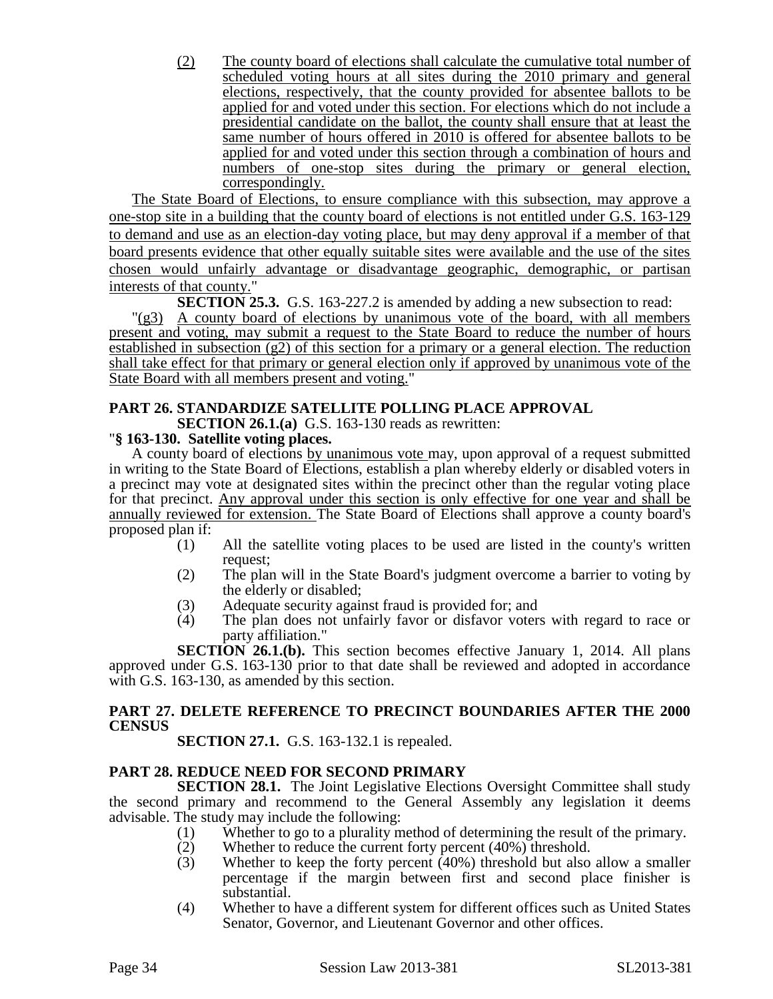(2) The county board of elections shall calculate the cumulative total number of scheduled voting hours at all sites during the 2010 primary and general elections, respectively, that the county provided for absentee ballots to be applied for and voted under this section. For elections which do not include a presidential candidate on the ballot, the county shall ensure that at least the same number of hours offered in 2010 is offered for absentee ballots to be applied for and voted under this section through a combination of hours and numbers of one-stop sites during the primary or general election, correspondingly.

The State Board of Elections, to ensure compliance with this subsection, may approve a one-stop site in a building that the county board of elections is not entitled under G.S. 163-129 to demand and use as an election-day voting place, but may deny approval if a member of that board presents evidence that other equally suitable sites were available and the use of the sites chosen would unfairly advantage or disadvantage geographic, demographic, or partisan interests of that county."

**SECTION 25.3.** G.S. 163-227.2 is amended by adding a new subsection to read:

"(g3) A county board of elections by unanimous vote of the board, with all members present and voting, may submit a request to the State Board to reduce the number of hours established in subsection (g2) of this section for a primary or a general election. The reduction shall take effect for that primary or general election only if approved by unanimous vote of the State Board with all members present and voting."

# **PART 26. STANDARDIZE SATELLITE POLLING PLACE APPROVAL**

**SECTION 26.1.(a)** G.S. 163-130 reads as rewritten:

# "**§ 163-130. Satellite voting places.**

A county board of elections by unanimous vote may, upon approval of a request submitted in writing to the State Board of Elections, establish a plan whereby elderly or disabled voters in a precinct may vote at designated sites within the precinct other than the regular voting place for that precinct. Any approval under this section is only effective for one year and shall be annually reviewed for extension. The State Board of Elections shall approve a county board's proposed plan if:

- (1) All the satellite voting places to be used are listed in the county's written request;
- (2) The plan will in the State Board's judgment overcome a barrier to voting by the elderly or disabled;
- (3) Adequate security against fraud is provided for; and
- (4) The plan does not unfairly favor or disfavor voters with regard to race or party affiliation."

**SECTION 26.1.(b).** This section becomes effective January 1, 2014. All plans approved under G.S. 163-130 prior to that date shall be reviewed and adopted in accordance with G.S. 163-130, as amended by this section.

# **PART 27. DELETE REFERENCE TO PRECINCT BOUNDARIES AFTER THE 2000 CENSUS**

**SECTION 27.1.** G.S. 163-132.1 is repealed.

# **PART 28. REDUCE NEED FOR SECOND PRIMARY**

**SECTION 28.1.** The Joint Legislative Elections Oversight Committee shall study the second primary and recommend to the General Assembly any legislation it deems advisable. The study may include the following:

- (1) Whether to go to a plurality method of determining the result of the primary.<br>
(2) Whether to reduce the current forty percent  $(40\%)$  threshold.
- Whether to reduce the current forty percent (40%) threshold.
- (3) Whether to keep the forty percent (40%) threshold but also allow a smaller percentage if the margin between first and second place finisher is substantial.
- (4) Whether to have a different system for different offices such as United States Senator, Governor, and Lieutenant Governor and other offices.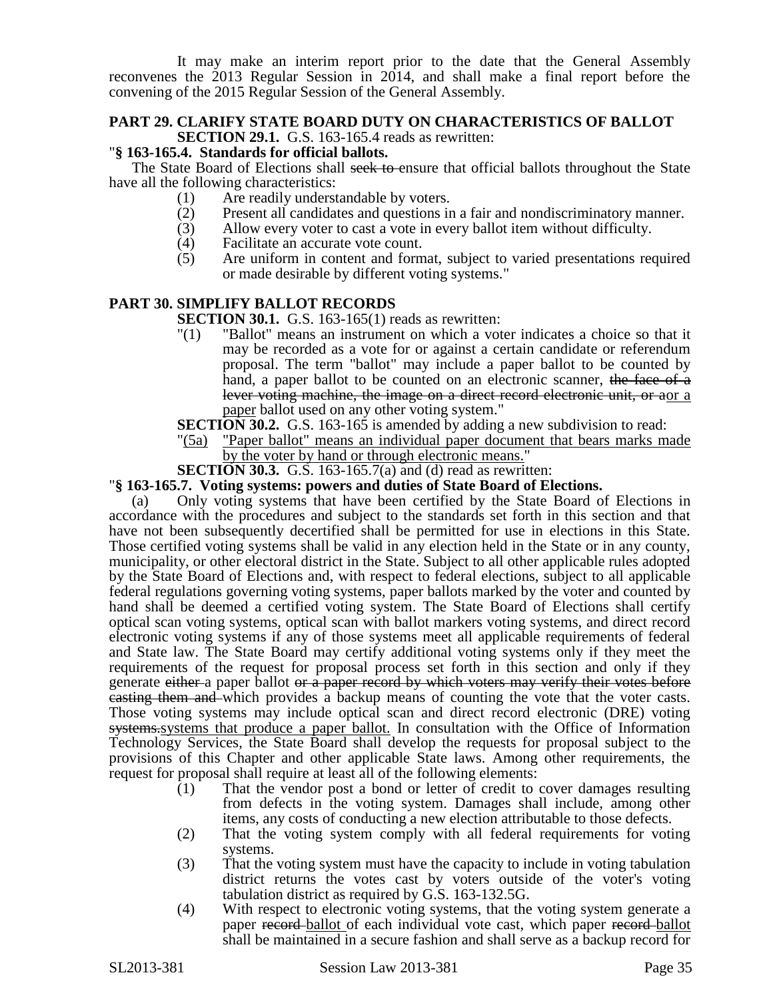It may make an interim report prior to the date that the General Assembly reconvenes the 2013 Regular Session in 2014, and shall make a final report before the convening of the 2015 Regular Session of the General Assembly.

# **PART 29. CLARIFY STATE BOARD DUTY ON CHARACTERISTICS OF BALLOT SECTION 29.1.** G.S. 163-165.4 reads as rewritten:

# "**§ 163-165.4. Standards for official ballots.**

The State Board of Elections shall seek to ensure that official ballots throughout the State have all the following characteristics:

- (1) Are readily understandable by voters.
- (2) Present all candidates and questions in a fair and nondiscriminatory manner.<br>(3) Allow every voter to cast a vote in every ballot item without difficulty.
- Allow every voter to cast a vote in every ballot item without difficulty.
- (4) Facilitate an accurate vote count.<br>(5) Are uniform in content and form
- Are uniform in content and format, subject to varied presentations required or made desirable by different voting systems."

# **PART 30. SIMPLIFY BALLOT RECORDS**

**SECTION 30.1.** G.S. 163-165(1) reads as rewritten:

- "(1) "Ballot" means an instrument on which a voter indicates a choice so that it may be recorded as a vote for or against a certain candidate or referendum proposal. The term "ballot" may include a paper ballot to be counted by hand, a paper ballot to be counted on an electronic scanner, the face of a lever voting machine, the image on a direct record electronic unit, or aor a paper ballot used on any other voting system."
- **SECTION 30.2.** G.S. 163-165 is amended by adding a new subdivision to read:
- "(5a) "Paper ballot" means an individual paper document that bears marks made by the voter by hand or through electronic means."
- **SECTION 30.3.** G.S. 163-165.7(a) and (d) read as rewritten:

### "**§ 163-165.7. Voting systems: powers and duties of State Board of Elections.**

(a) Only voting systems that have been certified by the State Board of Elections in accordance with the procedures and subject to the standards set forth in this section and that have not been subsequently decertified shall be permitted for use in elections in this State. Those certified voting systems shall be valid in any election held in the State or in any county, municipality, or other electoral district in the State. Subject to all other applicable rules adopted by the State Board of Elections and, with respect to federal elections, subject to all applicable federal regulations governing voting systems, paper ballots marked by the voter and counted by hand shall be deemed a certified voting system. The State Board of Elections shall certify optical scan voting systems, optical scan with ballot markers voting systems, and direct record electronic voting systems if any of those systems meet all applicable requirements of federal and State law. The State Board may certify additional voting systems only if they meet the requirements of the request for proposal process set forth in this section and only if they generate either a paper ballot or a paper record by which voters may verify their votes before casting them and which provides a backup means of counting the vote that the voter casts. Those voting systems may include optical scan and direct record electronic (DRE) voting systems.systems that produce a paper ballot. In consultation with the Office of Information Technology Services, the State Board shall develop the requests for proposal subject to the provisions of this Chapter and other applicable State laws. Among other requirements, the request for proposal shall require at least all of the following elements:

- (1) That the vendor post a bond or letter of credit to cover damages resulting from defects in the voting system. Damages shall include, among other items, any costs of conducting a new election attributable to those defects.
- (2) That the voting system comply with all federal requirements for voting systems.
- (3) That the voting system must have the capacity to include in voting tabulation district returns the votes cast by voters outside of the voter's voting tabulation district as required by G.S. 163-132.5G.
- (4) With respect to electronic voting systems, that the voting system generate a paper record ballot of each individual vote cast, which paper record ballot shall be maintained in a secure fashion and shall serve as a backup record for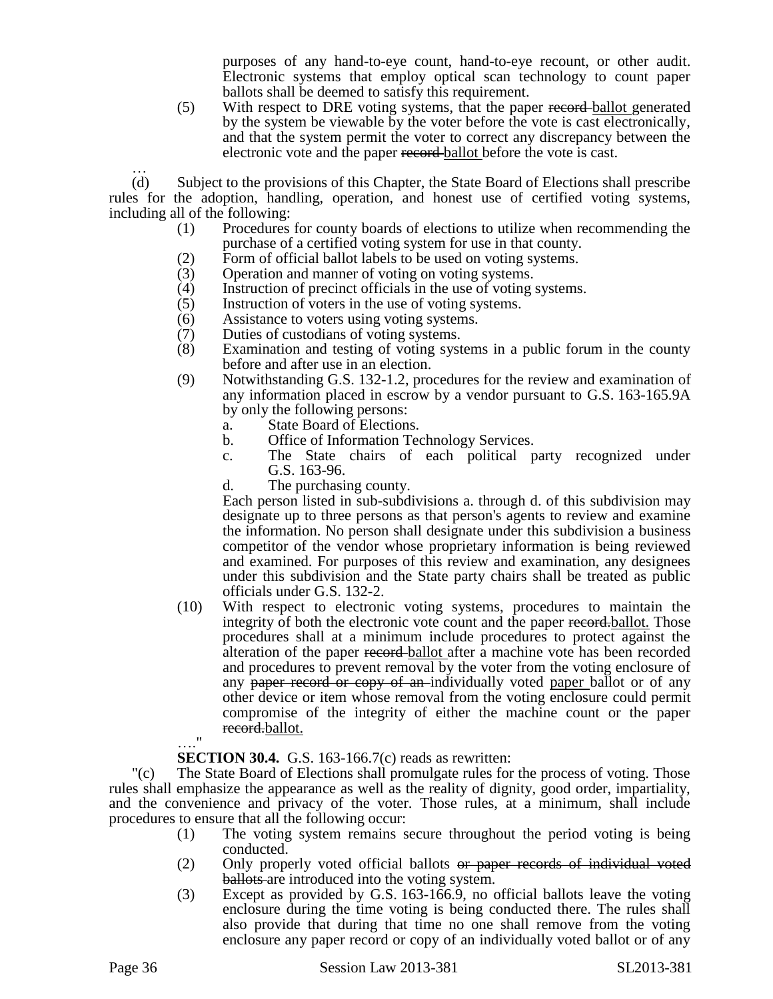purposes of any hand-to-eye count, hand-to-eye recount, or other audit. Electronic systems that employ optical scan technology to count paper ballots shall be deemed to satisfy this requirement.

(5) With respect to DRE voting systems, that the paper record ballot generated by the system be viewable by the voter before the vote is cast electronically, and that the system permit the voter to correct any discrepancy between the electronic vote and the paper record ballot before the vote is cast.

… (d) Subject to the provisions of this Chapter, the State Board of Elections shall prescribe rules for the adoption, handling, operation, and honest use of certified voting systems, including all of the following:

- (1) Procedures for county boards of elections to utilize when recommending the purchase of a certified voting system for use in that county.
- (2) Form of official ballot labels to be used on voting systems.
- (3) Operation and manner of voting on voting systems.
- (4) Instruction of precinct officials in the use of voting systems.
- (5) Instruction of voters in the use of voting systems.
- (6) Assistance to voters using voting systems.
- (7) Duties of custodians of voting systems.
- (8) Examination and testing of voting systems in a public forum in the county before and after use in an election.
- (9) Notwithstanding G.S. 132-1.2, procedures for the review and examination of any information placed in escrow by a vendor pursuant to G.S. 163-165.9A by only the following persons:
	- a. State Board of Elections.
	- b. Office of Information Technology Services.
	- c. The State chairs of each political party recognized under G.S. 163-96.
	- d. The purchasing county.

Each person listed in sub-subdivisions a. through d. of this subdivision may designate up to three persons as that person's agents to review and examine the information. No person shall designate under this subdivision a business competitor of the vendor whose proprietary information is being reviewed and examined. For purposes of this review and examination, any designees under this subdivision and the State party chairs shall be treated as public officials under G.S. 132-2.

(10) With respect to electronic voting systems, procedures to maintain the integrity of both the electronic vote count and the paper record.ballot. Those procedures shall at a minimum include procedures to protect against the alteration of the paper record ballot after a machine vote has been recorded and procedures to prevent removal by the voter from the voting enclosure of any paper record or copy of an-individually voted paper ballot or of any other device or item whose removal from the voting enclosure could permit compromise of the integrity of either the machine count or the paper record.ballot. …."

### **SECTION 30.4.** G.S. 163-166.7(c) reads as rewritten:

"(c) The State Board of Elections shall promulgate rules for the process of voting. Those rules shall emphasize the appearance as well as the reality of dignity, good order, impartiality, and the convenience and privacy of the voter. Those rules, at a minimum, shall include procedures to ensure that all the following occur:

- (1) The voting system remains secure throughout the period voting is being conducted.
- (2) Only properly voted official ballots or paper records of individual voted ballots are introduced into the voting system.
- (3) Except as provided by G.S. 163-166.9, no official ballots leave the voting enclosure during the time voting is being conducted there. The rules shall also provide that during that time no one shall remove from the voting enclosure any paper record or copy of an individually voted ballot or of any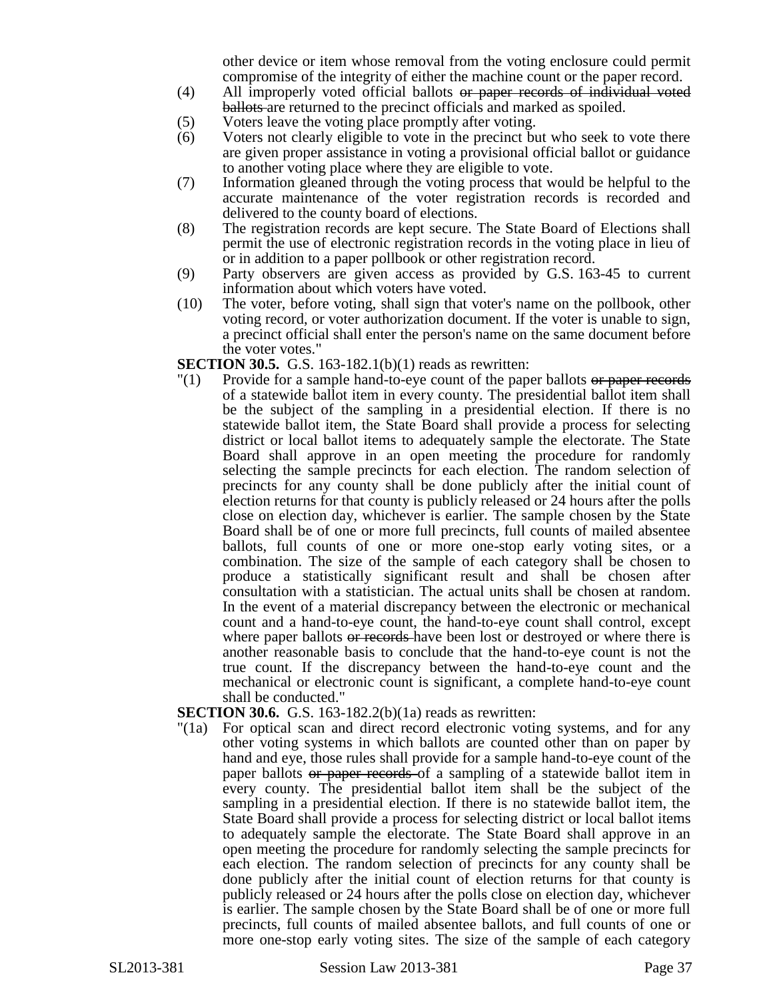other device or item whose removal from the voting enclosure could permit compromise of the integrity of either the machine count or the paper record.

- (4) All improperly voted official ballots or paper records of individual voted ballots are returned to the precinct officials and marked as spoiled.
- (5) Voters leave the voting place promptly after voting.
- (6) Voters not clearly eligible to vote in the precinct but who seek to vote there are given proper assistance in voting a provisional official ballot or guidance to another voting place where they are eligible to vote.
- (7) Information gleaned through the voting process that would be helpful to the accurate maintenance of the voter registration records is recorded and delivered to the county board of elections.
- (8) The registration records are kept secure. The State Board of Elections shall permit the use of electronic registration records in the voting place in lieu of or in addition to a paper pollbook or other registration record.
- (9) Party observers are given access as provided by G.S. 163-45 to current information about which voters have voted.
- (10) The voter, before voting, shall sign that voter's name on the pollbook, other voting record, or voter authorization document. If the voter is unable to sign, a precinct official shall enter the person's name on the same document before the voter votes."

**SECTION 30.5.** G.S. 163-182.1(b)(1) reads as rewritten:

 $\Gamma(1)$  Provide for a sample hand-to-eye count of the paper ballots or paper records of a statewide ballot item in every county. The presidential ballot item shall be the subject of the sampling in a presidential election. If there is no statewide ballot item, the State Board shall provide a process for selecting district or local ballot items to adequately sample the electorate. The State Board shall approve in an open meeting the procedure for randomly selecting the sample precincts for each election. The random selection of precincts for any county shall be done publicly after the initial count of election returns for that county is publicly released or 24 hours after the polls close on election day, whichever is earlier. The sample chosen by the State Board shall be of one or more full precincts, full counts of mailed absentee ballots, full counts of one or more one-stop early voting sites, or a combination. The size of the sample of each category shall be chosen to produce a statistically significant result and shall be chosen after consultation with a statistician. The actual units shall be chosen at random. In the event of a material discrepancy between the electronic or mechanical count and a hand-to-eye count, the hand-to-eye count shall control, except where paper ballots or records have been lost or destroyed or where there is another reasonable basis to conclude that the hand-to-eye count is not the true count. If the discrepancy between the hand-to-eye count and the mechanical or electronic count is significant, a complete hand-to-eye count shall be conducted."

**SECTION 30.6.** G.S. 163-182.2(b)(1a) reads as rewritten:

"(1a) For optical scan and direct record electronic voting systems, and for any other voting systems in which ballots are counted other than on paper by hand and eye, those rules shall provide for a sample hand-to-eye count of the paper ballots or paper records of a sampling of a statewide ballot item in every county. The presidential ballot item shall be the subject of the sampling in a presidential election. If there is no statewide ballot item, the State Board shall provide a process for selecting district or local ballot items to adequately sample the electorate. The State Board shall approve in an open meeting the procedure for randomly selecting the sample precincts for each election. The random selection of precincts for any county shall be done publicly after the initial count of election returns for that county is publicly released or 24 hours after the polls close on election day, whichever is earlier. The sample chosen by the State Board shall be of one or more full precincts, full counts of mailed absentee ballots, and full counts of one or more one-stop early voting sites. The size of the sample of each category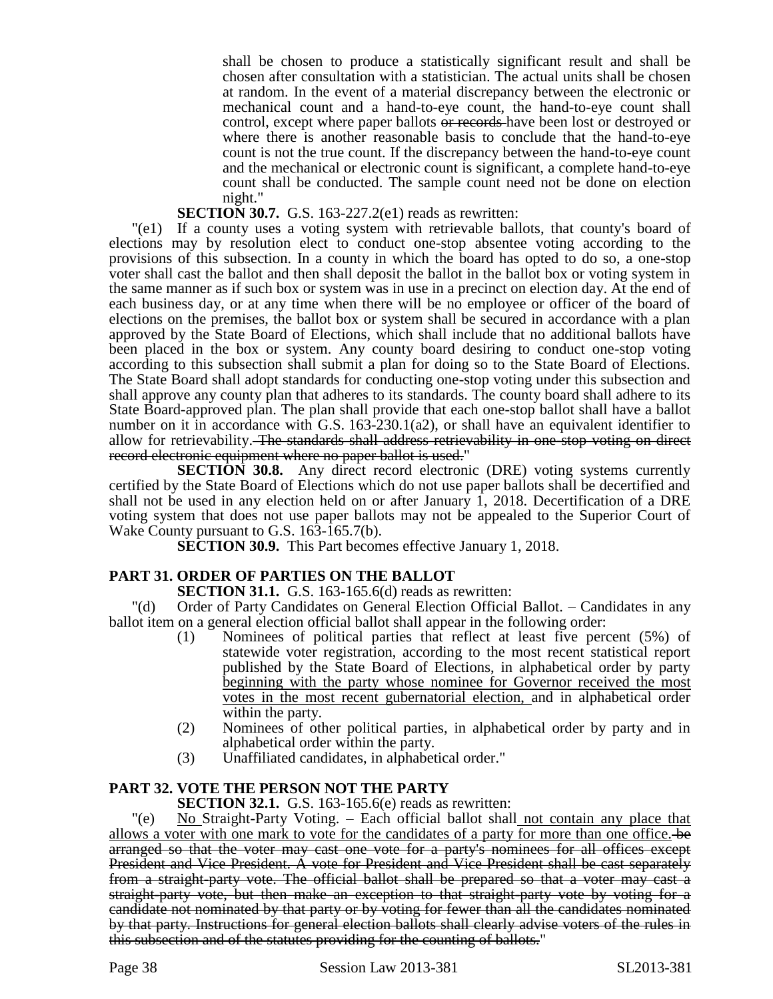shall be chosen to produce a statistically significant result and shall be chosen after consultation with a statistician. The actual units shall be chosen at random. In the event of a material discrepancy between the electronic or mechanical count and a hand-to-eye count, the hand-to-eye count shall control, except where paper ballots or records have been lost or destroyed or where there is another reasonable basis to conclude that the hand-to-eye count is not the true count. If the discrepancy between the hand-to-eye count and the mechanical or electronic count is significant, a complete hand-to-eye count shall be conducted. The sample count need not be done on election night."

# **SECTION 30.7.** G.S. 163-227.2(e1) reads as rewritten:

"(e1) If a county uses a voting system with retrievable ballots, that county's board of elections may by resolution elect to conduct one-stop absentee voting according to the provisions of this subsection. In a county in which the board has opted to do so, a one-stop voter shall cast the ballot and then shall deposit the ballot in the ballot box or voting system in the same manner as if such box or system was in use in a precinct on election day. At the end of each business day, or at any time when there will be no employee or officer of the board of elections on the premises, the ballot box or system shall be secured in accordance with a plan approved by the State Board of Elections, which shall include that no additional ballots have been placed in the box or system. Any county board desiring to conduct one-stop voting according to this subsection shall submit a plan for doing so to the State Board of Elections. The State Board shall adopt standards for conducting one-stop voting under this subsection and shall approve any county plan that adheres to its standards. The county board shall adhere to its State Board-approved plan. The plan shall provide that each one-stop ballot shall have a ballot number on it in accordance with G.S. 163-230.1(a2), or shall have an equivalent identifier to allow for retrievability. The standards shall address retrievability in one-stop voting on direct record electronic equipment where no paper ballot is used."

**SECTION 30.8.** Any direct record electronic (DRE) voting systems currently certified by the State Board of Elections which do not use paper ballots shall be decertified and shall not be used in any election held on or after January 1, 2018. Decertification of a DRE voting system that does not use paper ballots may not be appealed to the Superior Court of Wake County pursuant to G.S. 163-165.7(b).

**SECTION 30.9.** This Part becomes effective January 1, 2018.

# **PART 31. ORDER OF PARTIES ON THE BALLOT**

**SECTION 31.1.** G.S. 163-165.6(d) reads as rewritten:

"(d) Order of Party Candidates on General Election Official Ballot. – Candidates in any ballot item on a general election official ballot shall appear in the following order:

- (1) Nominees of political parties that reflect at least five percent (5%) of statewide voter registration, according to the most recent statistical report published by the State Board of Elections, in alphabetical order by party beginning with the party whose nominee for Governor received the most votes in the most recent gubernatorial election, and in alphabetical order within the party.
- (2) Nominees of other political parties, in alphabetical order by party and in alphabetical order within the party.
- (3) Unaffiliated candidates, in alphabetical order."

# **PART 32. VOTE THE PERSON NOT THE PARTY**

**SECTION 32.1.** G.S. 163-165.6(e) reads as rewritten:

"(e) No Straight-Party Voting. – Each official ballot shall not contain any place that allows a voter with one mark to vote for the candidates of a party for more than one office. be arranged so that the voter may cast one vote for a party's nominees for all offices except President and Vice President. A vote for President and Vice President shall be cast separately from a straight-party vote. The official ballot shall be prepared so that a voter may cast a straight-party vote, but then make an exception to that straight-party vote by voting for a candidate not nominated by that party or by voting for fewer than all the candidates nominated by that party. Instructions for general election ballots shall clearly advise voters of the rules in this subsection and of the statutes providing for the counting of ballots."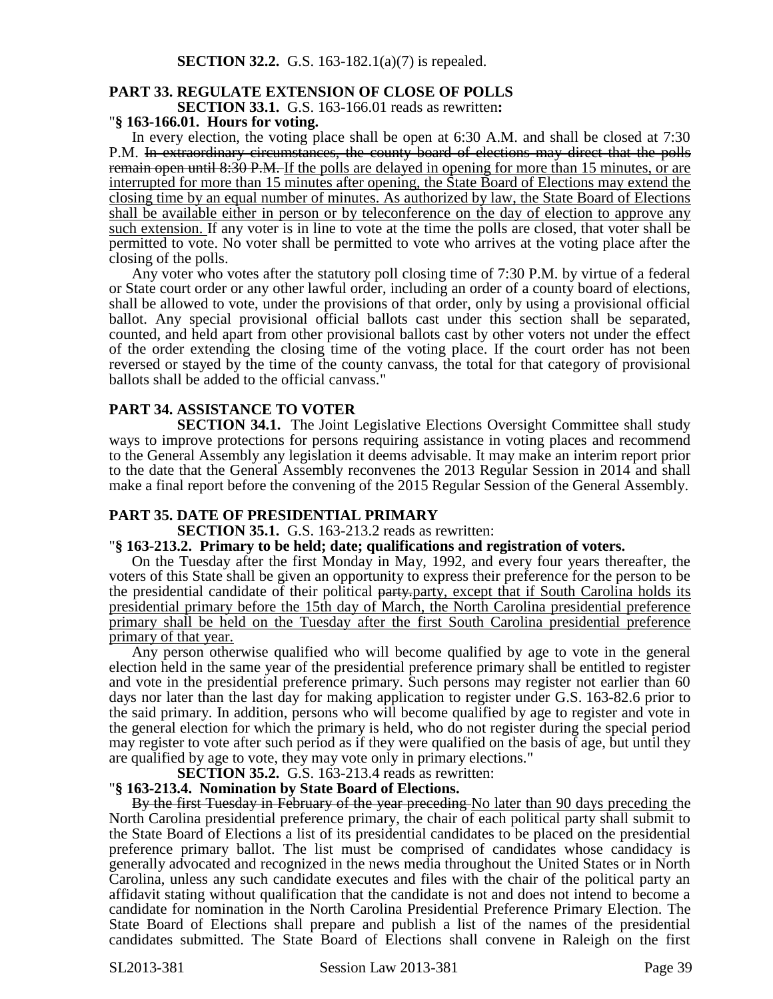# **PART 33. REGULATE EXTENSION OF CLOSE OF POLLS**

**SECTION 33.1.** G.S. 163-166.01 reads as rewritten**:**

### "**§ 163-166.01. Hours for voting.**

In every election, the voting place shall be open at 6:30 A.M. and shall be closed at 7:30 P.M. In extraordinary circumstances, the county board of elections may direct that the polls remain open until 8:30 P.M. If the polls are delayed in opening for more than 15 minutes, or are interrupted for more than 15 minutes after opening, the State Board of Elections may extend the closing time by an equal number of minutes. As authorized by law, the State Board of Elections shall be available either in person or by teleconference on the day of election to approve any such extension. If any voter is in line to vote at the time the polls are closed, that voter shall be permitted to vote. No voter shall be permitted to vote who arrives at the voting place after the closing of the polls.

Any voter who votes after the statutory poll closing time of 7:30 P.M. by virtue of a federal or State court order or any other lawful order, including an order of a county board of elections, shall be allowed to vote, under the provisions of that order, only by using a provisional official ballot. Any special provisional official ballots cast under this section shall be separated, counted, and held apart from other provisional ballots cast by other voters not under the effect of the order extending the closing time of the voting place. If the court order has not been reversed or stayed by the time of the county canvass, the total for that category of provisional ballots shall be added to the official canvass."

# **PART 34. ASSISTANCE TO VOTER**

**SECTION 34.1.** The Joint Legislative Elections Oversight Committee shall study ways to improve protections for persons requiring assistance in voting places and recommend to the General Assembly any legislation it deems advisable. It may make an interim report prior to the date that the General Assembly reconvenes the 2013 Regular Session in 2014 and shall make a final report before the convening of the 2015 Regular Session of the General Assembly.

### **PART 35. DATE OF PRESIDENTIAL PRIMARY**

**SECTION 35.1.** G.S. 163-213.2 reads as rewritten:

#### "**§ 163-213.2. Primary to be held; date; qualifications and registration of voters.**

On the Tuesday after the first Monday in May, 1992, and every four years thereafter, the voters of this State shall be given an opportunity to express their preference for the person to be the presidential candidate of their political party, party, except that if South Carolina holds its presidential primary before the 15th day of March, the North Carolina presidential preference primary shall be held on the Tuesday after the first South Carolina presidential preference primary of that year.

Any person otherwise qualified who will become qualified by age to vote in the general election held in the same year of the presidential preference primary shall be entitled to register and vote in the presidential preference primary. Such persons may register not earlier than 60 days nor later than the last day for making application to register under G.S. 163-82.6 prior to the said primary. In addition, persons who will become qualified by age to register and vote in the general election for which the primary is held, who do not register during the special period may register to vote after such period as if they were qualified on the basis of age, but until they are qualified by age to vote, they may vote only in primary elections."

**SECTION 35.2.** G.S. 163-213.4 reads as rewritten:

### "**§ 163-213.4. Nomination by State Board of Elections.**

By the first Tuesday in February of the year preceding No later than 90 days preceding the North Carolina presidential preference primary, the chair of each political party shall submit to the State Board of Elections a list of its presidential candidates to be placed on the presidential preference primary ballot. The list must be comprised of candidates whose candidacy is generally advocated and recognized in the news media throughout the United States or in North Carolina, unless any such candidate executes and files with the chair of the political party an affidavit stating without qualification that the candidate is not and does not intend to become a candidate for nomination in the North Carolina Presidential Preference Primary Election. The State Board of Elections shall prepare and publish a list of the names of the presidential candidates submitted. The State Board of Elections shall convene in Raleigh on the first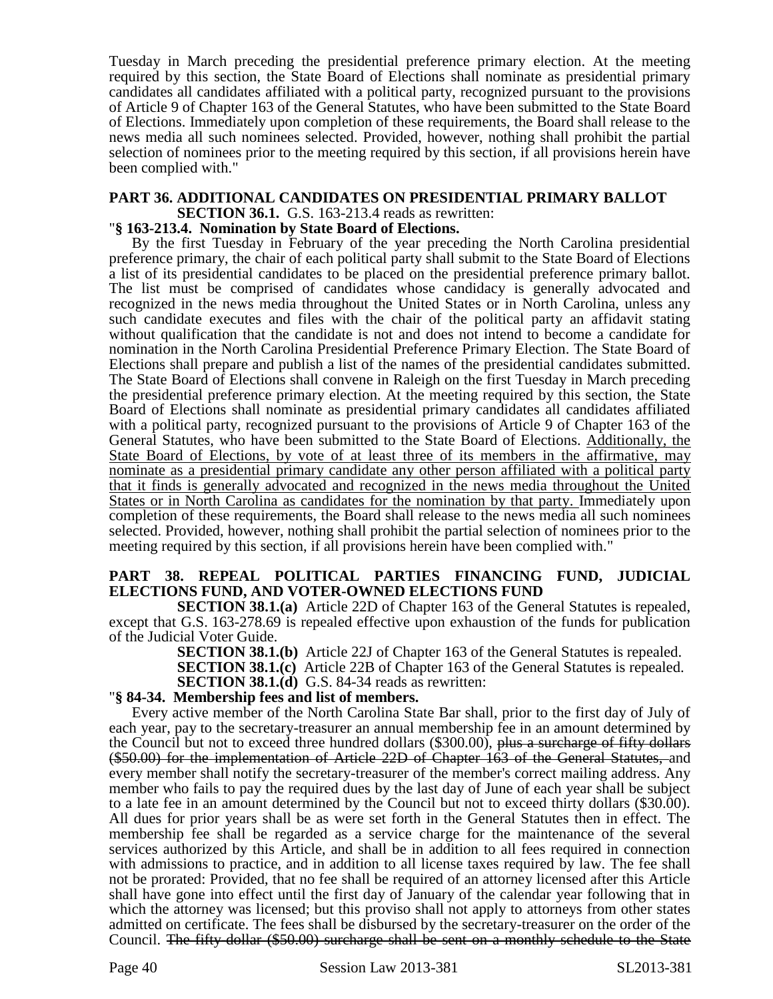Tuesday in March preceding the presidential preference primary election. At the meeting required by this section, the State Board of Elections shall nominate as presidential primary candidates all candidates affiliated with a political party, recognized pursuant to the provisions of Article 9 of Chapter 163 of the General Statutes, who have been submitted to the State Board of Elections. Immediately upon completion of these requirements, the Board shall release to the news media all such nominees selected. Provided, however, nothing shall prohibit the partial selection of nominees prior to the meeting required by this section, if all provisions herein have been complied with."

# **PART 36. ADDITIONAL CANDIDATES ON PRESIDENTIAL PRIMARY BALLOT**

**SECTION 36.1.** G.S. 163-213.4 reads as rewritten:

# "**§ 163-213.4. Nomination by State Board of Elections.**

By the first Tuesday in February of the year preceding the North Carolina presidential preference primary, the chair of each political party shall submit to the State Board of Elections a list of its presidential candidates to be placed on the presidential preference primary ballot. The list must be comprised of candidates whose candidacy is generally advocated and recognized in the news media throughout the United States or in North Carolina, unless any such candidate executes and files with the chair of the political party an affidavit stating without qualification that the candidate is not and does not intend to become a candidate for nomination in the North Carolina Presidential Preference Primary Election. The State Board of Elections shall prepare and publish a list of the names of the presidential candidates submitted. The State Board of Elections shall convene in Raleigh on the first Tuesday in March preceding the presidential preference primary election. At the meeting required by this section, the State Board of Elections shall nominate as presidential primary candidates all candidates affiliated with a political party, recognized pursuant to the provisions of Article 9 of Chapter 163 of the General Statutes, who have been submitted to the State Board of Elections. Additionally, the State Board of Elections, by vote of at least three of its members in the affirmative, may nominate as a presidential primary candidate any other person affiliated with a political party that it finds is generally advocated and recognized in the news media throughout the United States or in North Carolina as candidates for the nomination by that party. Immediately upon completion of these requirements, the Board shall release to the news media all such nominees selected. Provided, however, nothing shall prohibit the partial selection of nominees prior to the meeting required by this section, if all provisions herein have been complied with."

# **PART 38. REPEAL POLITICAL PARTIES FINANCING FUND, JUDICIAL ELECTIONS FUND, AND VOTER-OWNED ELECTIONS FUND**

**SECTION 38.1.(a)** Article 22D of Chapter 163 of the General Statutes is repealed, except that G.S. 163-278.69 is repealed effective upon exhaustion of the funds for publication of the Judicial Voter Guide.

**SECTION 38.1.(b)** Article 22J of Chapter 163 of the General Statutes is repealed.

**SECTION 38.1.(c)** Article 22B of Chapter 163 of the General Statutes is repealed.

**SECTION 38.1.(d)** G.S. 84-34 reads as rewritten:

### "**§ 84-34. Membership fees and list of members.**

Every active member of the North Carolina State Bar shall, prior to the first day of July of each year, pay to the secretary-treasurer an annual membership fee in an amount determined by the Council but not to exceed three hundred dollars (\$300.00), plus a surcharge of fifty dollars (\$50.00) for the implementation of Article 22D of Chapter 163 of the General Statutes, and every member shall notify the secretary-treasurer of the member's correct mailing address. Any member who fails to pay the required dues by the last day of June of each year shall be subject to a late fee in an amount determined by the Council but not to exceed thirty dollars (\$30.00). All dues for prior years shall be as were set forth in the General Statutes then in effect. The membership fee shall be regarded as a service charge for the maintenance of the several services authorized by this Article, and shall be in addition to all fees required in connection with admissions to practice, and in addition to all license taxes required by law. The fee shall not be prorated: Provided, that no fee shall be required of an attorney licensed after this Article shall have gone into effect until the first day of January of the calendar year following that in which the attorney was licensed; but this proviso shall not apply to attorneys from other states admitted on certificate. The fees shall be disbursed by the secretary-treasurer on the order of the Council. The fifty-dollar (\$50.00) surcharge shall be sent on a monthly schedule to the State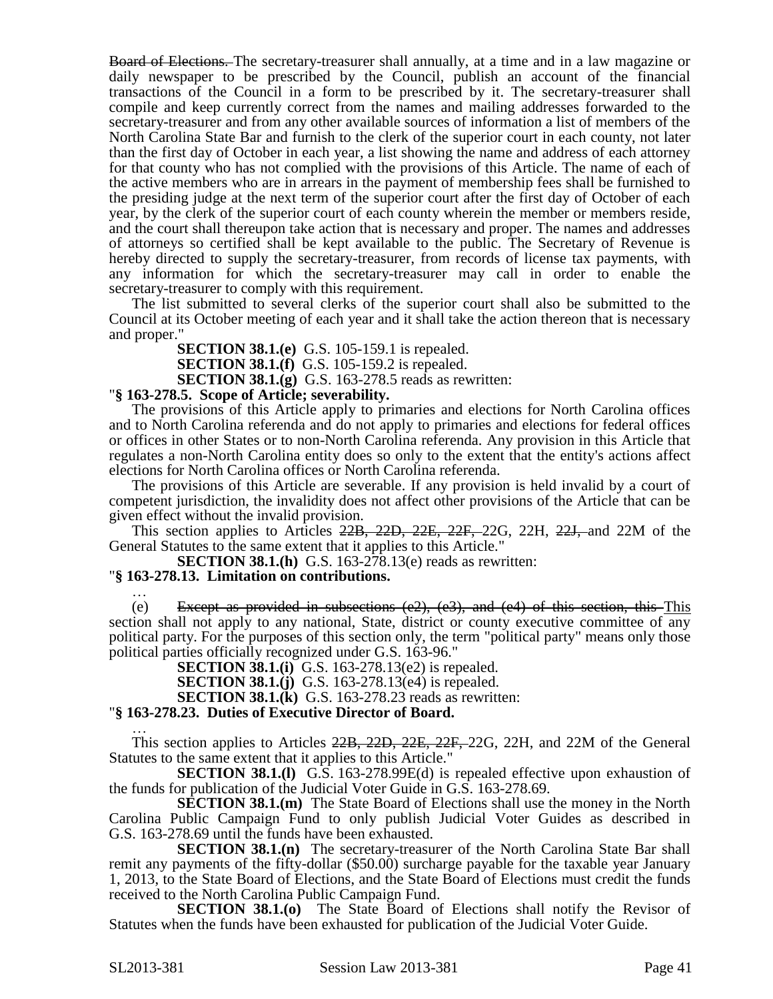Board of Elections. The secretary-treasurer shall annually, at a time and in a law magazine or daily newspaper to be prescribed by the Council, publish an account of the financial transactions of the Council in a form to be prescribed by it. The secretary-treasurer shall compile and keep currently correct from the names and mailing addresses forwarded to the secretary-treasurer and from any other available sources of information a list of members of the North Carolina State Bar and furnish to the clerk of the superior court in each county, not later than the first day of October in each year, a list showing the name and address of each attorney for that county who has not complied with the provisions of this Article. The name of each of the active members who are in arrears in the payment of membership fees shall be furnished to the presiding judge at the next term of the superior court after the first day of October of each year, by the clerk of the superior court of each county wherein the member or members reside, and the court shall thereupon take action that is necessary and proper. The names and addresses of attorneys so certified shall be kept available to the public. The Secretary of Revenue is hereby directed to supply the secretary-treasurer, from records of license tax payments, with any information for which the secretary-treasurer may call in order to enable the secretary-treasurer to comply with this requirement.

The list submitted to several clerks of the superior court shall also be submitted to the Council at its October meeting of each year and it shall take the action thereon that is necessary and proper."

**SECTION 38.1.(e)** G.S. 105-159.1 is repealed.

**SECTION 38.1.(f)** G.S. 105-159.2 is repealed.

**SECTION 38.1.(g)** G.S. 163-278.5 reads as rewritten:

# "**§ 163-278.5. Scope of Article; severability.**

The provisions of this Article apply to primaries and elections for North Carolina offices and to North Carolina referenda and do not apply to primaries and elections for federal offices or offices in other States or to non-North Carolina referenda. Any provision in this Article that regulates a non-North Carolina entity does so only to the extent that the entity's actions affect elections for North Carolina offices or North Carolina referenda.

The provisions of this Article are severable. If any provision is held invalid by a court of competent jurisdiction, the invalidity does not affect other provisions of the Article that can be given effect without the invalid provision.

This section applies to Articles 22B, 22D, 22E, 22F, 22G, 22H, 22J, and 22M of the General Statutes to the same extent that it applies to this Article."

**SECTION 38.1.(h)** G.S. 163-278.13(e) reads as rewritten:

### "**§ 163-278.13. Limitation on contributions.**

… (e) Except as provided in subsections  $(e2)$ ,  $(e3)$ , and  $(e4)$  of this section, this This section shall not apply to any national, State, district or county executive committee of any political party. For the purposes of this section only, the term "political party" means only those political parties officially recognized under G.S. 163-96."

**SECTION 38.1.(i)** G.S. 163-278.13(e2) is repealed.

**SECTION 38.1.(j)** G.S. 163-278.13(e4) is repealed.

**SECTION 38.1.(k)** G.S. 163-278.23 reads as rewritten:

### "**§ 163-278.23. Duties of Executive Director of Board.**

… This section applies to Articles 22B, 22D, 22E, 22F, 22G, 22H, and 22M of the General Statutes to the same extent that it applies to this Article."

**SECTION 38.1.(I)** G.S. 163-278.99E(d) is repealed effective upon exhaustion of the funds for publication of the Judicial Voter Guide in G.S. 163-278.69.

**SECTION 38.1.(m)** The State Board of Elections shall use the money in the North Carolina Public Campaign Fund to only publish Judicial Voter Guides as described in G.S. 163-278.69 until the funds have been exhausted.

**SECTION 38.1.(n)** The secretary-treasurer of the North Carolina State Bar shall remit any payments of the fifty-dollar (\$50.00) surcharge payable for the taxable year January 1, 2013, to the State Board of Elections, and the State Board of Elections must credit the funds received to the North Carolina Public Campaign Fund.

**SECTION 38.1.(o)** The State Board of Elections shall notify the Revisor of Statutes when the funds have been exhausted for publication of the Judicial Voter Guide.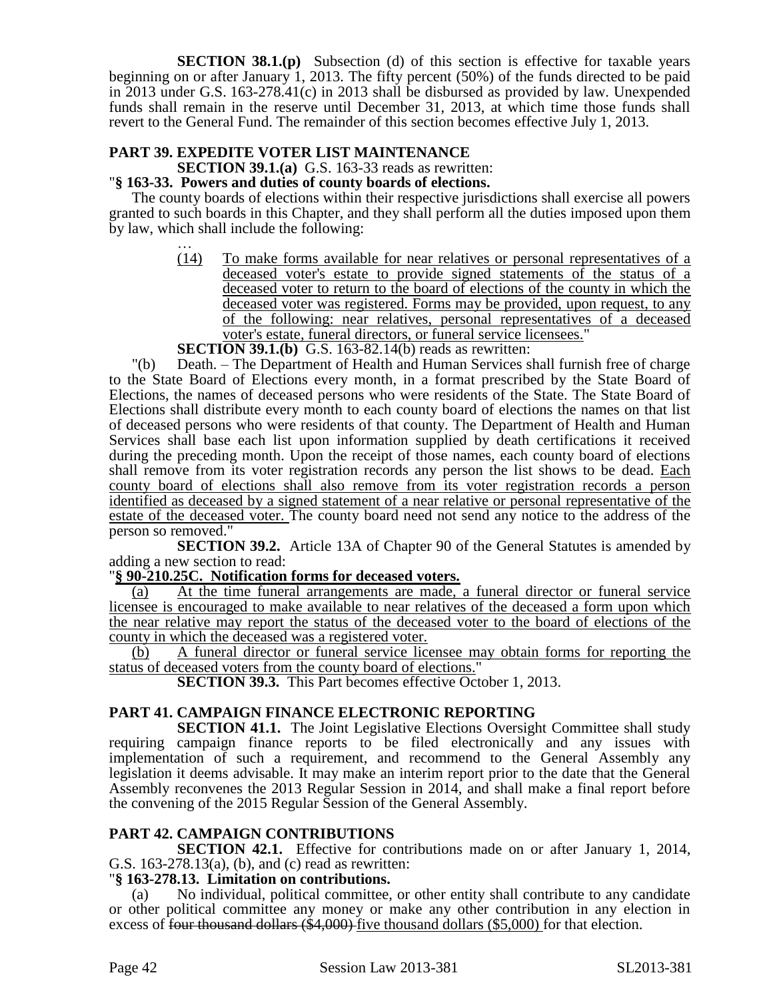**SECTION 38.1.(p)** Subsection (d) of this section is effective for taxable years beginning on or after January 1, 2013. The fifty percent (50%) of the funds directed to be paid in 2013 under G.S. 163-278.41(c) in 2013 shall be disbursed as provided by law. Unexpended funds shall remain in the reserve until December 31, 2013, at which time those funds shall revert to the General Fund. The remainder of this section becomes effective July 1, 2013.

# **PART 39. EXPEDITE VOTER LIST MAINTENANCE**

**SECTION 39.1.(a)** G.S. 163-33 reads as rewritten:

# "**§ 163-33. Powers and duties of county boards of elections.**

The county boards of elections within their respective jurisdictions shall exercise all powers granted to such boards in this Chapter, and they shall perform all the duties imposed upon them by law, which shall include the following:

… (14) To make forms available for near relatives or personal representatives of a deceased voter's estate to provide signed statements of the status of a deceased voter to return to the board of elections of the county in which the deceased voter was registered. Forms may be provided, upon request, to any of the following: near relatives, personal representatives of a deceased voter's estate, funeral directors, or funeral service licensees."

# **SECTION 39.1.(b)** G.S. 163-82.14(b) reads as rewritten:

"(b) Death. – The Department of Health and Human Services shall furnish free of charge to the State Board of Elections every month, in a format prescribed by the State Board of Elections, the names of deceased persons who were residents of the State. The State Board of Elections shall distribute every month to each county board of elections the names on that list of deceased persons who were residents of that county. The Department of Health and Human Services shall base each list upon information supplied by death certifications it received during the preceding month. Upon the receipt of those names, each county board of elections shall remove from its voter registration records any person the list shows to be dead. Each county board of elections shall also remove from its voter registration records a person identified as deceased by a signed statement of a near relative or personal representative of the estate of the deceased voter. The county board need not send any notice to the address of the person so removed."

**SECTION 39.2.** Article 13A of Chapter 90 of the General Statutes is amended by adding a new section to read:

### "**§ 90-210.25C. Notification forms for deceased voters.**

(a) At the time funeral arrangements are made, a funeral director or funeral service licensee is encouraged to make available to near relatives of the deceased a form upon which the near relative may report the status of the deceased voter to the board of elections of the county in which the deceased was a registered voter.

(b) A funeral director or funeral service licensee may obtain forms for reporting the status of deceased voters from the county board of elections."

**SECTION 39.3.** This Part becomes effective October 1, 2013.

# **PART 41. CAMPAIGN FINANCE ELECTRONIC REPORTING**

**SECTION 41.1.** The Joint Legislative Elections Oversight Committee shall study requiring campaign finance reports to be filed electronically and any issues with implementation of such a requirement, and recommend to the General Assembly any legislation it deems advisable. It may make an interim report prior to the date that the General Assembly reconvenes the 2013 Regular Session in 2014, and shall make a final report before the convening of the 2015 Regular Session of the General Assembly.

# **PART 42. CAMPAIGN CONTRIBUTIONS**

**SECTION 42.1.** Effective for contributions made on or after January 1, 2014, G.S. 163-278.13(a), (b), and (c) read as rewritten:

### "**§ 163-278.13. Limitation on contributions.**

(a) No individual, political committee, or other entity shall contribute to any candidate or other political committee any money or make any other contribution in any election in excess of four thousand dollars (\$4,000) five thousand dollars (\$5,000) for that election.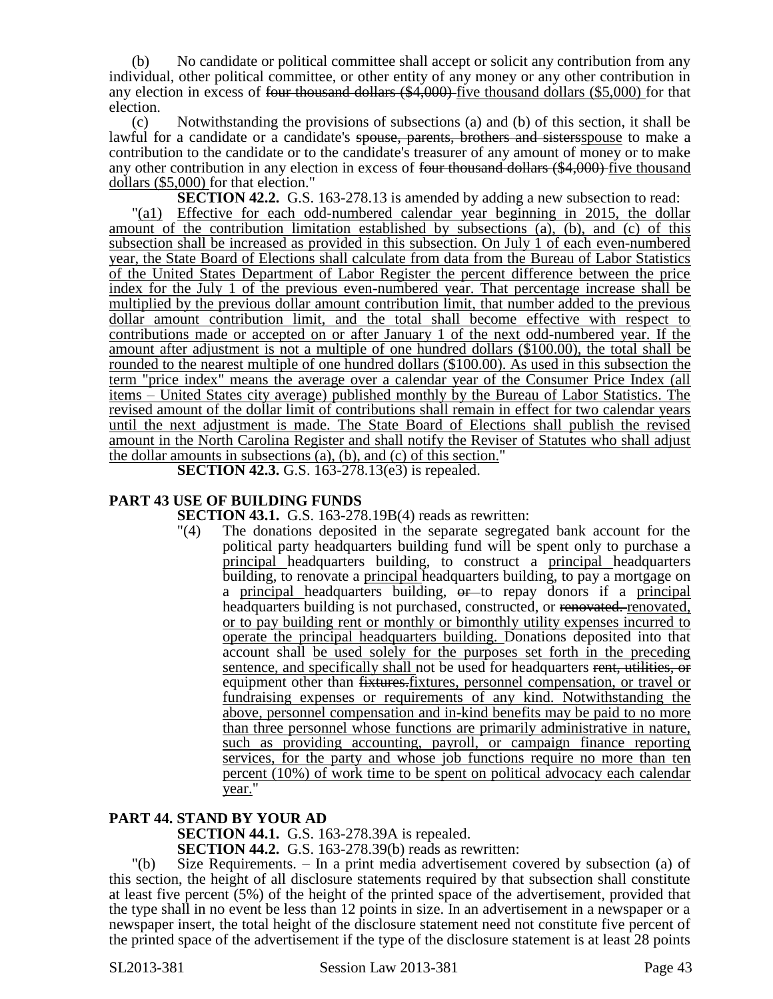(b) No candidate or political committee shall accept or solicit any contribution from any individual, other political committee, or other entity of any money or any other contribution in any election in excess of four thousand dollars (\$4,000) five thousand dollars (\$5,000) for that election.

(c) Notwithstanding the provisions of subsections (a) and (b) of this section, it shall be lawful for a candidate or a candidate's spouse, parents, brothers and sisters spouse to make a contribution to the candidate or to the candidate's treasurer of any amount of money or to make any other contribution in any election in excess of four thousand dollars (\$4,000) five thousand dollars (\$5,000) for that election."

**SECTION 42.2.** G.S. 163-278.13 is amended by adding a new subsection to read:

"(a1) Effective for each odd-numbered calendar year beginning in 2015, the dollar amount of the contribution limitation established by subsections (a), (b), and (c) of this subsection shall be increased as provided in this subsection. On July 1 of each even-numbered year, the State Board of Elections shall calculate from data from the Bureau of Labor Statistics of the United States Department of Labor Register the percent difference between the price index for the July 1 of the previous even-numbered year. That percentage increase shall be multiplied by the previous dollar amount contribution limit, that number added to the previous dollar amount contribution limit, and the total shall become effective with respect to contributions made or accepted on or after January 1 of the next odd-numbered year. If the amount after adjustment is not a multiple of one hundred dollars (\$100.00), the total shall be rounded to the nearest multiple of one hundred dollars (\$100.00). As used in this subsection the term "price index" means the average over a calendar year of the Consumer Price Index (all items – United States city average) published monthly by the Bureau of Labor Statistics. The revised amount of the dollar limit of contributions shall remain in effect for two calendar years until the next adjustment is made. The State Board of Elections shall publish the revised amount in the North Carolina Register and shall notify the Reviser of Statutes who shall adjust the dollar amounts in subsections (a), (b), and (c) of this section."

**SECTION 42.3.** G.S. 163-278.13(e3) is repealed.

# **PART 43 USE OF BUILDING FUNDS**

**SECTION 43.1.** G.S. 163-278.19B(4) reads as rewritten:

"(4) The donations deposited in the separate segregated bank account for the political party headquarters building fund will be spent only to purchase a principal headquarters building, to construct a principal headquarters building, to renovate a principal headquarters building, to pay a mortgage on a principal headquarters building,  $\theta$  to repay donors if a principal headquarters building is not purchased, constructed, or renovated. renovated, or to pay building rent or monthly or bimonthly utility expenses incurred to operate the principal headquarters building. Donations deposited into that account shall be used solely for the purposes set forth in the preceding sentence, and specifically shall not be used for headquarters rent, utilities, or equipment other than  $\frac{f}{f}$  fixtures, personnel compensation, or travel or fundraising expenses or requirements of any kind. Notwithstanding the above, personnel compensation and in-kind benefits may be paid to no more than three personnel whose functions are primarily administrative in nature, such as providing accounting, payroll, or campaign finance reporting services, for the party and whose job functions require no more than ten percent (10%) of work time to be spent on political advocacy each calendar year."

### **PART 44. STAND BY YOUR AD**

**SECTION 44.1.** G.S. 163-278.39A is repealed.

**SECTION 44.2.** G.S. 163-278.39(b) reads as rewritten:

"(b) Size Requirements. – In a print media advertisement covered by subsection (a) of this section, the height of all disclosure statements required by that subsection shall constitute at least five percent (5%) of the height of the printed space of the advertisement, provided that the type shall in no event be less than 12 points in size. In an advertisement in a newspaper or a newspaper insert, the total height of the disclosure statement need not constitute five percent of the printed space of the advertisement if the type of the disclosure statement is at least 28 points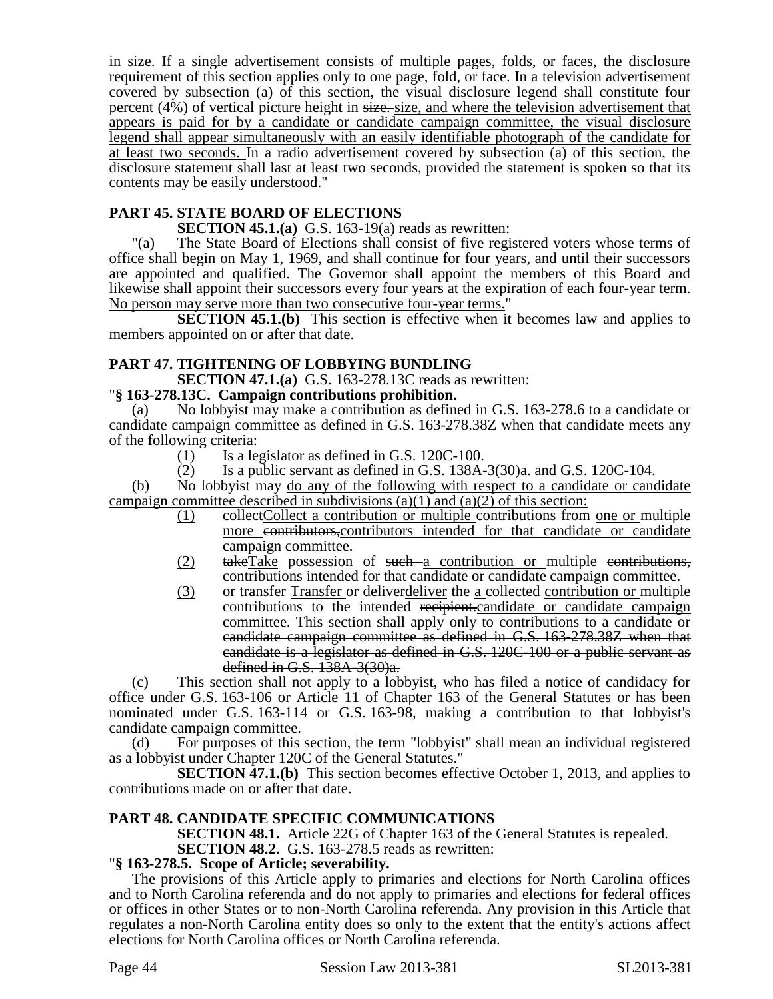in size. If a single advertisement consists of multiple pages, folds, or faces, the disclosure requirement of this section applies only to one page, fold, or face. In a television advertisement covered by subsection (a) of this section, the visual disclosure legend shall constitute four percent (4%) of vertical picture height in size. size, and where the television advertisement that appears is paid for by a candidate or candidate campaign committee, the visual disclosure legend shall appear simultaneously with an easily identifiable photograph of the candidate for at least two seconds. In a radio advertisement covered by subsection (a) of this section, the disclosure statement shall last at least two seconds, provided the statement is spoken so that its contents may be easily understood."

# **PART 45. STATE BOARD OF ELECTIONS**

### **SECTION 45.1.(a)** G.S. 163-19(a) reads as rewritten:

"(a) The State Board of Elections shall consist of five registered voters whose terms of office shall begin on May 1, 1969, and shall continue for four years, and until their successors are appointed and qualified. The Governor shall appoint the members of this Board and likewise shall appoint their successors every four years at the expiration of each four-year term. No person may serve more than two consecutive four-year terms."

**SECTION 45.1.(b)** This section is effective when it becomes law and applies to members appointed on or after that date.

# **PART 47. TIGHTENING OF LOBBYING BUNDLING**

**SECTION 47.1.(a)** G.S. 163-278.13C reads as rewritten:

### "**§ 163-278.13C. Campaign contributions prohibition.**

(a) No lobbyist may make a contribution as defined in G.S. 163-278.6 to a candidate or candidate campaign committee as defined in G.S. 163-278.38Z when that candidate meets any of the following criteria:

- $(1)$  Is a legislator as defined in G.S. 120C-100.
- (2) Is a public servant as defined in G.S.  $138A-3(30)a$ . and G.S.  $120C-104$ .

(b) No lobbyist may do any of the following with respect to a candidate or candidate campaign committee described in subdivisions (a)(1) and (a)(2) of this section:

- $(1)$  eollectCollect a contribution or multiple contributions from one or multiple more contributors, contributors intended for that candidate or candidate campaign committee.
- (2) takeTake possession of such a contribution or multiple contributions, contributions intended for that candidate or candidate campaign committee.
- (3) or transfer-Transfer or deliverdeliver the a collected contribution or multiple contributions to the intended recipient.candidate or candidate campaign committee. This section shall apply only to contributions to a candidate or candidate campaign committee as defined in G.S. 163-278.38Z when that candidate is a legislator as defined in G.S. 120C-100 or a public servant as defined in G.S. 138A-3(30)a.

(c) This section shall not apply to a lobbyist, who has filed a notice of candidacy for office under G.S. 163-106 or Article 11 of Chapter 163 of the General Statutes or has been nominated under G.S. 163-114 or G.S. 163-98, making a contribution to that lobbyist's candidate campaign committee.

(d) For purposes of this section, the term "lobbyist" shall mean an individual registered as a lobbyist under Chapter 120C of the General Statutes."

**SECTION 47.1.(b)** This section becomes effective October 1, 2013, and applies to contributions made on or after that date.

### **PART 48. CANDIDATE SPECIFIC COMMUNICATIONS**

**SECTION 48.1.** Article 22G of Chapter 163 of the General Statutes is repealed.

### **SECTION 48.2.** G.S. 163-278.5 reads as rewritten:

### "**§ 163-278.5. Scope of Article; severability.**

The provisions of this Article apply to primaries and elections for North Carolina offices and to North Carolina referenda and do not apply to primaries and elections for federal offices or offices in other States or to non-North Carolina referenda. Any provision in this Article that regulates a non-North Carolina entity does so only to the extent that the entity's actions affect elections for North Carolina offices or North Carolina referenda.

Page 44 Session Law 2013-381 SL2013-381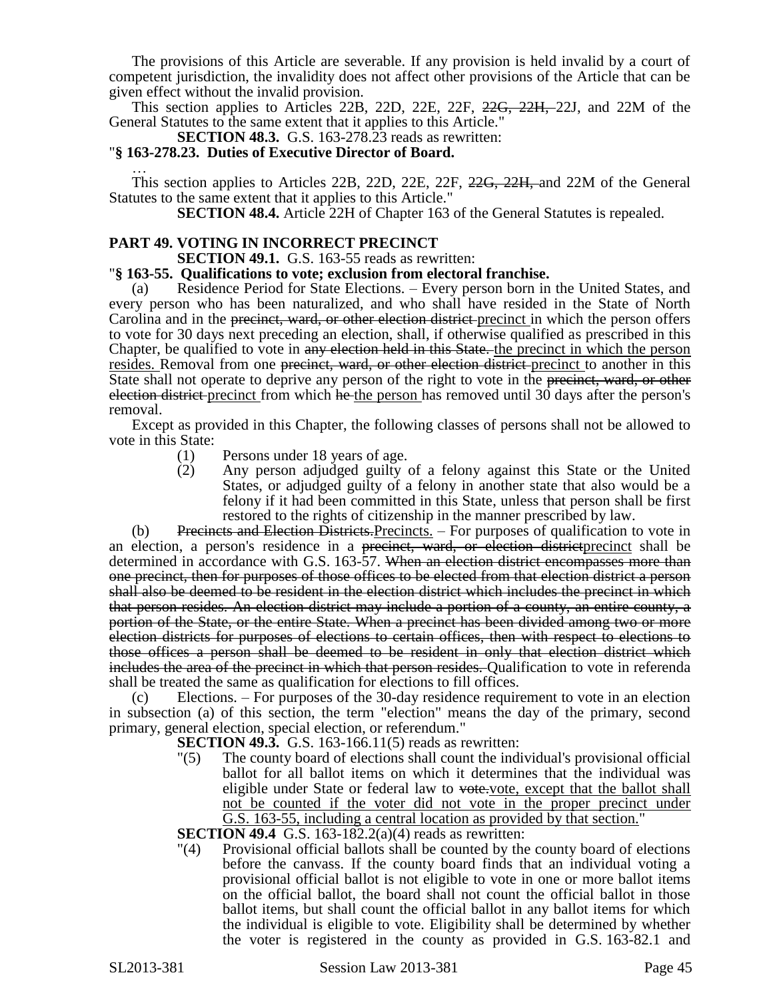The provisions of this Article are severable. If any provision is held invalid by a court of competent jurisdiction, the invalidity does not affect other provisions of the Article that can be given effect without the invalid provision.

This section applies to Articles 22B, 22D, 22E, 22F, <del>22G, 22H, 2</del>2J, and 22M of the General Statutes to the same extent that it applies to this Article."

**SECTION 48.3.** G.S. 163-278.23 reads as rewritten:

### "**§ 163-278.23. Duties of Executive Director of Board.**

… This section applies to Articles 22B, 22D, 22E, 22F, 22G, 22H, and 22M of the General Statutes to the same extent that it applies to this Article."

**SECTION 48.4.** Article 22H of Chapter 163 of the General Statutes is repealed.

# **PART 49. VOTING IN INCORRECT PRECINCT**

**SECTION 49.1.** G.S. 163-55 reads as rewritten:

#### "**§ 163-55. Qualifications to vote; exclusion from electoral franchise.**

Residence Period for State Elections. – Every person born in the United States, and every person who has been naturalized, and who shall have resided in the State of North Carolina and in the <del>precinct, ward, or other election district</del>-precinct in which the person offers to vote for 30 days next preceding an election, shall, if otherwise qualified as prescribed in this Chapter, be qualified to vote in any election held in this State. the precinct in which the person resides. Removal from one precinct, ward, or other election district-precinct to another in this State shall not operate to deprive any person of the right to vote in the precinct, ward, or other election district precinct from which he the person has removed until 30 days after the person's removal.

Except as provided in this Chapter, the following classes of persons shall not be allowed to vote in this State:

- (1) Persons under 18 years of age.
- (2) Any person adjudged guilty of a felony against this State or the United States, or adjudged guilty of a felony in another state that also would be a felony if it had been committed in this State, unless that person shall be first restored to the rights of citizenship in the manner prescribed by law.

(b) Precincts and Election Districts. Precincts. – For purposes of qualification to vote in an election, a person's residence in a <del>precinct, ward, or election district</del> precinct shall be determined in accordance with G.S. 163-57. When an election district encompasses more than one precinct, then for purposes of those offices to be elected from that election district a person shall also be deemed to be resident in the election district which includes the precinct in which that person resides. An election district may include a portion of a county, an entire county, a portion of the State, or the entire State. When a precinct has been divided among two or more election districts for purposes of elections to certain offices, then with respect to elections to those offices a person shall be deemed to be resident in only that election district which includes the area of the precinct in which that person resides. Qualification to vote in referenda shall be treated the same as qualification for elections to fill offices.

(c) Elections. – For purposes of the 30-day residence requirement to vote in an election in subsection (a) of this section, the term "election" means the day of the primary, second primary, general election, special election, or referendum."

- **SECTION 49.3.** G.S. 163-166.11(5) reads as rewritten:
- "(5) The county board of elections shall count the individual's provisional official ballot for all ballot items on which it determines that the individual was eligible under State or federal law to vote.vote, except that the ballot shall not be counted if the voter did not vote in the proper precinct under G.S. 163-55, including a central location as provided by that section."

**SECTION 49.4** G.S. 163-182.2(a)(4) reads as rewritten:

"(4) Provisional official ballots shall be counted by the county board of elections before the canvass. If the county board finds that an individual voting a provisional official ballot is not eligible to vote in one or more ballot items on the official ballot, the board shall not count the official ballot in those ballot items, but shall count the official ballot in any ballot items for which the individual is eligible to vote. Eligibility shall be determined by whether the voter is registered in the county as provided in G.S. 163-82.1 and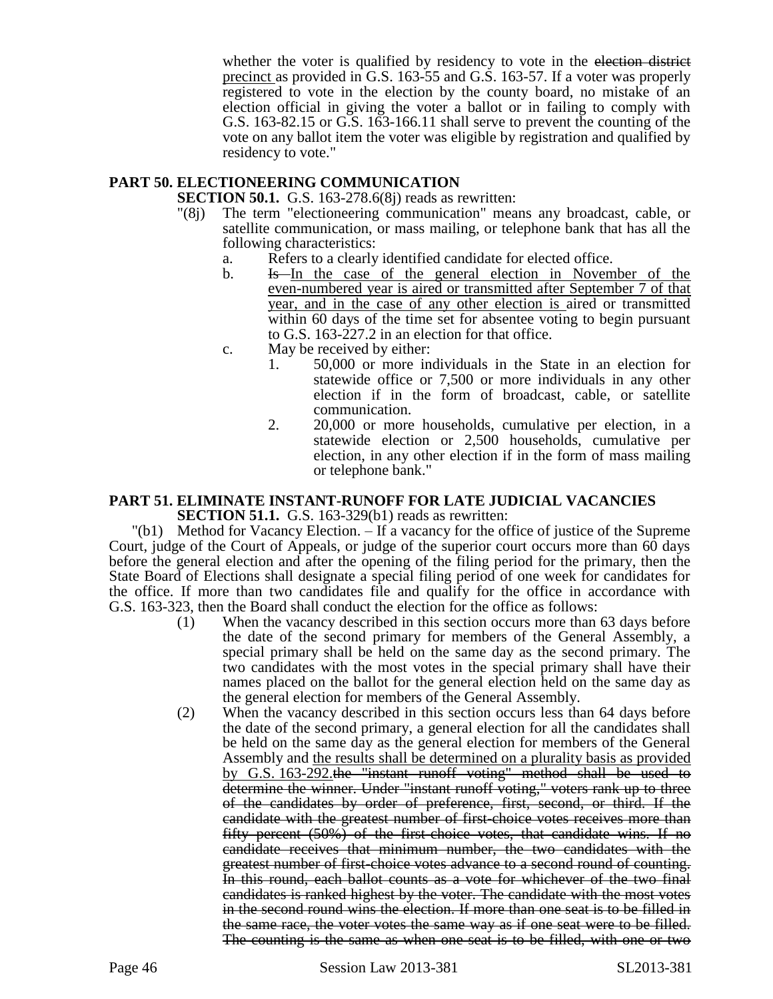whether the voter is qualified by residency to vote in the election district precinct as provided in G.S. 163-55 and G.S. 163-57. If a voter was properly registered to vote in the election by the county board, no mistake of an election official in giving the voter a ballot or in failing to comply with G.S. 163-82.15 or G.S. 163-166.11 shall serve to prevent the counting of the vote on any ballot item the voter was eligible by registration and qualified by residency to vote."

# **PART 50. ELECTIONEERING COMMUNICATION**

**SECTION 50.1.** G.S. 163-278.6(8) reads as rewritten:

- "(8j) The term "electioneering communication" means any broadcast, cable, or satellite communication, or mass mailing, or telephone bank that has all the following characteristics:
	- a. Refers to a clearly identified candidate for elected office.
	- b. Is In the case of the general election in November of the even-numbered year is aired or transmitted after September 7 of that year, and in the case of any other election is aired or transmitted within 60 days of the time set for absentee voting to begin pursuant to G.S. 163-227.2 in an election for that office.
	- c. May be received by either:
		- 1. 50,000 or more individuals in the State in an election for statewide office or 7,500 or more individuals in any other election if in the form of broadcast, cable, or satellite communication.
		- 2. 20,000 or more households, cumulative per election, in a statewide election or 2,500 households, cumulative per election, in any other election if in the form of mass mailing or telephone bank."

#### **PART 51. ELIMINATE INSTANT-RUNOFF FOR LATE JUDICIAL VACANCIES SECTION 51.1.** G.S. 163-329(b1) reads as rewritten:

"(b1) Method for Vacancy Election. – If a vacancy for the office of justice of the Supreme Court, judge of the Court of Appeals, or judge of the superior court occurs more than 60 days before the general election and after the opening of the filing period for the primary, then the State Board of Elections shall designate a special filing period of one week for candidates for the office. If more than two candidates file and qualify for the office in accordance with G.S. 163-323, then the Board shall conduct the election for the office as follows:

- (1) When the vacancy described in this section occurs more than 63 days before the date of the second primary for members of the General Assembly, a special primary shall be held on the same day as the second primary. The two candidates with the most votes in the special primary shall have their names placed on the ballot for the general election held on the same day as the general election for members of the General Assembly.
- (2) When the vacancy described in this section occurs less than 64 days before the date of the second primary, a general election for all the candidates shall be held on the same day as the general election for members of the General Assembly and the results shall be determined on a plurality basis as provided by G.S. 163-292.the "instant runoff voting" method shall be used to determine the winner. Under "instant runoff voting," voters rank up to three of the candidates by order of preference, first, second, or third. If the candidate with the greatest number of first-choice votes receives more than fifty percent (50%) of the first-choice votes, that candidate wins. If no candidate receives that minimum number, the two candidates with the greatest number of first-choice votes advance to a second round of counting. In this round, each ballot counts as a vote for whichever of the two final candidates is ranked highest by the voter. The candidate with the most votes in the second round wins the election. If more than one seat is to be filled in the same race, the voter votes the same way as if one seat were to be filled. The counting is the same as when one seat is to be filled, with one or two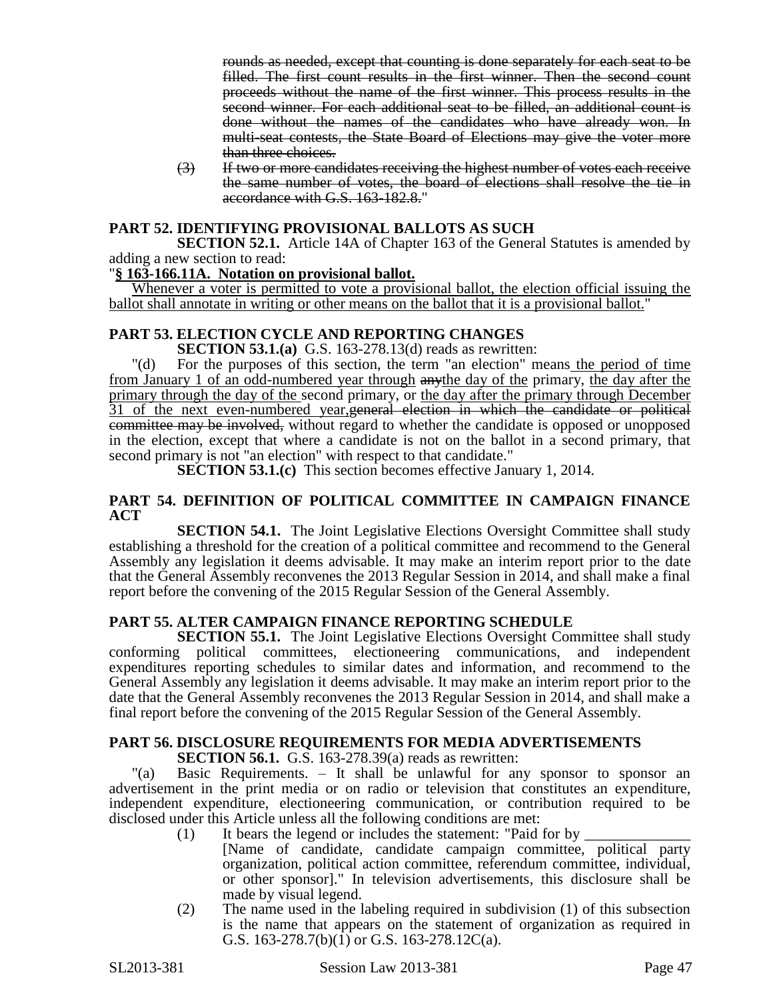rounds as needed, except that counting is done separately for each seat to be filled. The first count results in the first winner. Then the second count proceeds without the name of the first winner. This process results in the second winner. For each additional seat to be filled, an additional count is done without the names of the candidates who have already won. In multi-seat contests, the State Board of Elections may give the voter more than three choices.

(3) If two or more candidates receiving the highest number of votes each receive the same number of votes, the board of elections shall resolve the tie in accordance with G.S. 163-182.8."

# **PART 52. IDENTIFYING PROVISIONAL BALLOTS AS SUCH**

**SECTION 52.1.** Article 14A of Chapter 163 of the General Statutes is amended by adding a new section to read:

# "**§ 163-166.11A. Notation on provisional ballot.**

Whenever a voter is permitted to vote a provisional ballot, the election official issuing the ballot shall annotate in writing or other means on the ballot that it is a provisional ballot."

# **PART 53. ELECTION CYCLE AND REPORTING CHANGES**

**SECTION 53.1.(a)** G.S. 163-278.13(d) reads as rewritten:

"(d) For the purposes of this section, the term "an election" means the period of time from January 1 of an odd-numbered year through anythe day of the primary, the day after the primary through the day of the second primary, or the day after the primary through December 31 of the next even-numbered year, general election in which the candidate or political committee may be involved, without regard to whether the candidate is opposed or unopposed in the election, except that where a candidate is not on the ballot in a second primary, that second primary is not "an election" with respect to that candidate."

**SECTION 53.1.(c)** This section becomes effective January 1, 2014.

# **PART 54. DEFINITION OF POLITICAL COMMITTEE IN CAMPAIGN FINANCE ACT**

**SECTION 54.1.** The Joint Legislative Elections Oversight Committee shall study establishing a threshold for the creation of a political committee and recommend to the General Assembly any legislation it deems advisable. It may make an interim report prior to the date that the General Assembly reconvenes the 2013 Regular Session in 2014, and shall make a final report before the convening of the 2015 Regular Session of the General Assembly.

# **PART 55. ALTER CAMPAIGN FINANCE REPORTING SCHEDULE**

**SECTION 55.1.** The Joint Legislative Elections Oversight Committee shall study conforming political committees, electioneering communications, and independent expenditures reporting schedules to similar dates and information, and recommend to the General Assembly any legislation it deems advisable. It may make an interim report prior to the date that the General Assembly reconvenes the 2013 Regular Session in 2014, and shall make a final report before the convening of the 2015 Regular Session of the General Assembly.

# **PART 56. DISCLOSURE REQUIREMENTS FOR MEDIA ADVERTISEMENTS**

**SECTION 56.1.** G.S. 163-278.39(a) reads as rewritten:

"(a) Basic Requirements. – It shall be unlawful for any sponsor to sponsor an advertisement in the print media or on radio or television that constitutes an expenditure, independent expenditure, electioneering communication, or contribution required to be disclosed under this Article unless all the following conditions are met:

- (1) It bears the legend or includes the statement: "Paid for by  $\overline{\phantom{a}}$ 
	- [Name of candidate, candidate campaign committee, political party organization, political action committee, referendum committee, individual, or other sponsor]." In television advertisements, this disclosure shall be made by visual legend.
- (2) The name used in the labeling required in subdivision (1) of this subsection is the name that appears on the statement of organization as required in G.S. 163-278.7(b)(1) or G.S. 163-278.12C(a).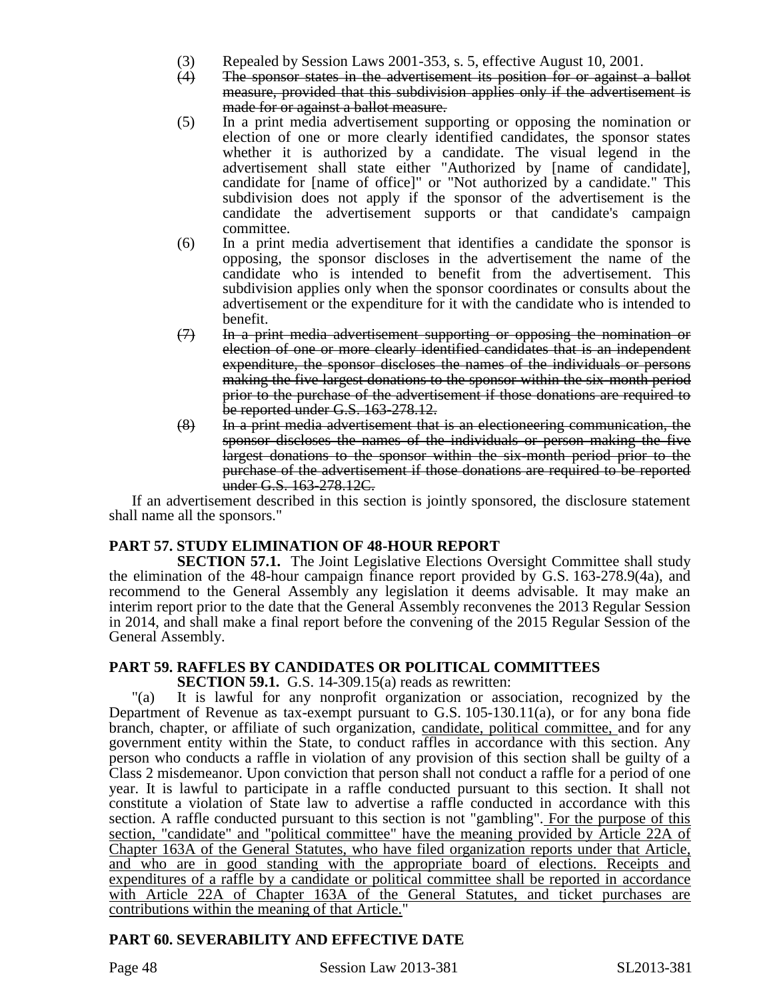- (3) Repealed by Session Laws 2001-353, s. 5, effective August 10, 2001.
- (4) The sponsor states in the advertisement its position for or against a ballot measure, provided that this subdivision applies only if the advertisement is made for or against a ballot measure.
- (5) In a print media advertisement supporting or opposing the nomination or election of one or more clearly identified candidates, the sponsor states whether it is authorized by a candidate. The visual legend in the advertisement shall state either "Authorized by [name of candidate], candidate for [name of office]" or "Not authorized by a candidate." This subdivision does not apply if the sponsor of the advertisement is the candidate the advertisement supports or that candidate's campaign committee.
- (6) In a print media advertisement that identifies a candidate the sponsor is opposing, the sponsor discloses in the advertisement the name of the candidate who is intended to benefit from the advertisement. This subdivision applies only when the sponsor coordinates or consults about the advertisement or the expenditure for it with the candidate who is intended to benefit.
- $(7)$  In a print media advertisement supporting or opposing the nomination or election of one or more clearly identified candidates that is an independent expenditure, the sponsor discloses the names of the individuals or persons making the five largest donations to the sponsor within the six-month period prior to the purchase of the advertisement if those donations are required to be reported under G.S. 163-278.12.
- (8) In a print media advertisement that is an electioneering communication, the sponsor discloses the names of the individuals or person making the five largest donations to the sponsor within the six-month period prior to the purchase of the advertisement if those donations are required to be reported under G.S. 163-278.12C.

If an advertisement described in this section is jointly sponsored, the disclosure statement shall name all the sponsors."

# **PART 57. STUDY ELIMINATION OF 48-HOUR REPORT**

**SECTION 57.1.** The Joint Legislative Elections Oversight Committee shall study the elimination of the 48-hour campaign finance report provided by G.S. 163-278.9(4a), and recommend to the General Assembly any legislation it deems advisable. It may make an interim report prior to the date that the General Assembly reconvenes the 2013 Regular Session in 2014, and shall make a final report before the convening of the 2015 Regular Session of the General Assembly.

# **PART 59. RAFFLES BY CANDIDATES OR POLITICAL COMMITTEES**

**SECTION 59.1.** G.S. 14-309.15(a) reads as rewritten:

"(a) It is lawful for any nonprofit organization or association, recognized by the Department of Revenue as tax-exempt pursuant to G.S. 105-130.11(a), or for any bona fide branch, chapter, or affiliate of such organization, candidate, political committee, and for any government entity within the State, to conduct raffles in accordance with this section. Any person who conducts a raffle in violation of any provision of this section shall be guilty of a Class 2 misdemeanor. Upon conviction that person shall not conduct a raffle for a period of one year. It is lawful to participate in a raffle conducted pursuant to this section. It shall not constitute a violation of State law to advertise a raffle conducted in accordance with this section. A raffle conducted pursuant to this section is not "gambling". For the purpose of this section, "candidate" and "political committee" have the meaning provided by Article 22A of Chapter 163A of the General Statutes, who have filed organization reports under that Article, and who are in good standing with the appropriate board of elections. Receipts and expenditures of a raffle by a candidate or political committee shall be reported in accordance with Article 22A of Chapter 163A of the General Statutes, and ticket purchases are contributions within the meaning of that Article."

# **PART 60. SEVERABILITY AND EFFECTIVE DATE**

Page 48 Session Law 2013-381 SL2013-381